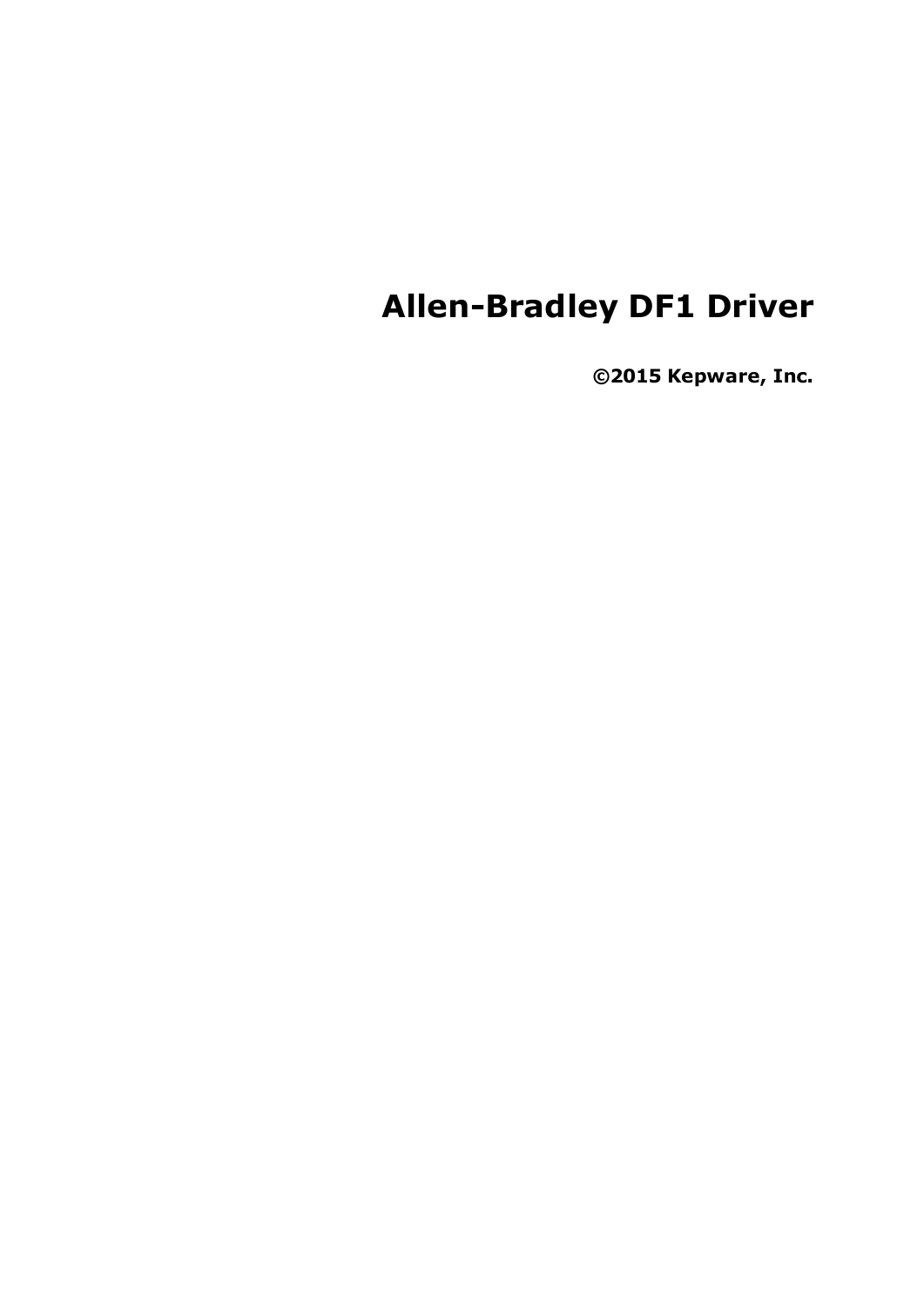## **Allen-Bradley DF1 Driver**

**©2015 Kepware, Inc.**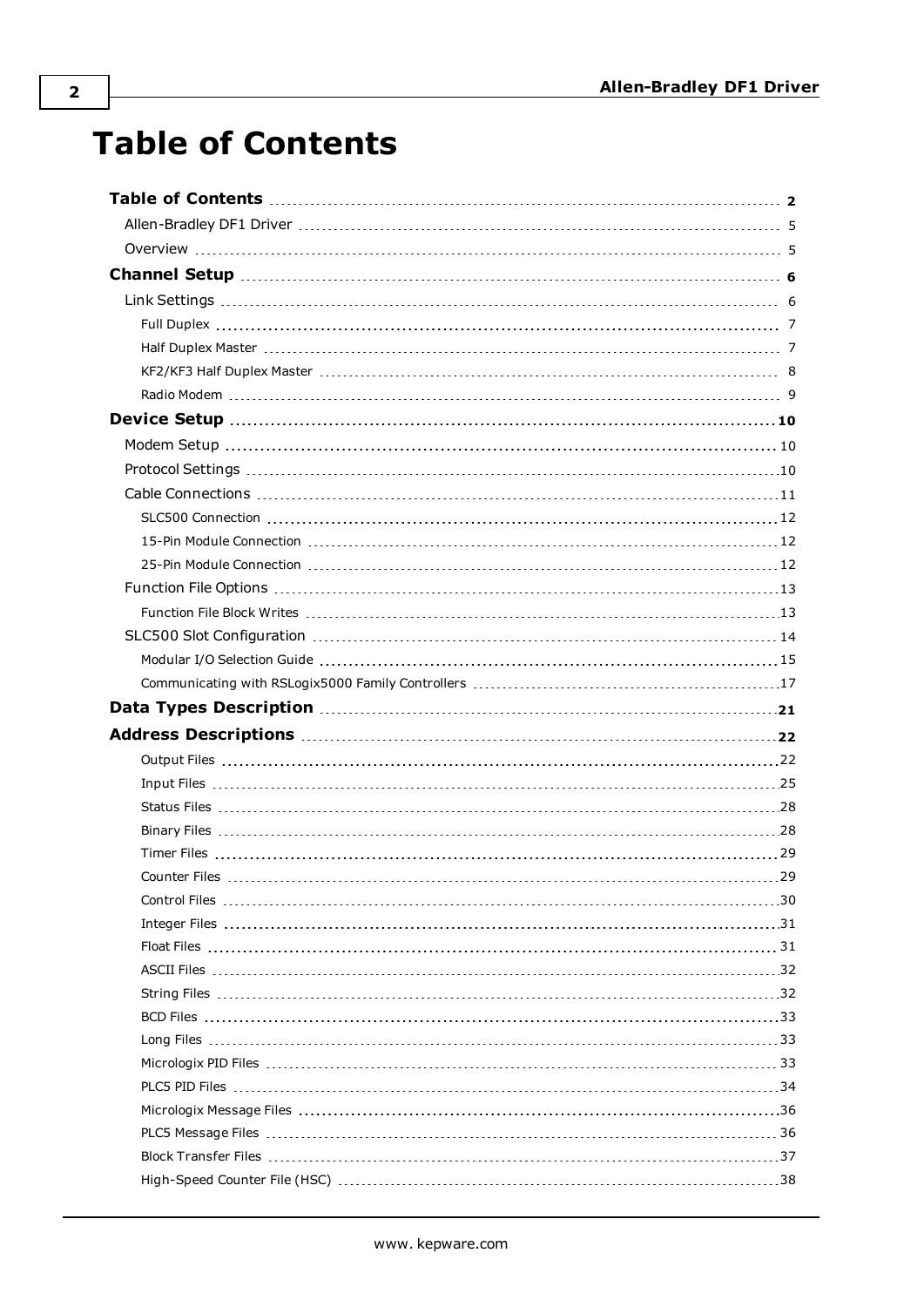## <span id="page-1-0"></span>**Table of Contents**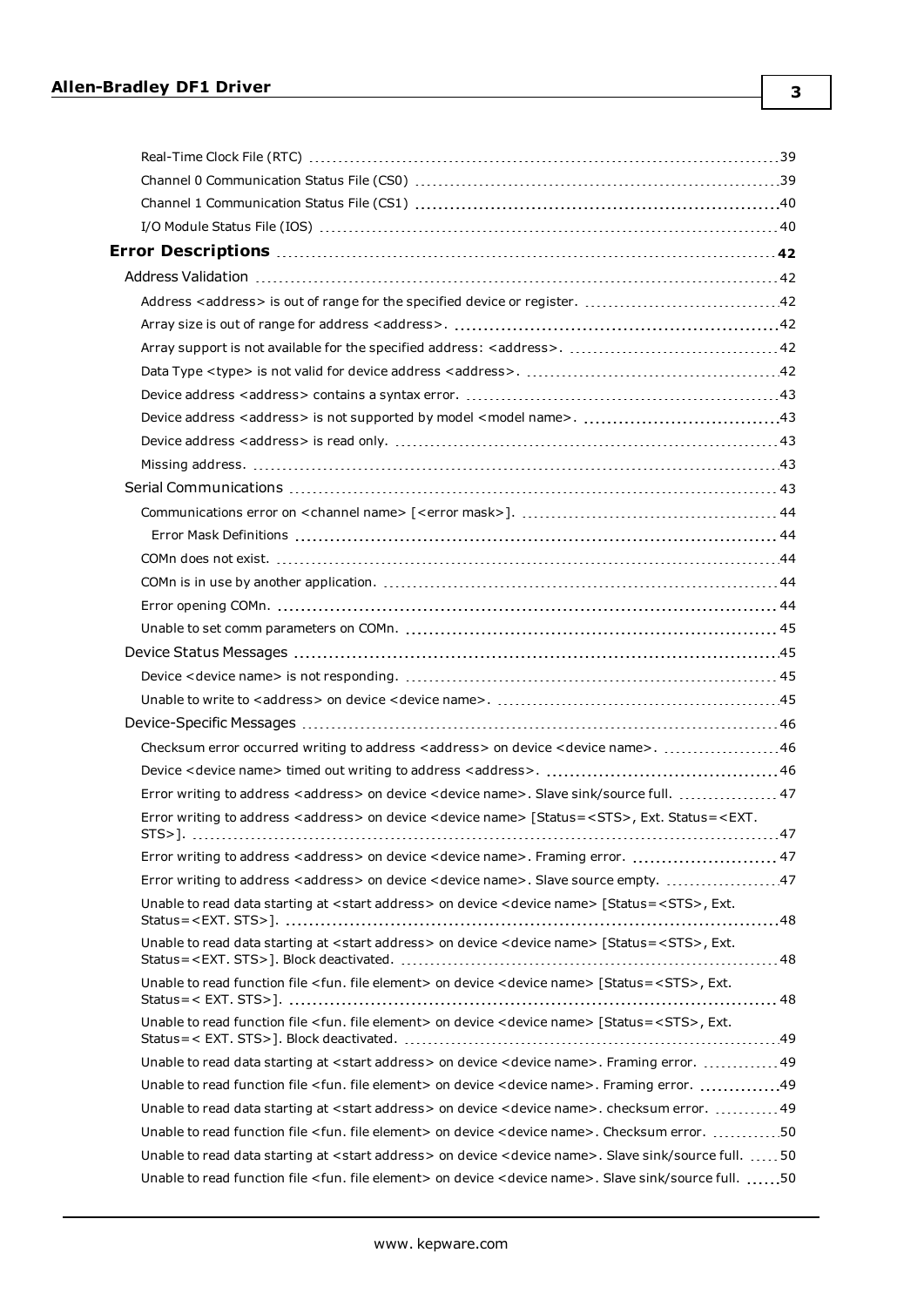| Checksum error occurred writing to address < address > on device < device name>. 46                                                              |  |
|--------------------------------------------------------------------------------------------------------------------------------------------------|--|
|                                                                                                                                                  |  |
| Error writing to address <address> on device <device name="">. Slave sink/source full.  47</device></address>                                    |  |
| Error writing to address <address> on device <device name=""> [Status=<sts>, Ext. Status=<ext.< td=""><td></td></ext.<></sts></device></address> |  |
| Error writing to address <address> on device <device name="">. Framing error.  47</device></address>                                             |  |
|                                                                                                                                                  |  |
| Unable to read data starting at <start address=""> on device <device name=""> [Status=<sts>, Ext.</sts></device></start>                         |  |
| Unable to read data starting at <start address=""> on device <device name=""> [Status=<sts>, Ext.</sts></device></start>                         |  |
| Unable to read function file <fun. element="" file=""> on device <device name=""> [Status=<sts>, Ext.</sts></device></fun.>                      |  |
| Unable to read function file <fun. element="" file=""> on device <device name=""> [Status=<sts>, Ext.</sts></device></fun.>                      |  |
| Unable to read data starting at <start address=""> on device <device name="">. Framing error.  49</device></start>                               |  |
| Unable to read function file <fun. element="" file=""> on device <device name="">. Framing error. 49</device></fun.>                             |  |
| Unable to read data starting at <start address=""> on device <device name="">. checksum error.  49</device></start>                              |  |
| Unable to read function file <fun. element="" file=""> on device <device name="">. Checksum error. 50</device></fun.>                            |  |
| Unable to read data starting at <start address=""> on device <device name="">. Slave sink/source full.  50</device></start>                      |  |
| Unable to read function file <fun. element="" file=""> on device <device name="">. Slave sink/source full. 50</device></fun.>                    |  |

**3**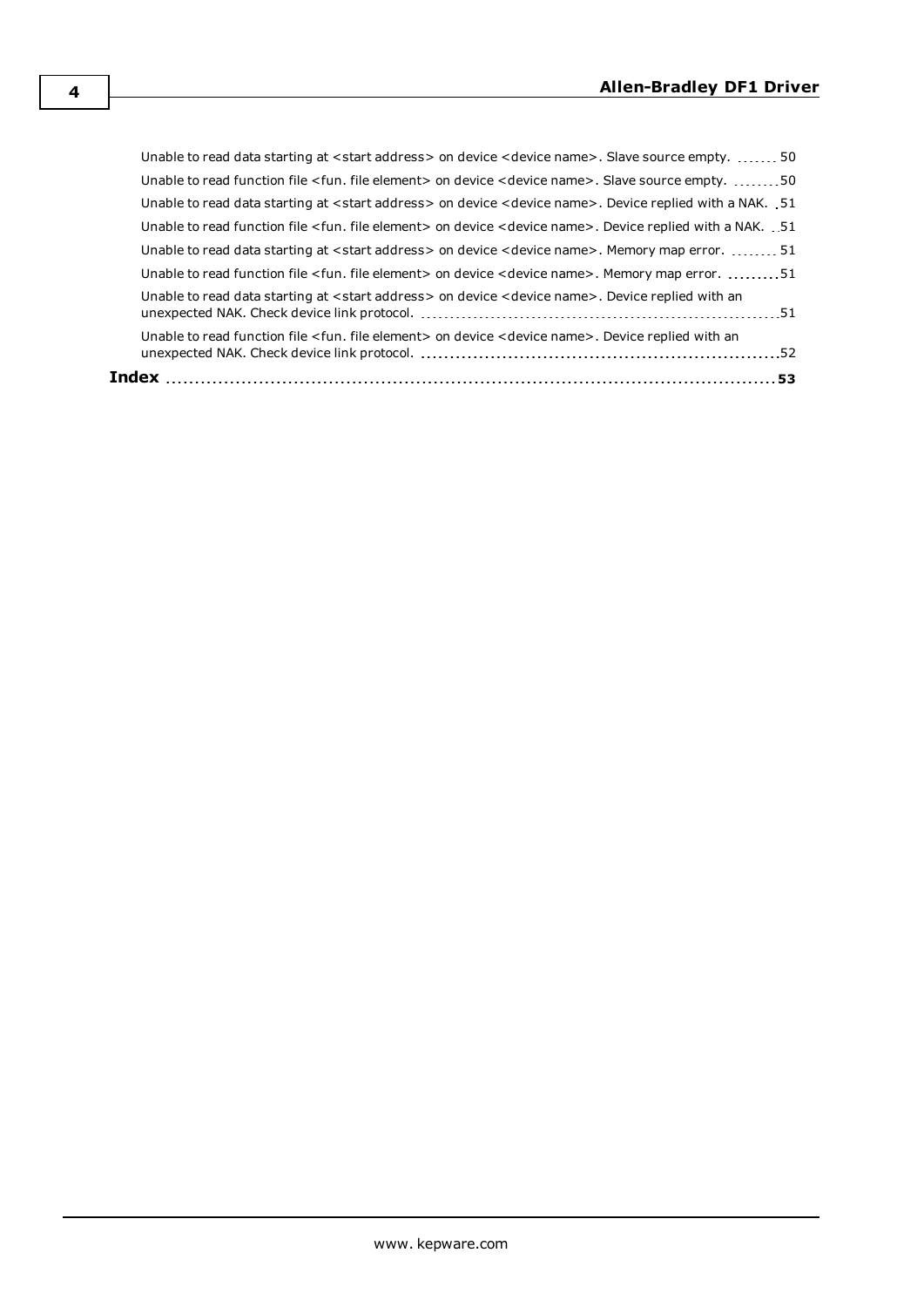| Unable to read function file <fun. element="" file=""> on device <device name="">. Device replied with an</device></fun.>         |  |
|-----------------------------------------------------------------------------------------------------------------------------------|--|
| Unable to read data starting at <start address=""> on device <device name="">. Device replied with an</device></start>            |  |
| Unable to read function file < fun. file element> on device < device name>. Memory map error. 51                                  |  |
| Unable to read data starting at <start address=""> on device <device name="">. Memory map error.  51</device></start>             |  |
| Unable to read function file <fun. element="" file=""> on device <device name="">. Device replied with a NAK. .51</device></fun.> |  |
| Unable to read data starting at <start address=""> on device <device name="">. Device replied with a NAK. 51</device></start>     |  |
| Unable to read function file < fun. file element> on device < device name>. Slave source empty. 50                                |  |
| Unable to read data starting at <start address=""> on device <device name="">. Slave source empty.  50</device></start>           |  |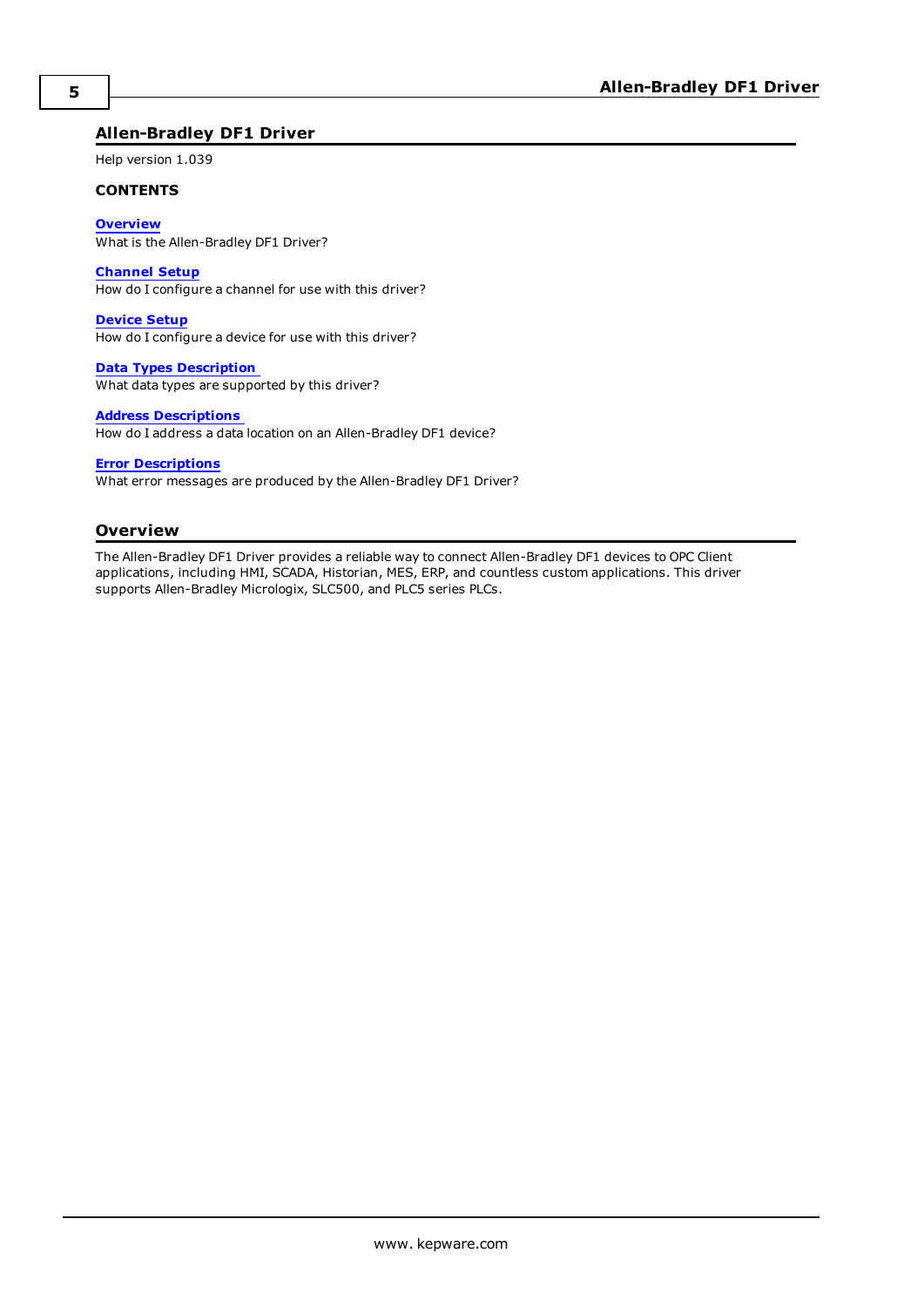#### <span id="page-4-0"></span>**Allen-Bradley DF1 Driver**

Help version 1.039

#### **CONTENTS**

**[Overview](#page-4-1)**

What is the Allen-Bradley DF1 Driver?

#### **[Channel](#page-5-0) Setup**

How do I configure a channel for use with this driver?

#### **[Device](#page-9-0) Setup**

How do I configure a device for use with this driver?

#### **Data Types [Description](#page-20-0)** What data types are supported by this driver?

#### **Address [Descriptions](#page-21-0)**

How do I address a data location on an Allen-Bradley DF1 device?

#### **Error [Descriptions](#page-41-0)**

What error messages are produced by the Allen-Bradley DF1 Driver?

#### <span id="page-4-1"></span>**Overview**

The Allen-Bradley DF1 Driver provides a reliable way to connect Allen-Bradley DF1 devices to OPC Client applications, including HMI, SCADA, Historian, MES, ERP, and countless custom applications. This driver supports Allen-Bradley Micrologix, SLC500, and PLC5 series PLCs.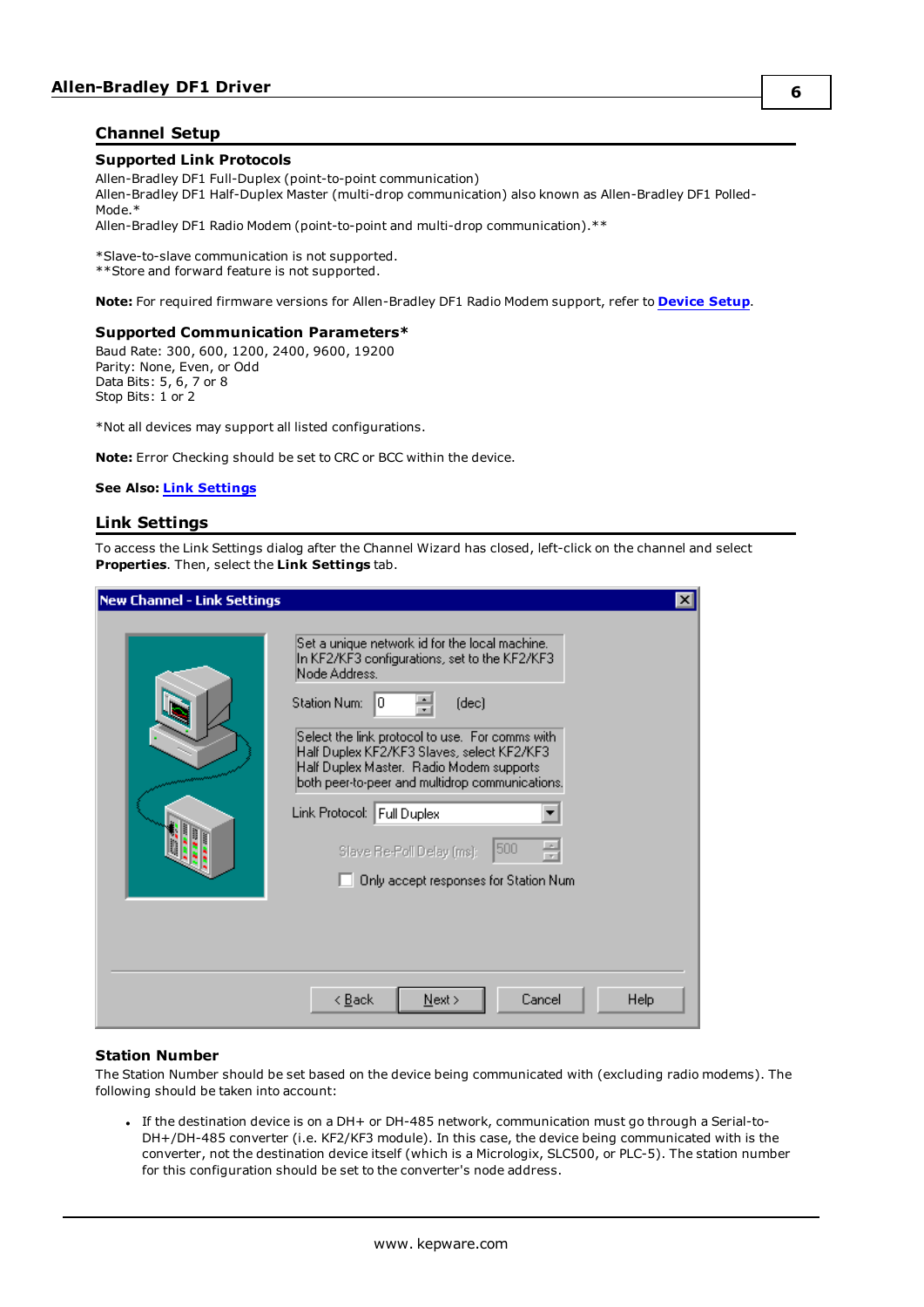#### <span id="page-5-0"></span>**Channel Setup**

#### **Supported Link Protocols**

Allen-Bradley DF1 Full-Duplex (point-to-point communication) Allen-Bradley DF1 Half-Duplex Master (multi-drop communication) also known as Allen-Bradley DF1 Polled-Mode.\* Allen-Bradley DF1 Radio Modem (point-to-point and multi-drop communication).\*\*

\*Slave-to-slave communication is not supported. \*\*Store and forward feature is not supported.

<span id="page-5-2"></span>**Note:** For required firmware versions for Allen-Bradley DF1 Radio Modem support, refer to **[Device](#page-9-0) Setup**.

#### **Supported Communication Parameters\***

Baud Rate: 300, 600, 1200, 2400, 9600, 19200 Parity: None, Even, or Odd Data Bits: 5, 6, 7 or 8 Stop Bits: 1 or 2

\*Not all devices may support all listed configurations.

<span id="page-5-3"></span>**Note:** Error Checking should be set to CRC or BCC within the device.

#### <span id="page-5-1"></span>**See Also: Link [Settings](#page-5-1)**

#### **Link Settings**

To access the Link Settings dialog after the Channel Wizard has closed, left-click on the channel and select **Properties**. Then, select the **Link Settings** tab.

| <b>New Channel - Link Settings</b> |                                                                                                                                                                                                                                                                                                                                                                                                                                                                | $\vert x \vert$ |
|------------------------------------|----------------------------------------------------------------------------------------------------------------------------------------------------------------------------------------------------------------------------------------------------------------------------------------------------------------------------------------------------------------------------------------------------------------------------------------------------------------|-----------------|
|                                    | Set a unique network id for the local machine.<br>In KF2/KF3 configurations, set to the KF2/KF3<br>Node Address.<br>Station Num:<br>0<br>(dec)<br>Select the link protocol to use. For comms with<br>Half Duplex KF2/KF3 Slaves, select KF2/KF3<br>Half Duplex Master. Radio Modem supports<br>both peer-to-peer and multidrop communications.<br>Link Protocol: Full Duplex<br>픺<br>500<br>Slave Re-Poll Delay (ms):<br>Only accept responses for Station Num |                 |
|                                    | $\leq$ $\underline{B}$ ack<br>Cancel<br>Next                                                                                                                                                                                                                                                                                                                                                                                                                   | Help            |

#### <span id="page-5-5"></span><span id="page-5-4"></span>**Station Number**

The Station Number should be set based on the device being communicated with (excluding radio modems). The following should be taken into account:

If the destination device is on a DH+ or DH-485 network, communication must go through a Serial-to-DH+/DH-485 converter (i.e. KF2/KF3 module). In this case, the device being communicated with is the converter, not the destination device itself (which is a Micrologix, SLC500, or PLC-5). The station number for this configuration should be set to the converter's node address.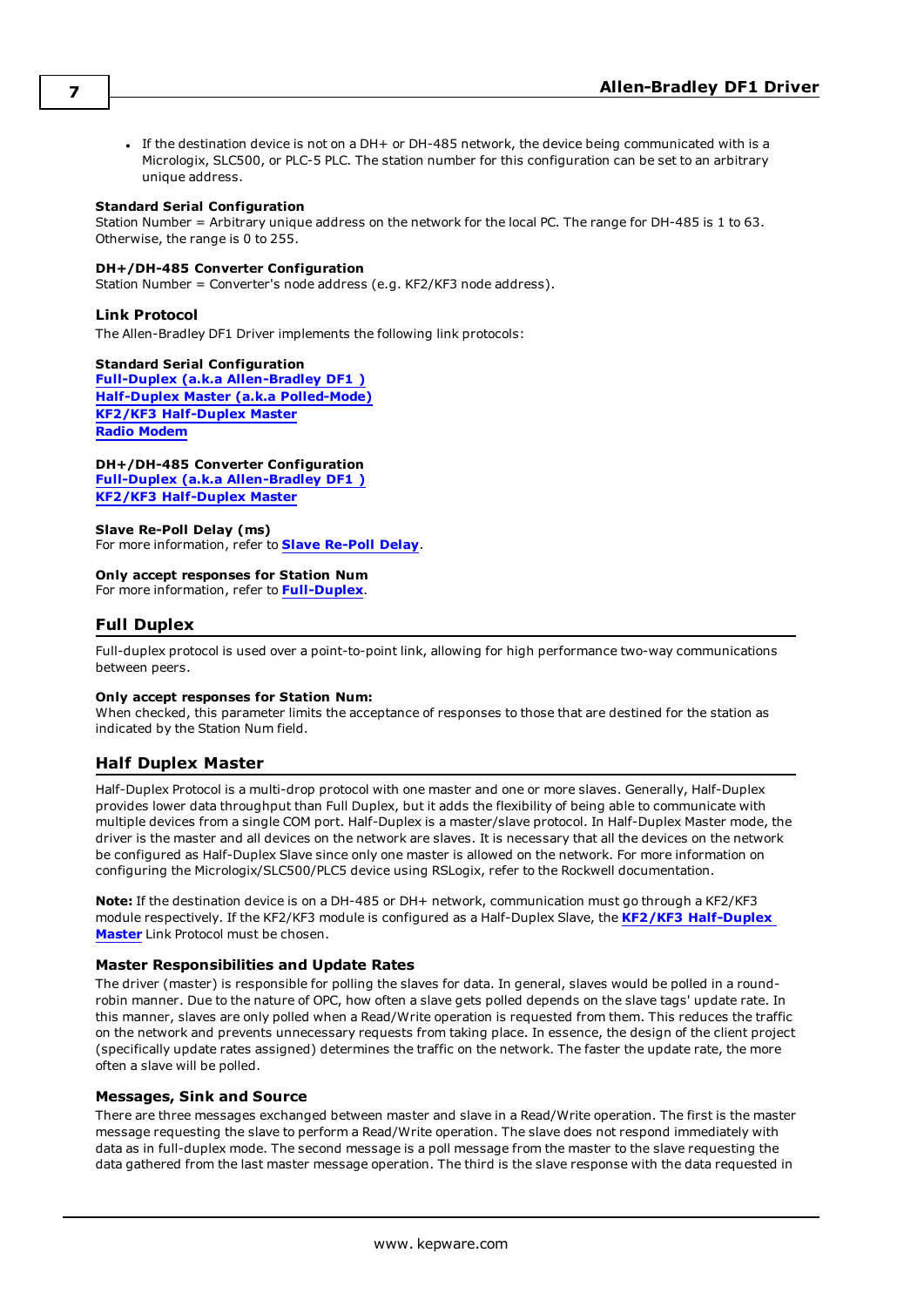• If the destination device is not on a DH+ or DH-485 network, the device being communicated with is a Micrologix, SLC500, or PLC-5 PLC. The station number for this configuration can be set to an arbitrary unique address.

#### **Standard Serial Configuration**

Station Number = Arbitrary unique address on the network for the local PC. The range for DH-485 is 1 to 63. Otherwise, the range is 0 to 255.

#### **DH+/DH-485 Converter Configuration**

Station Number = Converter's node address (e.g. KF2/KF3 node address).

#### <span id="page-6-5"></span>**Link Protocol**

The Allen-Bradley DF1 Driver implements the following link protocols:

#### <span id="page-6-3"></span>**Standard Serial Configuration**

<span id="page-6-4"></span>**Full-Duplex (a.k.a [Allen-Bradley](#page-6-0) DF1 ) Half-Duplex Master (a.k.a [Polled-Mode\)](#page-6-1) KF2/KF3 [Half-Duplex](#page-7-0) Master Radio [Modem](#page-8-0)**

**DH+/DH-485 Converter Configuration Full-Duplex (a.k.a [Allen-Bradley](#page-6-0) DF1 ) KF2/KF3 [Half-Duplex](#page-7-0) Master**

#### **Slave Re-Poll Delay (ms)** For more information, refer to **Slave [Re-Poll](#page-7-1) Delay**.

#### **Only accept responses for Station Num**

<span id="page-6-0"></span>For more information, refer to **[Full-Duplex](#page-6-2)**.

#### **Full Duplex**

Full-duplex protocol is used over a point-to-point link, allowing for high performance two-way communications between peers.

#### <span id="page-6-2"></span>**Only accept responses for Station Num:**

When checked, this parameter limits the acceptance of responses to those that are destined for the station as indicated by the Station Num field.

#### <span id="page-6-1"></span>**Half Duplex Master**

Half-Duplex Protocol is a multi-drop protocol with one master and one or more slaves. Generally, Half-Duplex provides lower data throughput than Full Duplex, but it adds the flexibility of being able to communicate with multiple devices from a single COM port. Half-Duplex is a master/slave protocol. In Half-Duplex Master mode, the driver is the master and all devices on the network are slaves. It is necessary that all the devices on the network be configured as Half-Duplex Slave since only one master is allowed on the network. For more information on configuring the Micrologix/SLC500/PLC5 device using RSLogix, refer to the Rockwell documentation.

**Note:** If the destination device is on a DH-485 or DH+ network, communication must go through a KF2/KF3 module respectively. If the KF2/KF3 module is configured as a Half-Duplex Slave, the **KF2/KF3 [Half-Duplex](#page-7-0) [Master](#page-7-0)** Link Protocol must be chosen.

#### **Master Responsibilities and Update Rates**

The driver (master) is responsible for polling the slaves for data. In general, slaves would be polled in a roundrobin manner. Due to the nature of OPC, how often a slave gets polled depends on the slave tags' update rate. In this manner, slaves are only polled when a Read/Write operation is requested from them. This reduces the traffic on the network and prevents unnecessary requests from taking place. In essence, the design of the client project (specifically update rates assigned) determines the traffic on the network. The faster the update rate, the more often a slave will be polled.

#### **Messages, Sink and Source**

There are three messages exchanged between master and slave in a Read/Write operation. The first is the master message requesting the slave to perform a Read/Write operation. The slave does not respond immediately with data as in full-duplex mode. The second message is a poll message from the master to the slave requesting the data gathered from the last master message operation. The third is the slave response with the data requested in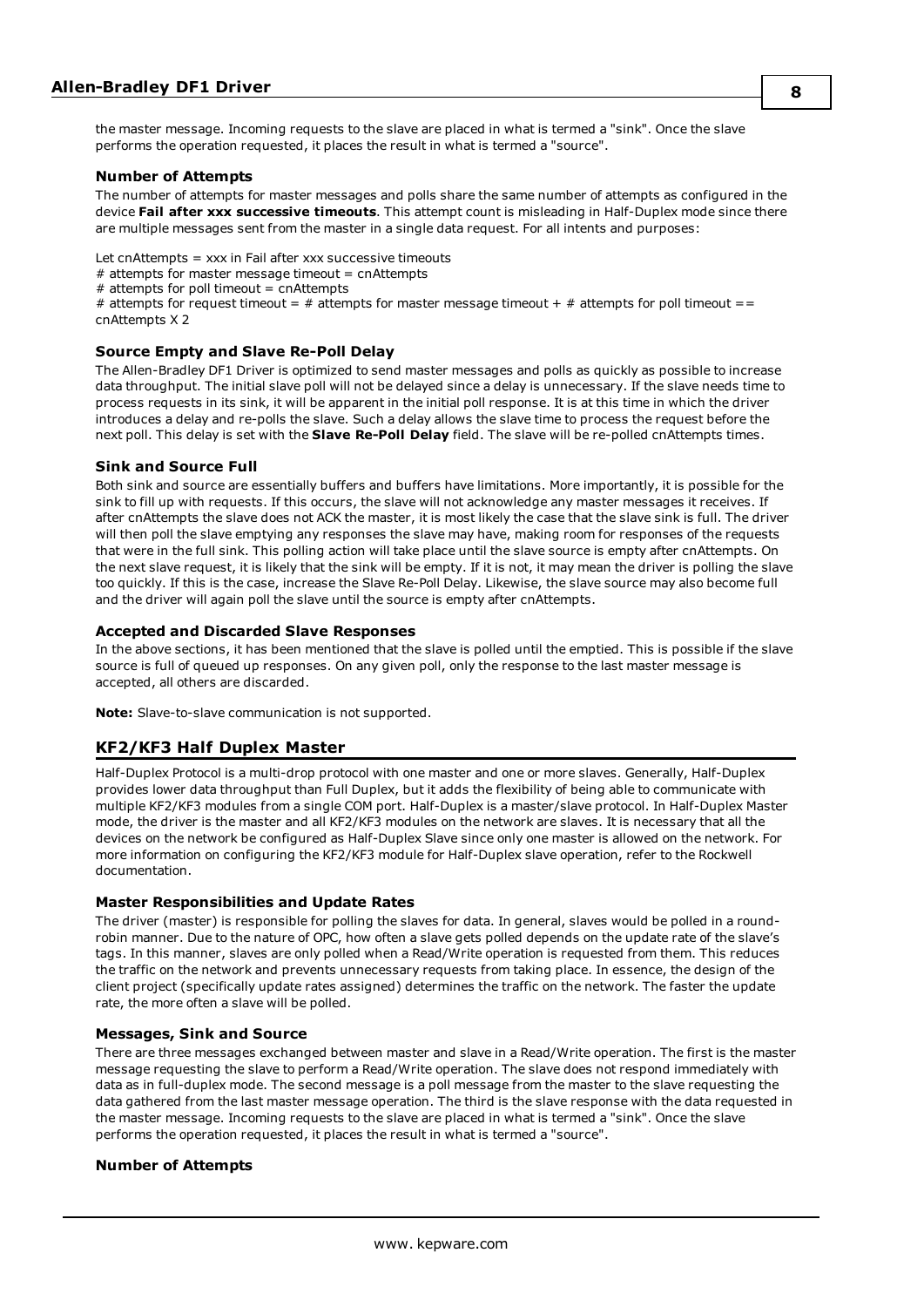the master message. Incoming requests to the slave are placed in what is termed a "sink". Once the slave performs the operation requested, it places the result in what is termed a "source".

#### **Number of Attempts**

The number of attempts for master messages and polls share the same number of attempts as configured in the device **Fail after xxx successive timeouts**. This attempt count is misleading in Half-Duplex mode since there are multiple messages sent from the master in a single data request. For all intents and purposes:

Let cnAttempts = xxx in Fail after xxx successive timeouts

 $#$  attempts for master message timeout = cnAttempts

 $#$  attempts for poll timeout = cnAttempts

# attempts for request timeout =  $#$  attempts for master message timeout +  $#$  attempts for poll timeout == cnAttempts X 2

#### <span id="page-7-1"></span>**Source Empty and Slave Re-Poll Delay**

The Allen-Bradley DF1 Driver is optimized to send master messages and polls as quickly as possible to increase data throughput. The initial slave poll will not be delayed since a delay is unnecessary. If the slave needs time to process requests in its sink, it will be apparent in the initial poll response. It is at this time in which the driver introduces a delay and re-polls the slave. Such a delay allows the slave time to process the request before the next poll. This delay is set with the **Slave Re-Poll Delay** field. The slave will be re-polled cnAttempts times.

#### **Sink and Source Full**

Both sink and source are essentially buffers and buffers have limitations. More importantly, it is possible for the sink to fill up with requests. If this occurs, the slave will not acknowledge any master messages it receives. If after cnAttempts the slave does not ACK the master, it is most likely the case that the slave sink is full. The driver will then poll the slave emptying any responses the slave may have, making room for responses of the requests that were in the full sink. This polling action will take place until the slave source is empty after cnAttempts. On the next slave request, it is likely that the sink will be empty. If it is not, it may mean the driver is polling the slave too quickly. If this is the case, increase the Slave Re-Poll Delay. Likewise, the slave source may also become full and the driver will again poll the slave until the source is empty after cnAttempts.

#### **Accepted and Discarded Slave Responses**

In the above sections, it has been mentioned that the slave is polled until the emptied. This is possible if the slave source is full of queued up responses. On any given poll, only the response to the last master message is accepted, all others are discarded.

<span id="page-7-0"></span>**Note:** Slave-to-slave communication is not supported.

#### **KF2/KF3 Half Duplex Master**

Half-Duplex Protocol is a multi-drop protocol with one master and one or more slaves. Generally, Half-Duplex provides lower data throughput than Full Duplex, but it adds the flexibility of being able to communicate with multiple KF2/KF3 modules from a single COM port. Half-Duplex is a master/slave protocol. In Half-Duplex Master mode, the driver is the master and all KF2/KF3 modules on the network are slaves. It is necessary that all the devices on the network be configured as Half-Duplex Slave since only one master is allowed on the network. For more information on configuring the KF2/KF3 module for Half-Duplex slave operation, refer to the Rockwell documentation.

#### **Master Responsibilities and Update Rates**

The driver (master) is responsible for polling the slaves for data. In general, slaves would be polled in a roundrobin manner. Due to the nature of OPC, how often a slave gets polled depends on the update rate of the slave's tags. In this manner, slaves are only polled when a Read/Write operation is requested from them. This reduces the traffic on the network and prevents unnecessary requests from taking place. In essence, the design of the client project (specifically update rates assigned) determines the traffic on the network. The faster the update rate, the more often a slave will be polled.

#### **Messages, Sink and Source**

There are three messages exchanged between master and slave in a Read/Write operation. The first is the master message requesting the slave to perform a Read/Write operation. The slave does not respond immediately with data as in full-duplex mode. The second message is a poll message from the master to the slave requesting the data gathered from the last master message operation. The third is the slave response with the data requested in the master message. Incoming requests to the slave are placed in what is termed a "sink". Once the slave performs the operation requested, it places the result in what is termed a "source".

#### **Number of Attempts**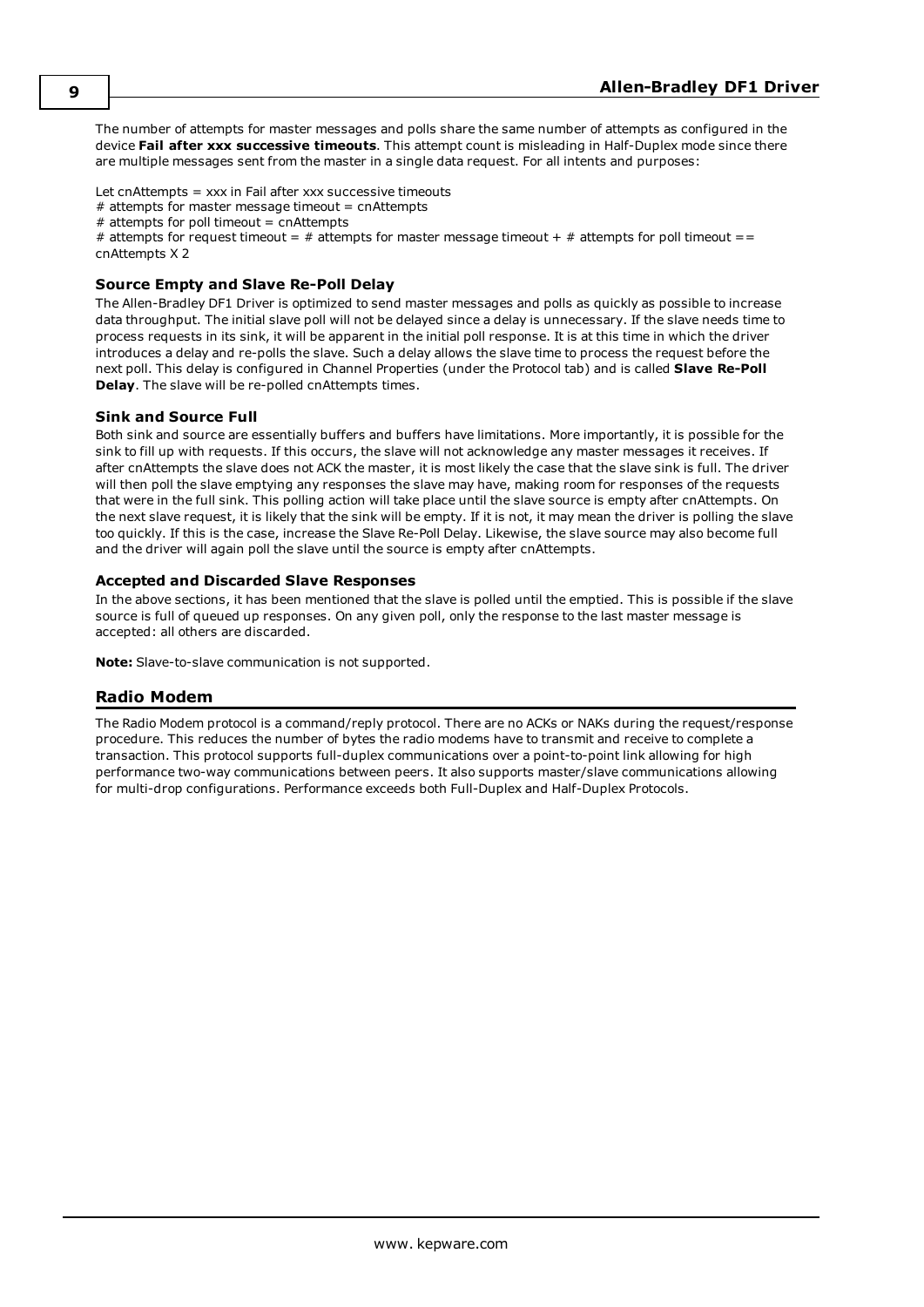The number of attempts for master messages and polls share the same number of attempts as configured in the device **Fail after xxx successive timeouts**. This attempt count is misleading in Half-Duplex mode since there are multiple messages sent from the master in a single data request. For all intents and purposes:

Let cnAttempts = xxx in Fail after xxx successive timeouts

 $#$  attempts for master message timeout = cnAttempts

 $#$  attempts for poll timeout = cnAttempts

# attempts for request timeout =  $#$  attempts for master message timeout +  $#$  attempts for poll timeout == cnAttempts X 2

#### **Source Empty and Slave Re-Poll Delay**

The Allen-Bradley DF1 Driver is optimized to send master messages and polls as quickly as possible to increase data throughput. The initial slave poll will not be delayed since a delay is unnecessary. If the slave needs time to process requests in its sink, it will be apparent in the initial poll response. It is at this time in which the driver introduces a delay and re-polls the slave. Such a delay allows the slave time to process the request before the next poll. This delay is configured in Channel Properties (under the Protocol tab) and is called **Slave Re-Poll Delay**. The slave will be re-polled cnAttempts times.

#### **Sink and Source Full**

Both sink and source are essentially buffers and buffers have limitations. More importantly, it is possible for the sink to fill up with requests. If this occurs, the slave will not acknowledge any master messages it receives. If after cnAttempts the slave does not ACK the master, it is most likely the case that the slave sink is full. The driver will then poll the slave emptying any responses the slave may have, making room for responses of the requests that were in the full sink. This polling action will take place until the slave source is empty after cnAttempts. On the next slave request, it is likely that the sink will be empty. If it is not, it may mean the driver is polling the slave too quickly. If this is the case, increase the Slave Re-Poll Delay. Likewise, the slave source may also become full and the driver will again poll the slave until the source is empty after cnAttempts.

#### **Accepted and Discarded Slave Responses**

In the above sections, it has been mentioned that the slave is polled until the emptied. This is possible if the slave source is full of queued up responses. On any given poll, only the response to the last master message is accepted: all others are discarded.

<span id="page-8-0"></span>**Note:** Slave-to-slave communication is not supported.

#### **Radio Modem**

The Radio Modem protocol is a command/reply protocol. There are no ACKs or NAKs during the request/response procedure. This reduces the number of bytes the radio modems have to transmit and receive to complete a transaction. This protocol supports full-duplex communications over a point-to-point link allowing for high performance two-way communications between peers. It also supports master/slave communications allowing for multi-drop configurations. Performance exceeds both Full-Duplex and Half-Duplex Protocols.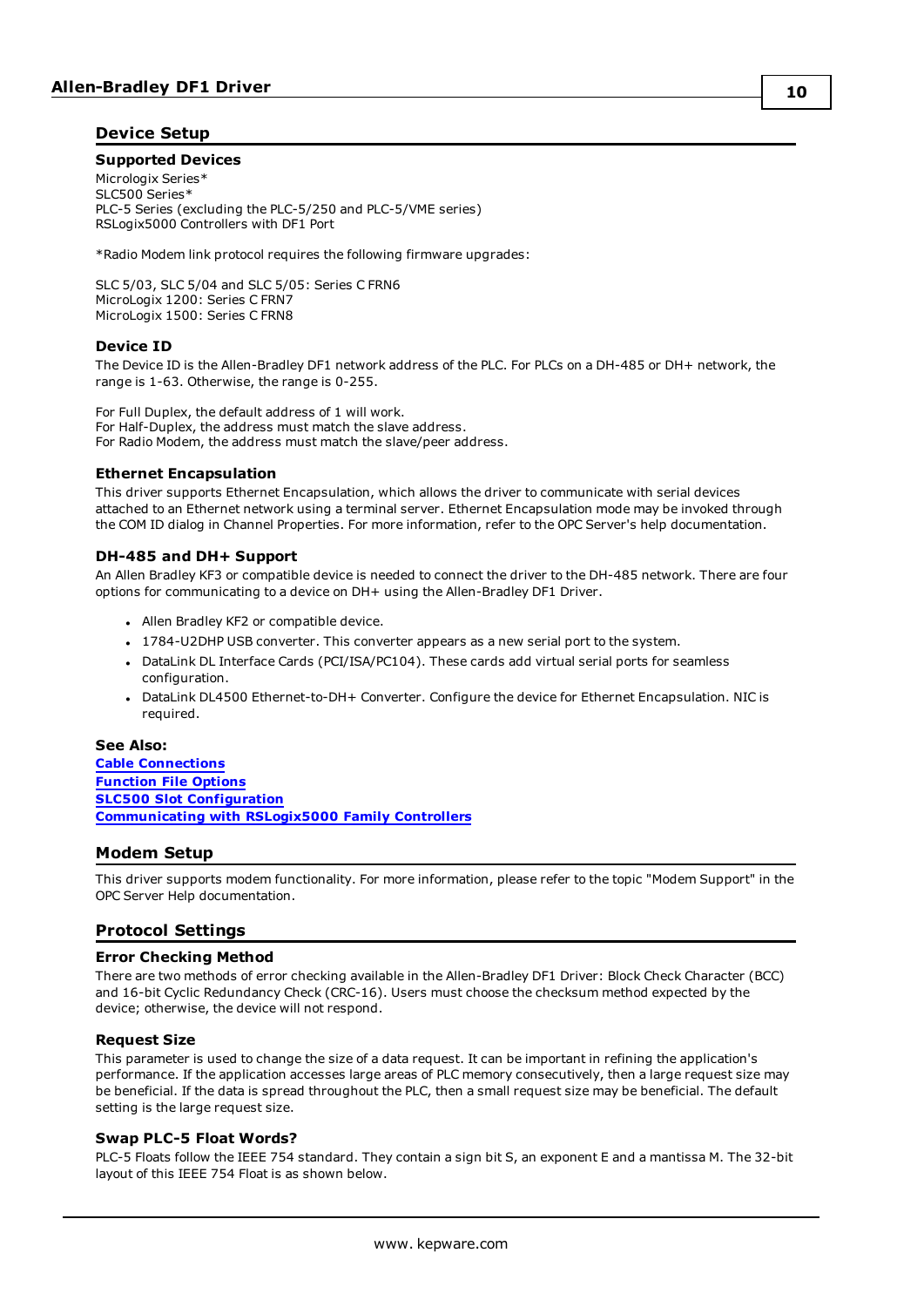#### <span id="page-9-8"></span><span id="page-9-0"></span>**Device Setup**

#### **Supported Devices**

Micrologix Series\* SLC500 Series\* PLC-5 Series (excluding the PLC-5/250 and PLC-5/VME series) RSLogix5000 Controllers with DF1 Port

\*Radio Modem link protocol requires the following firmware upgrades:

SLC 5/03, SLC 5/04 and SLC 5/05: Series C FRN6 MicroLogix 1200: Series C FRN7 MicroLogix 1500: Series C FRN8

#### <span id="page-9-4"></span>**Device ID**

The Device ID is the Allen-Bradley DF1 network address of the PLC. For PLCs on a DH-485 or DH+ network, the range is 1-63. Otherwise, the range is 0-255.

For Full Duplex, the default address of 1 will work. For Half-Duplex, the address must match the slave address. For Radio Modem, the address must match the slave/peer address.

#### <span id="page-9-6"></span>**Ethernet Encapsulation**

This driver supports Ethernet Encapsulation, which allows the driver to communicate with serial devices attached to an Ethernet network using a terminal server. Ethernet Encapsulation mode may be invoked through the COM ID dialog in Channel Properties. For more information, refer to the OPC Server's help documentation.

#### **DH-485 and DH+ Support**

An Allen Bradley KF3 or compatible device is needed to connect the driver to the DH-485 network. There are four options for communicating to a device on DH+ using the Allen-Bradley DF1 Driver.

- Allen Bradley KF2 or compatible device.
- . 1784-U2DHP USB converter. This converter appears as a new serial port to the system.
- <sup>l</sup> DataLink DL Interface Cards (PCI/ISA/PC104). These cards add virtual serial ports for seamless configuration.
- DataLink DL4500 Ethernet-to-DH+ Converter. Configure the device for Ethernet Encapsulation. NIC is required.

#### **See Also:**

**Cable [Connections](#page-10-0) [Function](#page-12-0) File Options SLC500 Slot [Configuration](#page-13-0) [Communicating](#page-16-0) with RSLogix5000 Family Controllers**

#### <span id="page-9-1"></span>**Modem Setup**

This driver supports modem functionality. For more information, please refer to the topic "Modem Support" in the OPC Server Help documentation.

#### <span id="page-9-5"></span><span id="page-9-2"></span>**Protocol Settings**

#### <span id="page-9-3"></span>**Error Checking Method**

There are two methods of error checking available in the Allen-Bradley DF1 Driver: Block Check Character (BCC) and 16-bit Cyclic Redundancy Check (CRC-16). Users must choose the checksum method expected by the device; otherwise, the device will not respond.

#### **Request Size**

This parameter is used to change the size of a data request. It can be important in refining the application's performance. If the application accesses large areas of PLC memory consecutively, then a large request size may be beneficial. If the data is spread throughout the PLC, then a small request size may be beneficial. The default setting is the large request size.

#### <span id="page-9-7"></span>**Swap PLC-5 Float Words?**

PLC-5 Floats follow the IEEE 754 standard. They contain a sign bit S, an exponent E and a mantissa M. The 32-bit layout of this IEEE 754 Float is as shown below.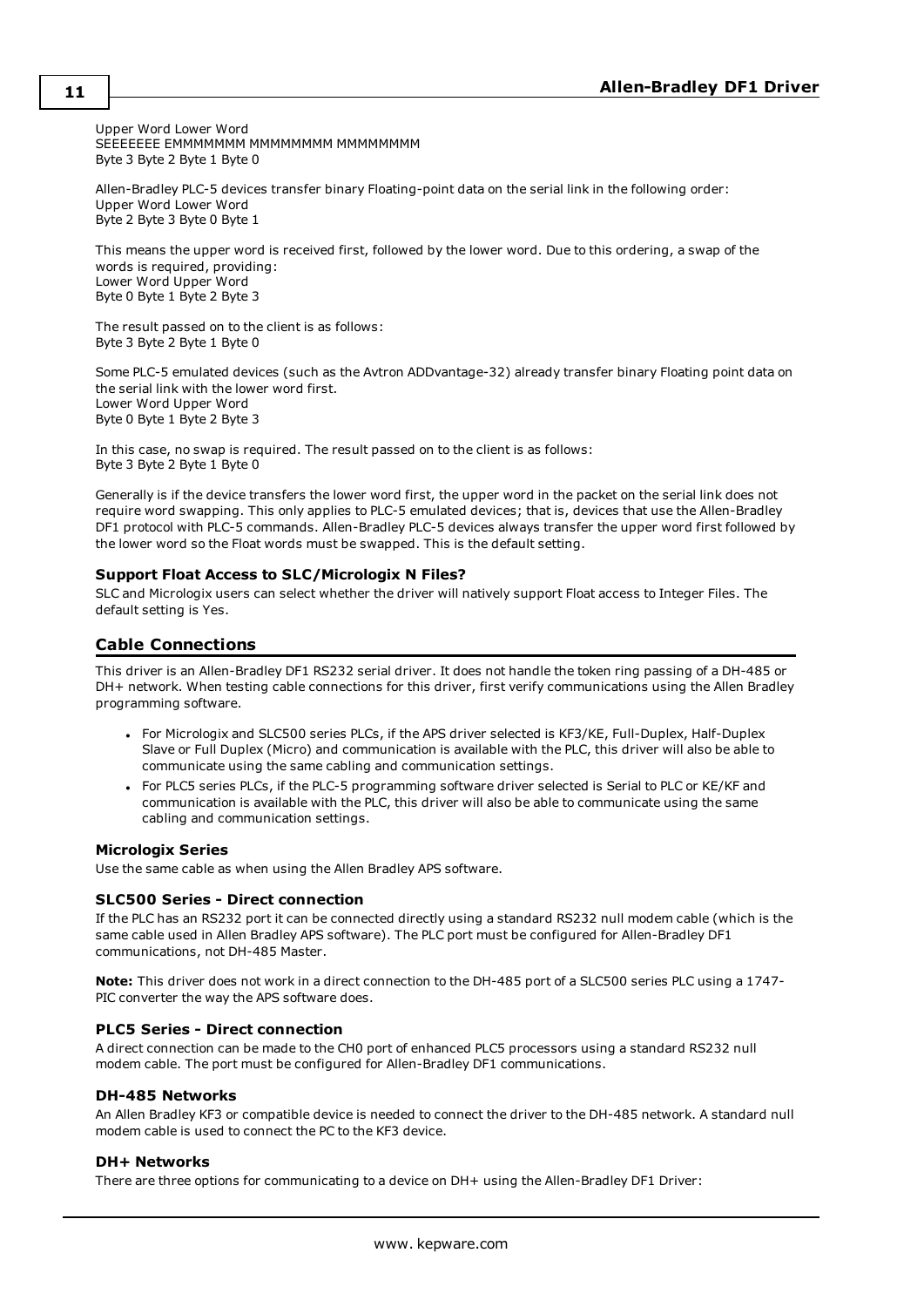Upper Word Lower Word SEEEEEEE EMMMMMMM MMMMMMM MMMMMMMM Byte 3 Byte 2 Byte 1 Byte 0

Allen-Bradley PLC-5 devices transfer binary Floating-point data on the serial link in the following order: Upper Word Lower Word Byte 2 Byte 3 Byte 0 Byte 1

This means the upper word is received first, followed by the lower word. Due to this ordering, a swap of the words is required, providing: Lower Word Upper Word Byte 0 Byte 1 Byte 2 Byte 3

The result passed on to the client is as follows: Byte 3 Byte 2 Byte 1 Byte 0

<span id="page-10-1"></span>Some PLC-5 emulated devices (such as the Avtron ADDvantage-32) already transfer binary Floating point data on the serial link with the lower word first. Lower Word Upper Word Byte 0 Byte 1 Byte 2 Byte 3

In this case, no swap is required. The result passed on to the client is as follows: Byte 3 Byte 2 Byte 1 Byte 0

Generally is if the device transfers the lower word first, the upper word in the packet on the serial link does not require word swapping. This only applies to PLC-5 emulated devices; that is, devices that use the Allen-Bradley DF1 protocol with PLC-5 commands. Allen-Bradley PLC-5 devices always transfer the upper word first followed by the lower word so the Float words must be swapped. This is the default setting.

#### **Support Float Access to SLC/Micrologix N Files?**

SLC and Micrologix users can select whether the driver will natively support Float access to Integer Files. The default setting is Yes.

#### <span id="page-10-0"></span>**Cable Connections**

This driver is an Allen-Bradley DF1 RS232 serial driver. It does not handle the token ring passing of a DH-485 or DH+ network. When testing cable connections for this driver, first verify communications using the Allen Bradley programming software.

- For Micrologix and SLC500 series PLCs, if the APS driver selected is KF3/KE, Full-Duplex, Half-Duplex Slave or Full Duplex (Micro) and communication is available with the PLC, this driver will also be able to communicate using the same cabling and communication settings.
- For PLC5 series PLCs, if the PLC-5 programming software driver selected is Serial to PLC or KE/KF and communication is available with the PLC, this driver will also be able to communicate using the same cabling and communication settings.

#### **Micrologix Series**

Use the same cable as when using the Allen Bradley APS software.

#### **SLC500 Series - Direct connection**

If the PLC has an RS232 port it can be connected directly using a standard RS232 null modem cable (which is the same cable used in Allen Bradley APS software). The PLC port must be configured for Allen-Bradley DF1 communications, not DH-485 Master.

**Note:** This driver does not work in a direct connection to the DH-485 port of a SLC500 series PLC using a 1747- PIC converter the way the APS software does.

#### **PLC5 Series - Direct connection**

A direct connection can be made to the CH0 port of enhanced PLC5 processors using a standard RS232 null modem cable. The port must be configured for Allen-Bradley DF1 communications.

#### **DH-485 Networks**

An Allen Bradley KF3 or compatible device is needed to connect the driver to the DH-485 network. A standard null modem cable is used to connect the PC to the KF3 device.

#### **DH+ Networks**

There are three options for communicating to a device on DH+ using the Allen-Bradley DF1 Driver: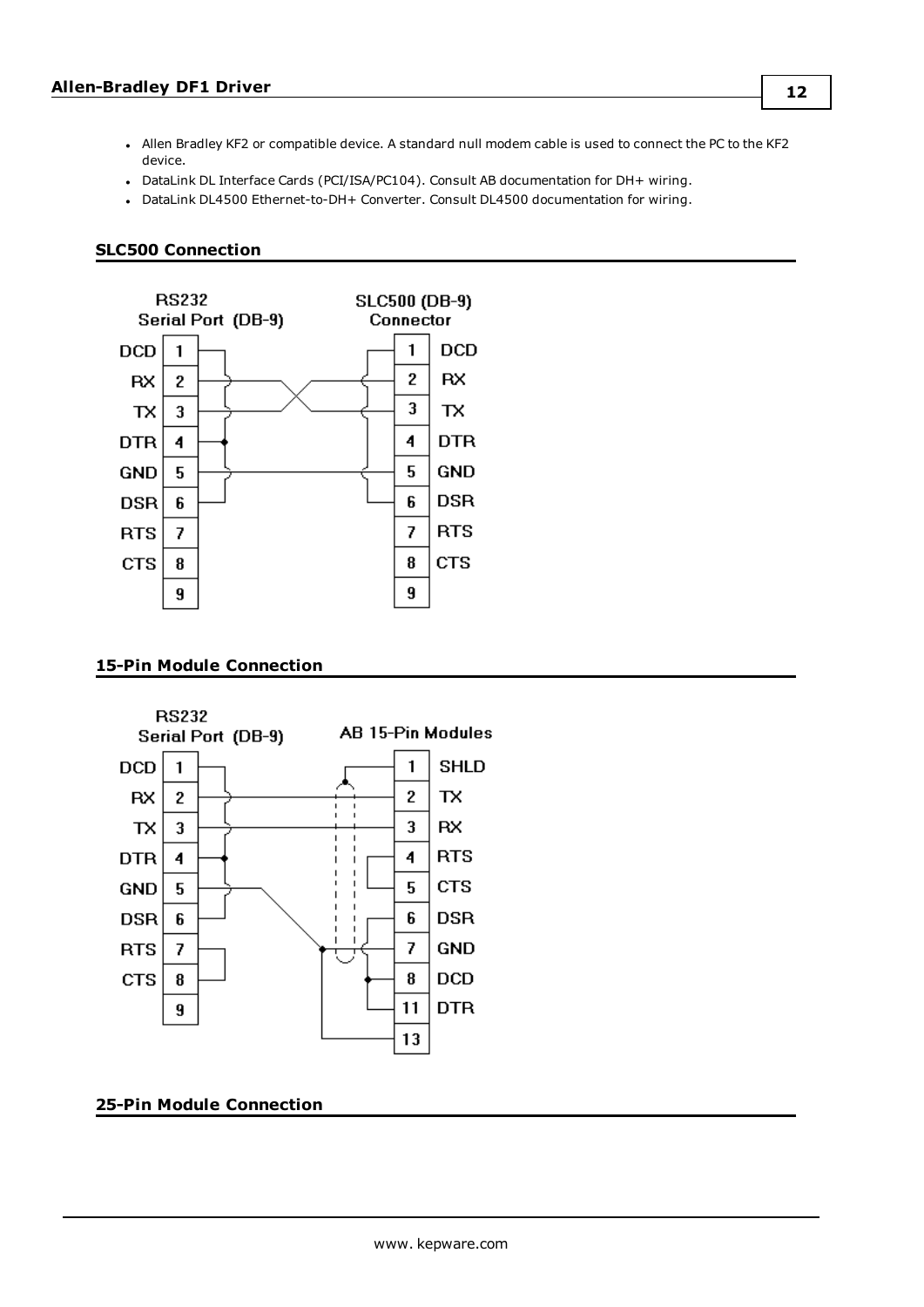- <sup>l</sup> Allen Bradley KF2 or compatible device. A standard null modem cable is used to connect the PC to the KF2 device.
- DataLink DL Interface Cards (PCI/ISA/PC104). Consult AB documentation for DH+ wiring.
- DataLink DL4500 Ethernet-to-DH+ Converter. Consult DL4500 documentation for wiring.

#### <span id="page-11-0"></span>**SLC500 Connection**



#### <span id="page-11-1"></span>**15-Pin Module Connection**



#### <span id="page-11-2"></span>**25-Pin Module Connection**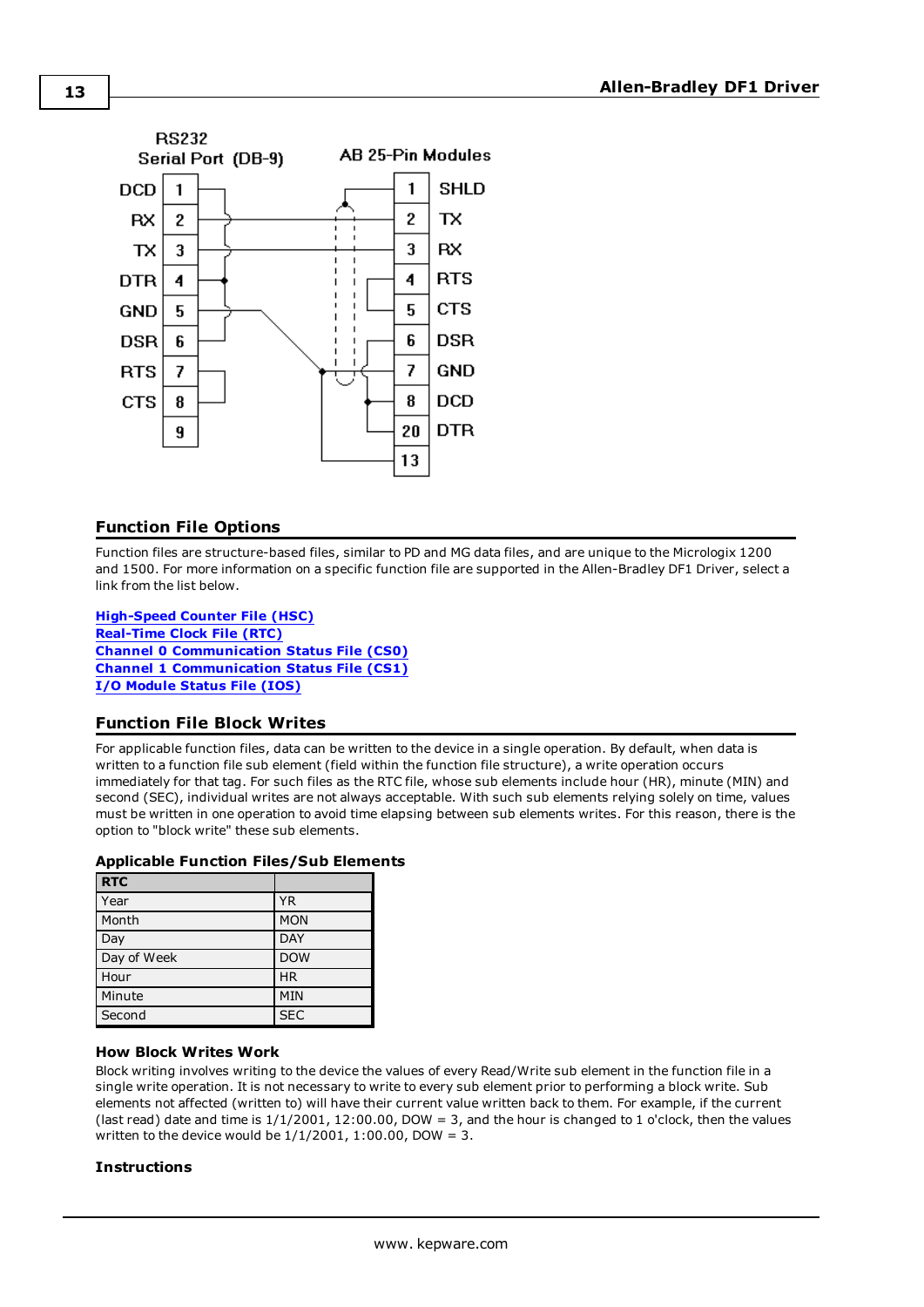

#### <span id="page-12-0"></span>**Function File Options**

Function files are structure-based files, similar to PD and MG data files, and are unique to the Micrologix 1200 and 1500. For more information on a specific function file are supported in the Allen-Bradley DF1 Driver, select a link from the list below.

**[High-Speed](#page-37-0) Counter File (HSC) [Real-Time](#page-38-0) Clock File (RTC) Channel 0 [Communication](#page-38-1) Status File (CS0) Channel 1 [Communication](#page-39-0) Status File (CS1) I/O [Module](#page-39-1) Status File (IOS)**

#### <span id="page-12-1"></span>**Function File Block Writes**

For applicable function files, data can be written to the device in a single operation. By default, when data is written to a function file sub element (field within the function file structure), a write operation occurs immediately for that tag. For such files as the RTC file, whose sub elements include hour (HR), minute (MIN) and second (SEC), individual writes are not always acceptable. With such sub elements relying solely on time, values must be written in one operation to avoid time elapsing between sub elements writes. For this reason, there is the option to "block write" these sub elements.

#### **Applicable Function Files/Sub Elements**

| <b>RTC</b>  |            |
|-------------|------------|
| Year        | <b>YR</b>  |
| Month       | <b>MON</b> |
| Day         | <b>DAY</b> |
| Day of Week | <b>DOW</b> |
| Hour        | <b>HR</b>  |
| Minute      | <b>MIN</b> |
| Second      | <b>SEC</b> |

#### **How Block Writes Work**

Block writing involves writing to the device the values of every Read/Write sub element in the function file in a single write operation. It is not necessary to write to every sub element prior to performing a block write. Sub elements not affected (written to) will have their current value written back to them. For example, if the current (last read) date and time is  $1/1/2001$ ,  $12:00.00$ , DOW = 3, and the hour is changed to 1 o'clock, then the values written to the device would be  $1/1/2001$ ,  $1:00.00$ , DOW = 3.

#### **Instructions**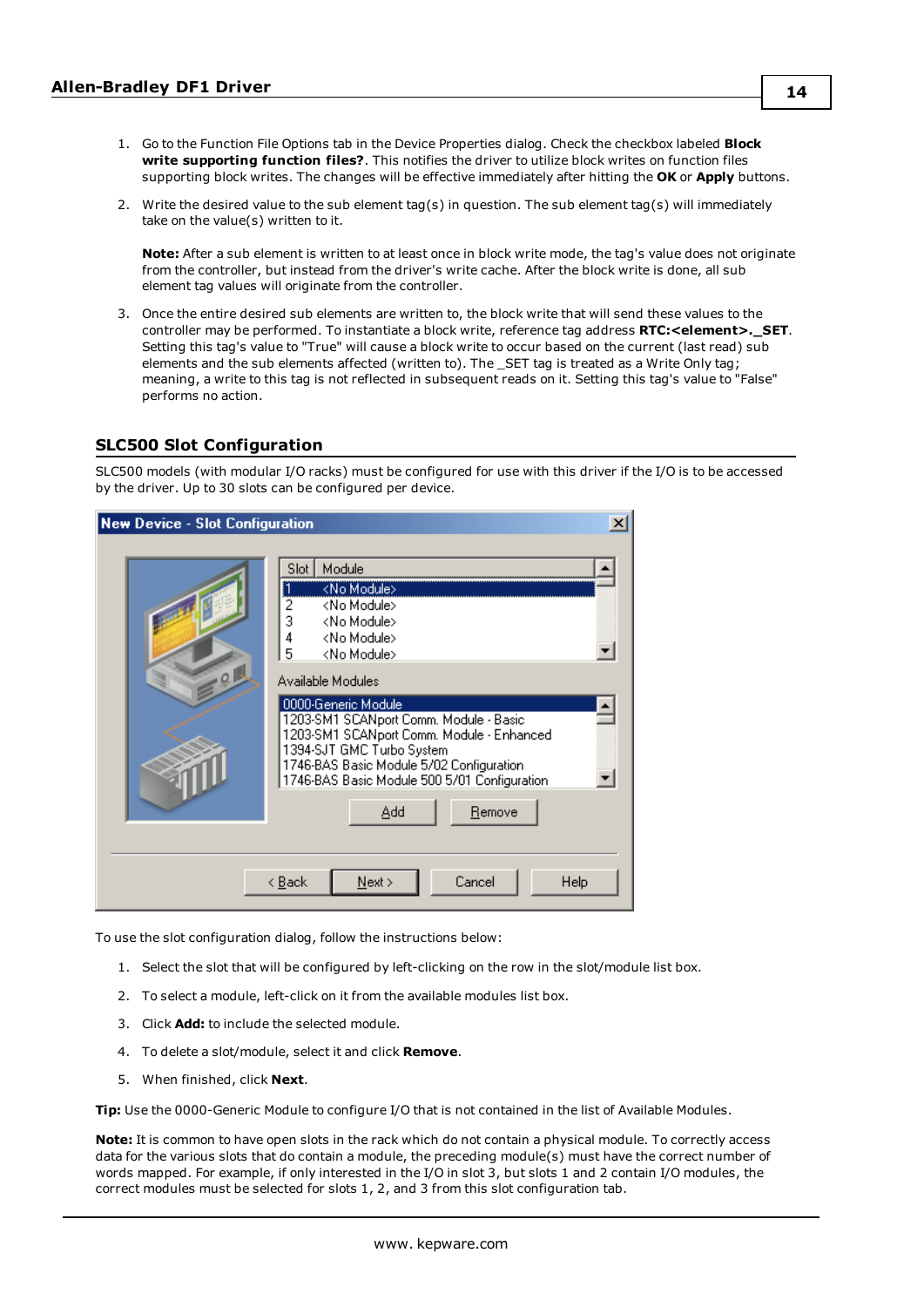- 1. Go to the Function File Options tab in the Device Properties dialog. Check the checkbox labeled **Block write supporting function files?**. This notifies the driver to utilize block writes on function files supporting block writes. The changes will be effective immediately after hitting the **OK** or **Apply** buttons.
- 2. Write the desired value to the sub element tag(s) in question. The sub element tag(s) will immediately take on the value(s) written to it.

**Note:** After a sub element is written to at least once in block write mode, the tag's value does not originate from the controller, but instead from the driver's write cache. After the block write is done, all sub element tag values will originate from the controller.

3. Once the entire desired sub elements are written to, the block write that will send these values to the controller may be performed. To instantiate a block write, reference tag address **RTC:<element>.\_SET**. Setting this tag's value to "True" will cause a block write to occur based on the current (last read) sub elements and the sub elements affected (written to). The \_SET tag is treated as a Write Only tag; meaning, a write to this tag is not reflected in subsequent reads on it. Setting this tag's value to "False" performs no action.

#### <span id="page-13-0"></span>**SLC500 Slot Configuration**

SLC500 models (with modular I/O racks) must be configured for use with this driver if the I/O is to be accessed by the driver. Up to 30 slots can be configured per device.

| <b>New Device - Slot Configuration</b> |                                                                                                                                                                                                                                                                           | $\boldsymbol{\mathsf{x}}$ |
|----------------------------------------|---------------------------------------------------------------------------------------------------------------------------------------------------------------------------------------------------------------------------------------------------------------------------|---------------------------|
| Q                                      | Module<br>Slot<br><no module=""><br/>2<br/><no module=""><br/>3<br/><no module=""><br/>4<br/><no module=""><br/>5<br/><no module=""></no></no></no></no></no>                                                                                                             |                           |
|                                        | Available Modules<br>0000-Generic Module<br>1203-SM1 SCANport Comm. Module - Basic<br>1203-SM1 SCANport Comm. Module - Enhanced<br>1394-SJT GMC Turbo System<br>1746-BAS Basic Module 5/02 Configuration<br>1746-BAS Basic Module 500 5/01 Configuration<br>Add<br>Remove |                           |
|                                        | Cancel<br>$N$ ext ><br>Help<br>< <u>B</u> ack                                                                                                                                                                                                                             |                           |

To use the slot configuration dialog, follow the instructions below:

- 1. Select the slot that will be configured by left-clicking on the row in the slot/module list box.
- 2. To select a module, left-click on it from the available modules list box.
- 3. Click **Add:** to include the selected module.
- 4. To delete a slot/module, select it and click **Remove**.
- 5. When finished, click **Next**.

**Tip:** Use the 0000-Generic Module to configure I/O that is not contained in the list of Available Modules.

**Note:** It is common to have open slots in the rack which do not contain a physical module. To correctly access data for the various slots that do contain a module, the preceding module(s) must have the correct number of words mapped. For example, if only interested in the I/O in slot 3, but slots 1 and 2 contain I/O modules, the correct modules must be selected for slots 1, 2, and 3 from this slot configuration tab.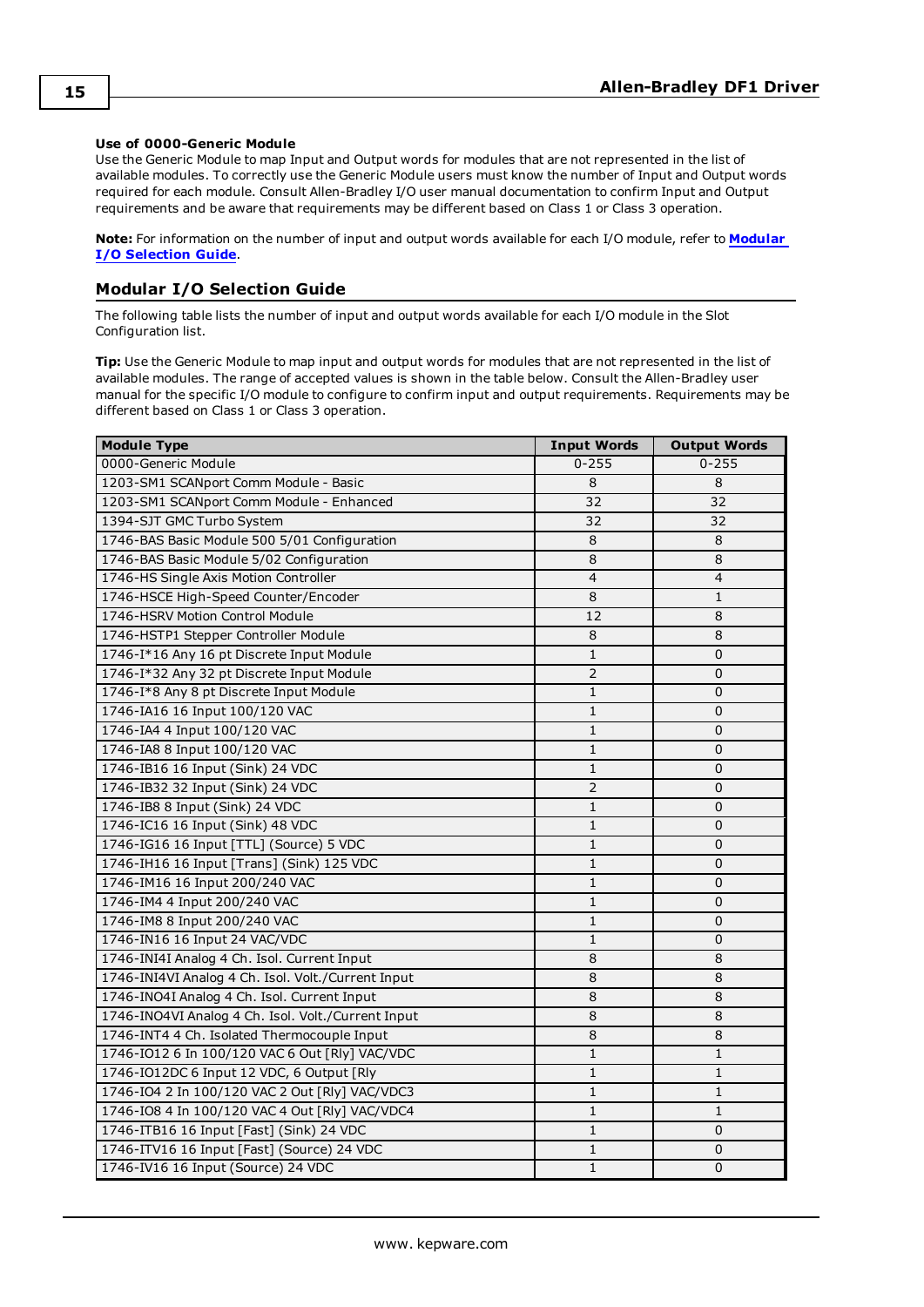#### **Use of 0000-Generic Module**

Use the Generic Module to map Input and Output words for modules that are not represented in the list of available modules. To correctly use the Generic Module users must know the number of Input and Output words required for each module. Consult Allen-Bradley I/O user manual documentation to confirm Input and Output requirements and be aware that requirements may be different based on Class 1 or Class 3 operation.

**Note:** For information on the number of input and output words available for each I/O module, refer to **[Modular](#page-14-0) I/O [Selection](#page-14-0) Guide**.

#### <span id="page-14-0"></span>**Modular I/O Selection Guide**

The following table lists the number of input and output words available for each I/O module in the Slot Configuration list.

**Tip:** Use the Generic Module to map input and output words for modules that are not represented in the list of available modules. The range of accepted values is shown in the table below. Consult the Allen-Bradley user manual for the specific I/O module to configure to confirm input and output requirements. Requirements may be different based on Class 1 or Class 3 operation.

| <b>Module Type</b>                                 | <b>Input Words</b> | <b>Output Words</b> |
|----------------------------------------------------|--------------------|---------------------|
| 0000-Generic Module                                | $0 - 255$          | $0 - 255$           |
| 1203-SM1 SCANport Comm Module - Basic              | 8                  | 8                   |
| 1203-SM1 SCANport Comm Module - Enhanced           | 32                 | 32                  |
| 1394-SJT GMC Turbo System                          | 32                 | 32                  |
| 1746-BAS Basic Module 500 5/01 Configuration       | 8                  | 8                   |
| 1746-BAS Basic Module 5/02 Configuration           | 8                  | 8                   |
| 1746-HS Single Axis Motion Controller              | $\overline{4}$     | $\overline{4}$      |
| 1746-HSCE High-Speed Counter/Encoder               | 8                  | $\mathbf{1}$        |
| 1746-HSRV Motion Control Module                    | 12                 | 8                   |
| 1746-HSTP1 Stepper Controller Module               | 8                  | 8                   |
| 1746-I*16 Any 16 pt Discrete Input Module          | $\mathbf{1}$       | $\mathbf 0$         |
| 1746-I*32 Any 32 pt Discrete Input Module          | $\overline{2}$     | $\mathbf 0$         |
| 1746-I*8 Any 8 pt Discrete Input Module            | $1\,$              | $\mathbf 0$         |
| 1746-IA16 16 Input 100/120 VAC                     | $\mathbf{1}$       | $\mathbf 0$         |
| 1746-IA4 4 Input 100/120 VAC                       | $\mathbf{1}$       | $\mathbf 0$         |
| 1746-IA8 8 Input 100/120 VAC                       | $\mathbf{1}$       | $\Omega$            |
| 1746-IB16 16 Input (Sink) 24 VDC                   | $\mathbf{1}$       | $\mathbf 0$         |
| 1746-IB32 32 Input (Sink) 24 VDC                   | $\overline{2}$     | $\mathbf 0$         |
| 1746-IB8 8 Input (Sink) 24 VDC                     | $\mathbf{1}$       | $\Omega$            |
| 1746-IC16 16 Input (Sink) 48 VDC                   | $\mathbf{1}$       | $\mathbf 0$         |
| 1746-IG16 16 Input [TTL] (Source) 5 VDC            | $1\,$              | 0                   |
| 1746-IH16 16 Input [Trans] (Sink) 125 VDC<br>$1\,$ |                    | $\mathbf 0$         |
| 1746-IM16 16 Input 200/240 VAC<br>1                |                    | $\mathbf 0$         |
| 1746-IM4 4 Input 200/240 VAC                       | $1\,$              | $\mathbf 0$         |
| 1746-IM8 8 Input 200/240 VAC                       | $\mathbf{1}$       | $\mathbf 0$         |
| 1746-IN16 16 Input 24 VAC/VDC                      | $\mathbf{1}$       | $\mathbf 0$         |
| 1746-INI4I Analog 4 Ch. Isol. Current Input        | 8                  | 8                   |
| 1746-INI4VI Analog 4 Ch. Isol. Volt./Current Input | $\overline{8}$     | 8                   |
| 1746-INO4I Analog 4 Ch. Isol. Current Input        | 8                  | 8                   |
| 1746-INO4VI Analog 4 Ch. Isol. Volt./Current Input | 8                  | 8                   |
| 1746-INT4 4 Ch. Isolated Thermocouple Input        | 8                  | 8                   |
| 1746-IO12 6 In 100/120 VAC 6 Out [Rly] VAC/VDC     | $\mathbf{1}$       | $\mathbf{1}$        |
| 1746-IO12DC 6 Input 12 VDC, 6 Output [Rly          | $1\,$              | $\mathbf{1}$        |
| 1746-IO4 2 In 100/120 VAC 2 Out [Rly] VAC/VDC3     | $\mathbf{1}$       | $\mathbf{1}$        |
| 1746-IO8 4 In 100/120 VAC 4 Out [Rly] VAC/VDC4     | 1                  | 1                   |
| 1746-ITB16 16 Input [Fast] (Sink) 24 VDC           | 1                  | $\mathbf 0$         |
| 1746-ITV16 16 Input [Fast] (Source) 24 VDC         | $1\,$              | 0                   |
| 1746-IV16 16 Input (Source) 24 VDC                 | $1\,$              | $\mathbf 0$         |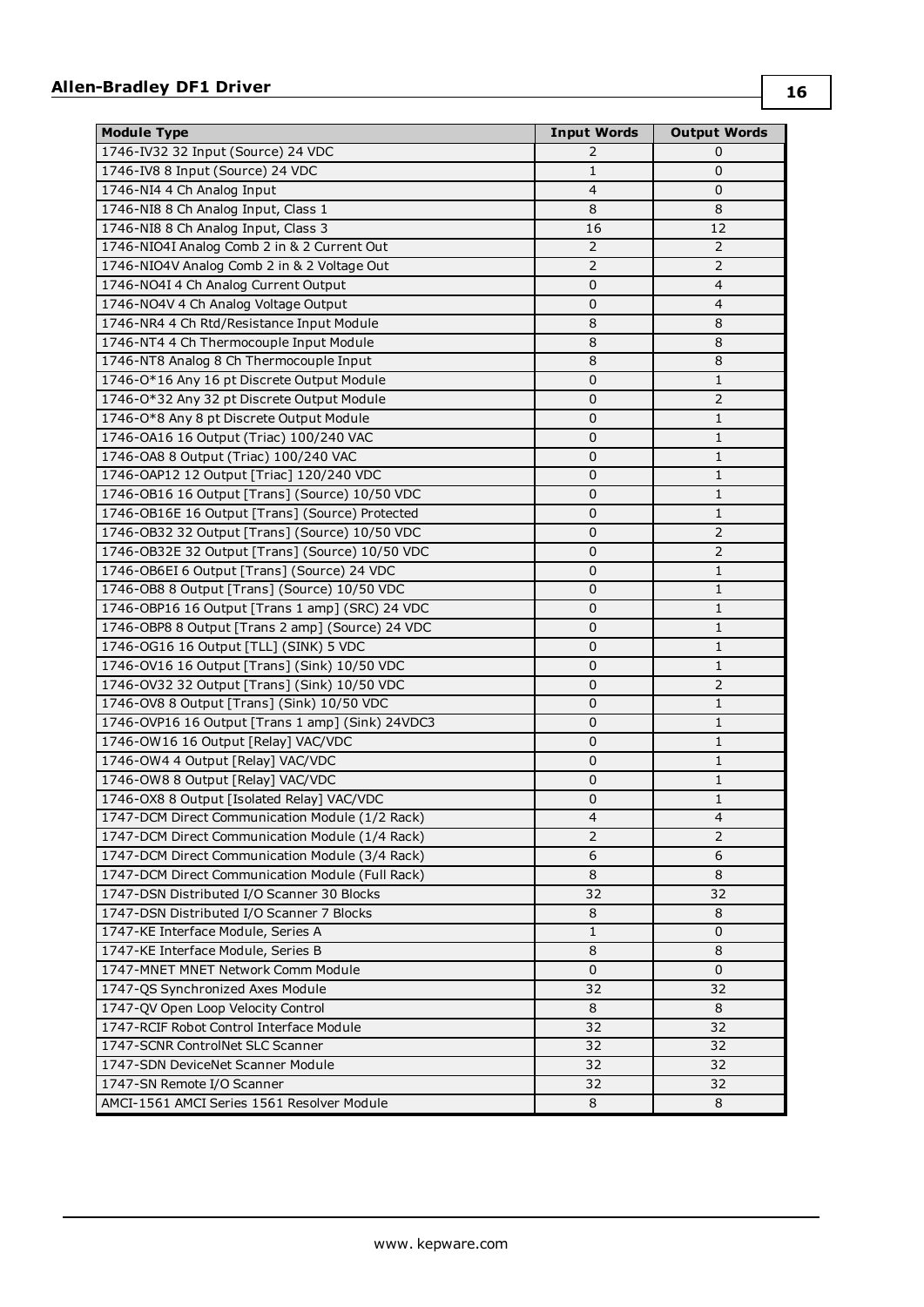| <b>Module Type</b>                               | <b>Input Words</b>       | <b>Output Words</b> |
|--------------------------------------------------|--------------------------|---------------------|
| 1746-IV32 32 Input (Source) 24 VDC               | 2                        | 0                   |
| 1746-IV8 8 Input (Source) 24 VDC                 | 1                        | 0                   |
| 1746-NI4 4 Ch Analog Input                       | $\overline{4}$           | 0                   |
| 1746-NI8 8 Ch Analog Input, Class 1              | 8                        | 8                   |
| 1746-NI8 8 Ch Analog Input, Class 3              | 16                       | 12                  |
| 1746-NIO4I Analog Comb 2 in & 2 Current Out      | $\overline{2}$           | $\overline{2}$      |
| 1746-NIO4V Analog Comb 2 in & 2 Voltage Out      | $\overline{2}$           | $\overline{2}$      |
| 1746-NO4I 4 Ch Analog Current Output             | 0                        | $\overline{4}$      |
| 1746-NO4V 4 Ch Analog Voltage Output             | 0                        | $\overline{4}$      |
| 1746-NR4 4 Ch Rtd/Resistance Input Module        | 8                        | 8                   |
| 1746-NT4 4 Ch Thermocouple Input Module          | 8                        | 8                   |
| 1746-NT8 Analog 8 Ch Thermocouple Input          | 8                        | 8                   |
| 1746-0*16 Any 16 pt Discrete Output Module       | $\pmb{0}$                | $\mathbf{1}$        |
| 1746-0*32 Any 32 pt Discrete Output Module       | $\pmb{0}$                | $\overline{2}$      |
| 1746-O*8 Any 8 pt Discrete Output Module         | 0                        | 1                   |
| 1746-0A16 16 Output (Triac) 100/240 VAC          | 0                        | 1                   |
| 1746-OA8 8 Output (Triac) 100/240 VAC            | 0                        | 1                   |
| 1746-OAP12 12 Output [Triac] 120/240 VDC         | 0                        | 1                   |
| 1746-OB16 16 Output [Trans] (Source) 10/50 VDC   | $\pmb{0}$                | $\mathbf{1}$        |
| 1746-OB16E 16 Output [Trans] (Source) Protected  | 0                        | 1                   |
| 1746-0B32 32 Output [Trans] (Source) 10/50 VDC   | 0                        | $\overline{2}$      |
| 1746-OB32E 32 Output [Trans] (Source) 10/50 VDC  | 0                        | $\overline{2}$      |
| 1746-OB6EI 6 Output [Trans] (Source) 24 VDC      | 0                        | 1                   |
| 1746-OB8 8 Output [Trans] (Source) 10/50 VDC     | 0                        | 1                   |
| 1746-OBP16 16 Output [Trans 1 amp] (SRC) 24 VDC  | $\pmb{0}$                | 1                   |
| 1746-OBP8 8 Output [Trans 2 amp] (Source) 24 VDC | 0                        | 1                   |
| 1746-OG16 16 Output [TLL] (SINK) 5 VDC           | 0                        | 1                   |
| 1746-OV16 16 Output [Trans] (Sink) 10/50 VDC     | 0                        | $\mathbf{1}$        |
| 1746-OV32 32 Output [Trans] (Sink) 10/50 VDC     | 0                        | $\overline{2}$      |
| 1746-OV8 8 Output [Trans] (Sink) 10/50 VDC       | $\pmb{0}$                | $\mathbf{1}$        |
| 1746-OVP16 16 Output [Trans 1 amp] (Sink) 24VDC3 | $\pmb{0}$                | $\mathbf{1}$        |
| 1746-OW16 16 Output [Relay] VAC/VDC              | 0                        | 1                   |
| 1746-OW4 4 Output [Relay] VAC/VDC                | $\pmb{0}$                | $\mathbf{1}$        |
| 1746-OW8 8 Output [Relay] VAC/VDC                | $\pmb{0}$                | $\mathbf{1}$        |
| 1746-OX8 8 Output [Isolated Relay] VAC/VDC       | 0                        | 1                   |
| 1747-DCM Direct Communication Module (1/2 Rack)  | $\overline{\mathcal{L}}$ | 4                   |
| 1747-DCM Direct Communication Module (1/4 Rack)  | $\overline{2}$           | $\overline{2}$      |
| 1747-DCM Direct Communication Module (3/4 Rack)  | 6                        | 6                   |
| 1747-DCM Direct Communication Module (Full Rack) | 8                        | 8                   |
| 1747-DSN Distributed I/O Scanner 30 Blocks       | 32                       | 32                  |
| 1747-DSN Distributed I/O Scanner 7 Blocks        | 8                        | 8                   |
| 1747-KE Interface Module, Series A               | 1                        | 0                   |
| 1747-KE Interface Module, Series B               | 8                        | 8                   |
| 1747-MNET MNET Network Comm Module               | $\mathbf 0$              | 0                   |
| 1747-QS Synchronized Axes Module                 | 32                       | 32                  |
| 1747-QV Open Loop Velocity Control               | 8                        | 8                   |
| 1747-RCIF Robot Control Interface Module         | 32                       | 32                  |
| 1747-SCNR ControlNet SLC Scanner                 | 32                       | 32                  |
| 1747-SDN DeviceNet Scanner Module                | 32                       | 32                  |
| 1747-SN Remote I/O Scanner                       | 32                       | 32                  |
| AMCI-1561 AMCI Series 1561 Resolver Module       | 8                        | 8                   |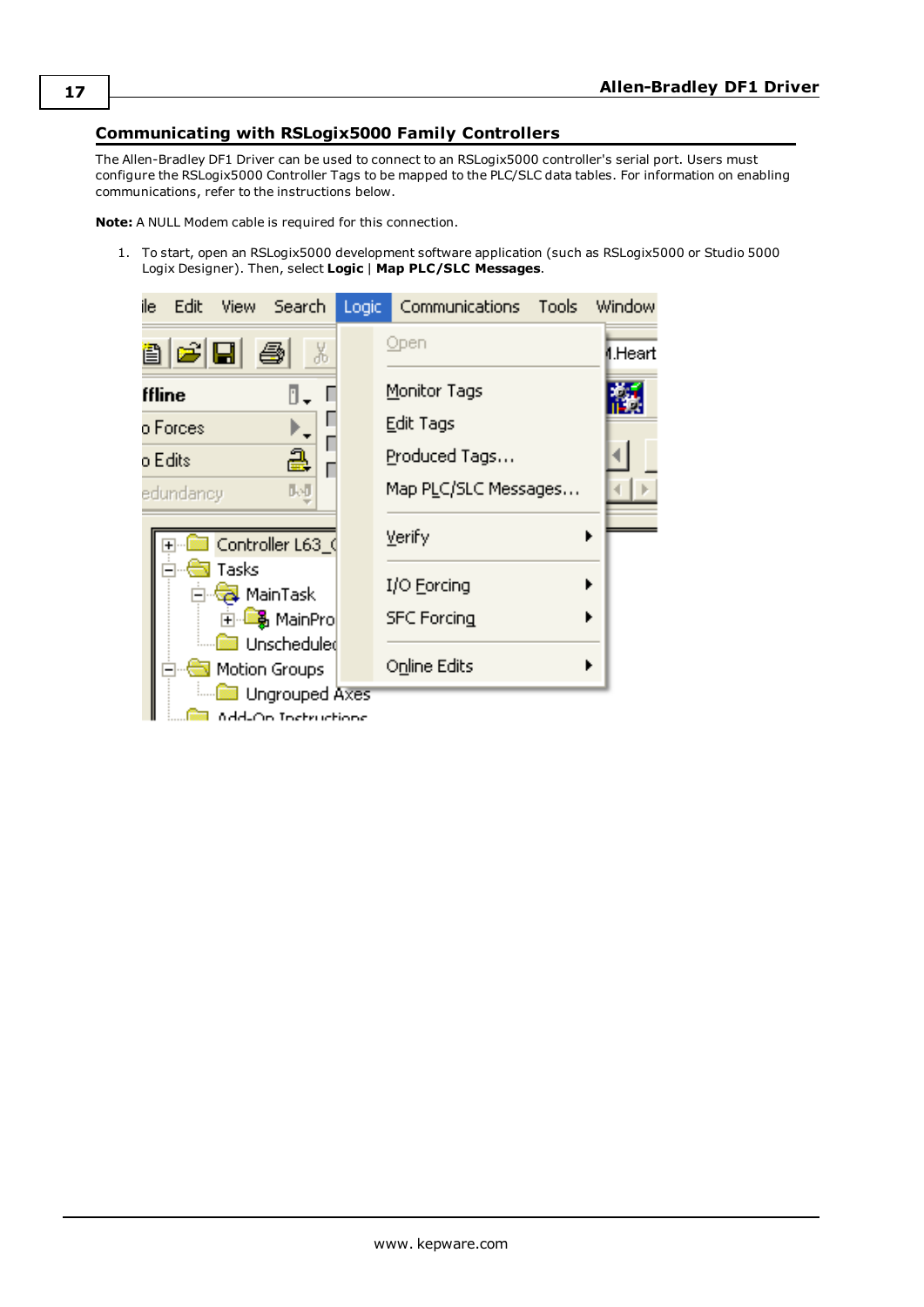#### <span id="page-16-0"></span>**Communicating with RSLogix5000 Family Controllers**

The Allen-Bradley DF1 Driver can be used to connect to an RSLogix5000 controller's serial port. Users must configure the RSLogix5000 Controller Tags to be mapped to the PLC/SLC data tables. For information on enabling communications, refer to the instructions below.

**Note:** A NULL Modem cable is required for this connection.

1. To start, open an RSLogix5000 development software application (such as RSLogix5000 or Studio 5000 Logix Designer). Then, select **Logic** | **Map PLC/SLC Messages**.

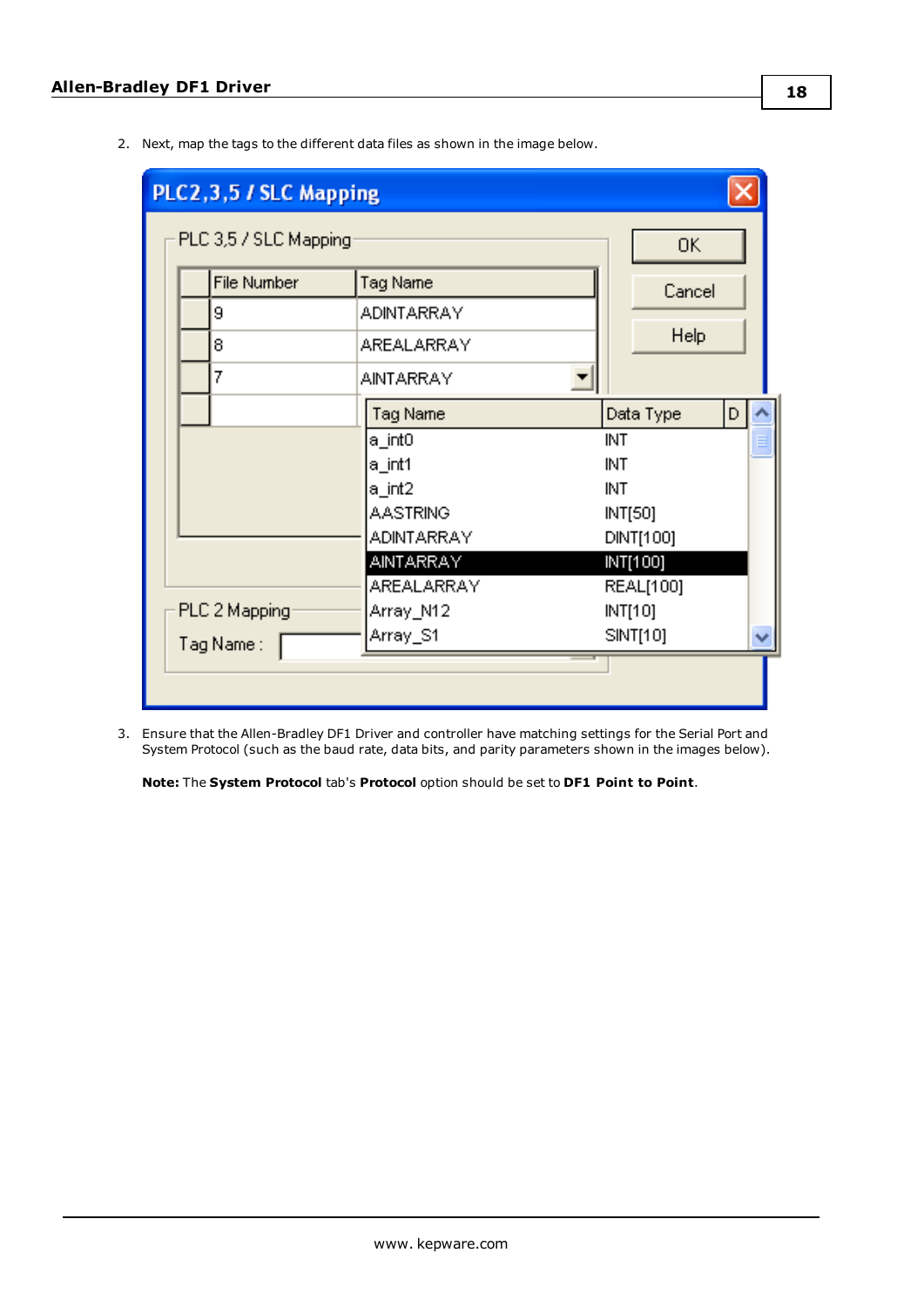2. Next, map the tags to the different data files as shown in the image below.

| PLC2, 3, 5 / SLC Mapping           |                   |                |
|------------------------------------|-------------------|----------------|
| PLC 3,5 / SLC Mapping              |                   | 0K             |
| <b>File Number</b>                 | Tag Name          | Cancel         |
| 9                                  | <b>ADINTARRAY</b> |                |
| 8                                  | AREALARRAY        | Help           |
| 7                                  | AINTARRAY         |                |
|                                    | Tag Name          | Data Type<br>D |
|                                    | a_int0            | INT            |
|                                    | a_int1            | INT            |
|                                    | a_int2            | INT            |
|                                    | AASTRING          | INT[50]        |
|                                    | ADINTARRAY        | DINT[100]      |
|                                    | AINTARRAY         | INT[100]       |
|                                    | AREALARRAY        | REAL[100]      |
| PLC 2 Mapping                      | Array_N12         | INT[10]        |
| Array_S1<br>SINT[10]<br>Tag Name : |                   |                |
|                                    |                   |                |

3. Ensure that the Allen-Bradley DF1 Driver and controller have matching settings for the Serial Port and System Protocol (such as the baud rate, data bits, and parity parameters shown in the images below).

**Note:** The **System Protocol** tab's **Protocol** option should be set to **DF1 Point to Point**.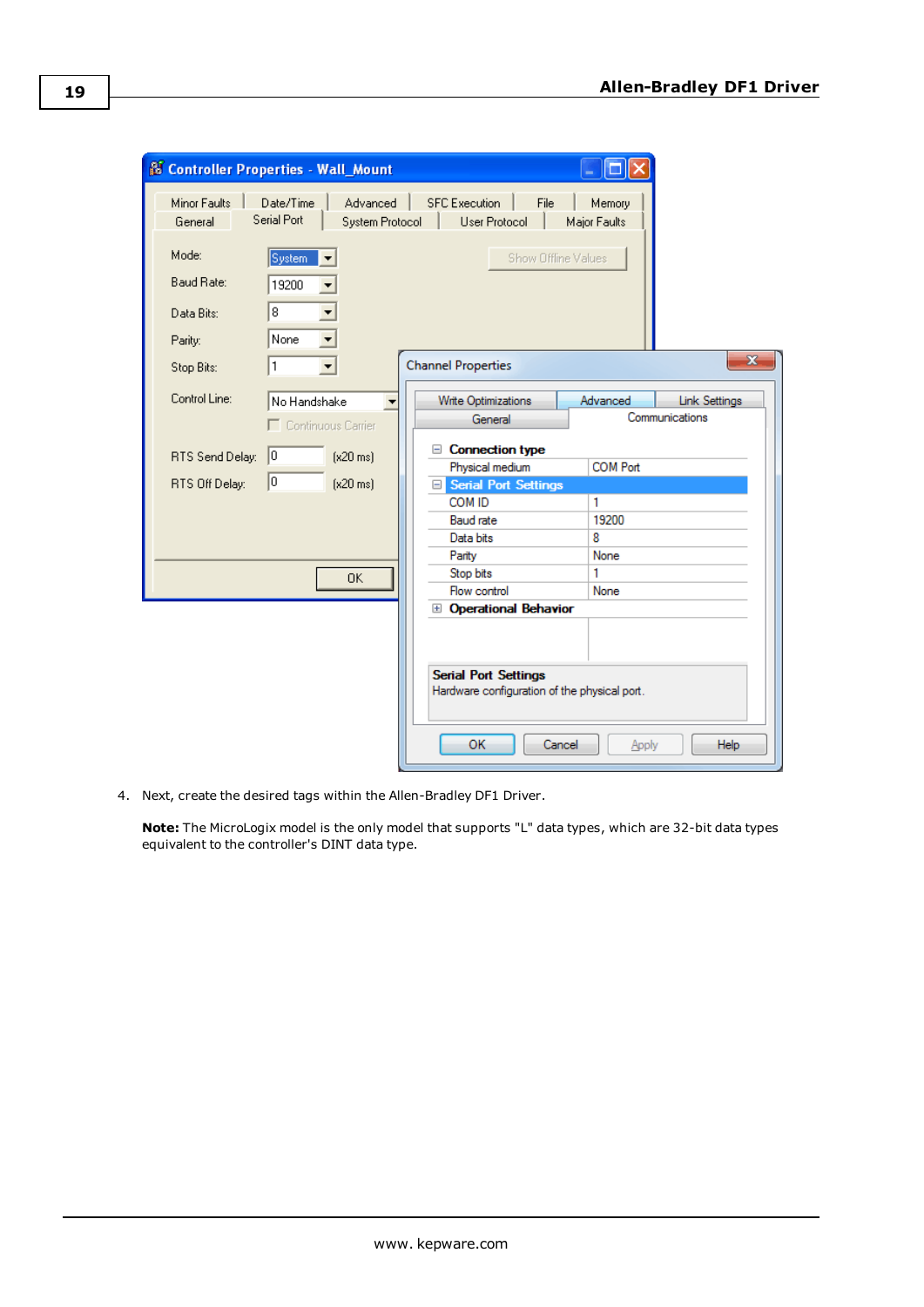|                         | <b>S Controller Properties - Wall_Mount</b>             |                                                                             |        |                        |                         |
|-------------------------|---------------------------------------------------------|-----------------------------------------------------------------------------|--------|------------------------|-------------------------|
| Minor Faults<br>General | Date/Time<br>Advanced<br>Serial Port<br>System Protocol | <b>SFC Execution</b><br><b>User Protocol</b>                                | File   | Memory<br>Major Faults |                         |
| Mode:                   | System                                                  |                                                                             |        | Show Offline Values    |                         |
| Baud Rate:              | 19200                                                   |                                                                             |        |                        |                         |
| Data Bits:              | 8                                                       |                                                                             |        |                        |                         |
| Parity:                 | None                                                    |                                                                             |        |                        |                         |
| Stop Bits:              | 1                                                       | <b>Channel Properties</b>                                                   |        |                        | $\overline{\mathbf{x}}$ |
| Control Line:           | No Handshake                                            | Write Optimizations                                                         |        | Advanced               | <b>Link Settings</b>    |
|                         | Continuous Carrier<br>п                                 | General                                                                     |        |                        | Communications          |
|                         |                                                         | <b>Connection type</b><br>$=$                                               |        |                        |                         |
| RTS Send Delay:         | $\vert 0 \vert$<br>$(x20 \text{ ms})$                   | Physical medium                                                             |        | <b>COM Port</b>        |                         |
| RTS Off Delay:          | lo.<br>$[x20 \text{ ms}]$                               | Serial Port Settings                                                        |        |                        |                         |
|                         |                                                         | COM ID                                                                      |        | 1                      |                         |
|                         |                                                         | <b>Baud</b> rate                                                            |        | 19200                  |                         |
|                         |                                                         | Data bits                                                                   |        | 8                      |                         |
|                         |                                                         | Parity                                                                      |        | None                   |                         |
|                         | OK.                                                     | Stop bits                                                                   |        | 1                      |                         |
|                         |                                                         | Flow control                                                                |        | None                   |                         |
|                         |                                                         | <b>El Operational Behavior</b>                                              |        |                        |                         |
|                         |                                                         |                                                                             |        |                        |                         |
|                         |                                                         |                                                                             |        |                        |                         |
|                         |                                                         | <b>Serial Port Settings</b><br>Hardware configuration of the physical port. |        |                        |                         |
|                         |                                                         | OK                                                                          | Cancel | Apply                  | Help                    |

4. Next, create the desired tags within the Allen-Bradley DF1 Driver.

**Note:** The MicroLogix model is the only model that supports "L" data types, which are 32-bit data types equivalent to the controller's DINT data type.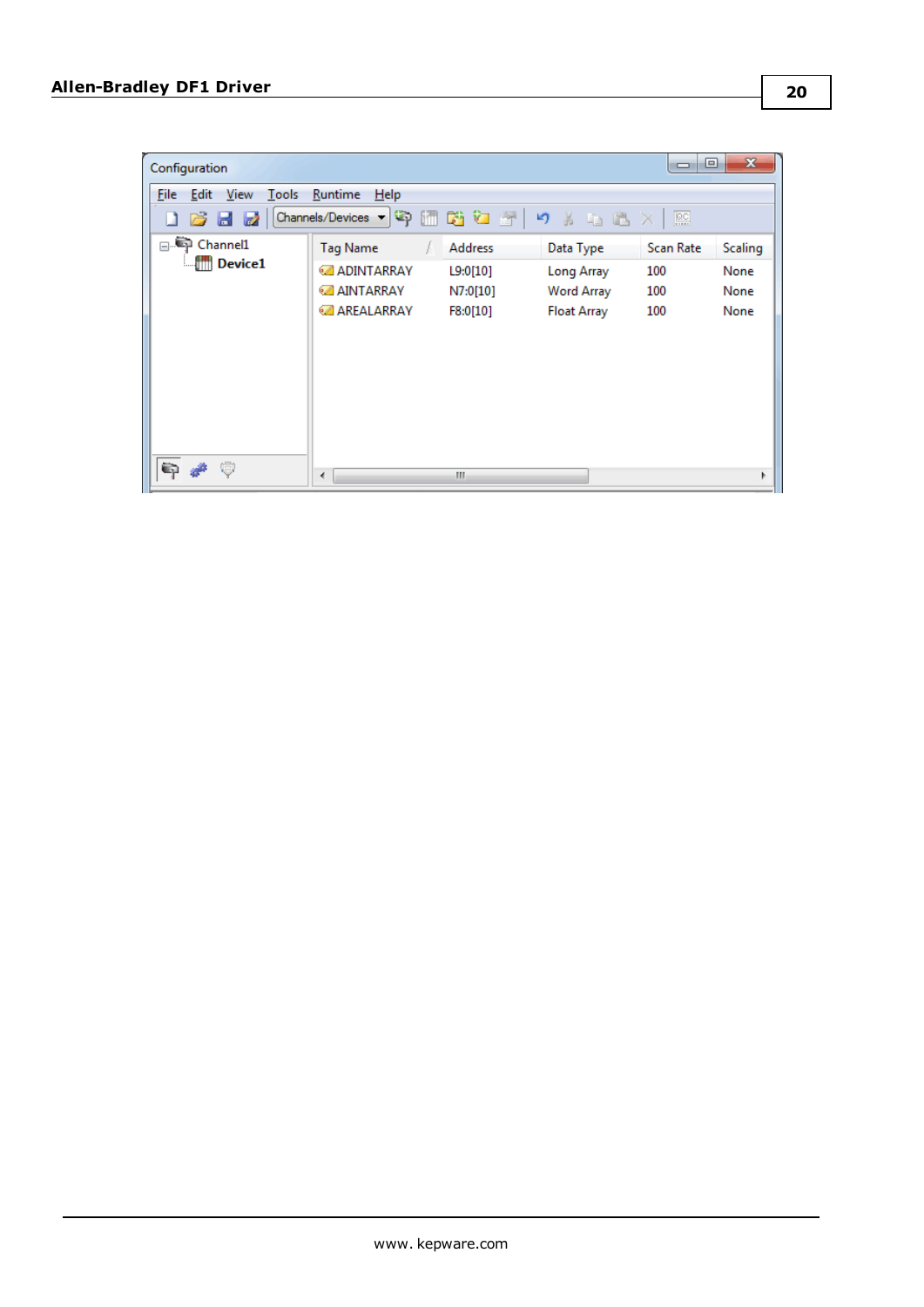| Configuration                                          |                                                                        |                                                    |                                                                    | ▣<br>$\Box$                    | $\mathbf{x}$                           |
|--------------------------------------------------------|------------------------------------------------------------------------|----------------------------------------------------|--------------------------------------------------------------------|--------------------------------|----------------------------------------|
| File Edit View<br>Tools<br>$\overline{a}$<br>Ы<br>- 22 | Runtime<br>Help<br>【Channels/Devices ▼ 〜 〜 個面 砲 砲 合 ト り ん も 過 ※   照    |                                                    |                                                                    |                                |                                        |
| □ Channel1<br><b>Device1</b>                           | Tag Name<br><b>ADINTARRAY</b><br><b>AINTARRAY</b><br><b>AREALARRAY</b> | <b>Address</b><br>L9:0[10]<br>N7:0[10]<br>F8:0[10] | Data Type<br><b>Long Array</b><br>Word Array<br><b>Float Array</b> | Scan Rate<br>100<br>100<br>100 | <b>Scaling</b><br>None<br>None<br>None |
| C)<br>高                                                | ∢                                                                      | m                                                  |                                                                    |                                |                                        |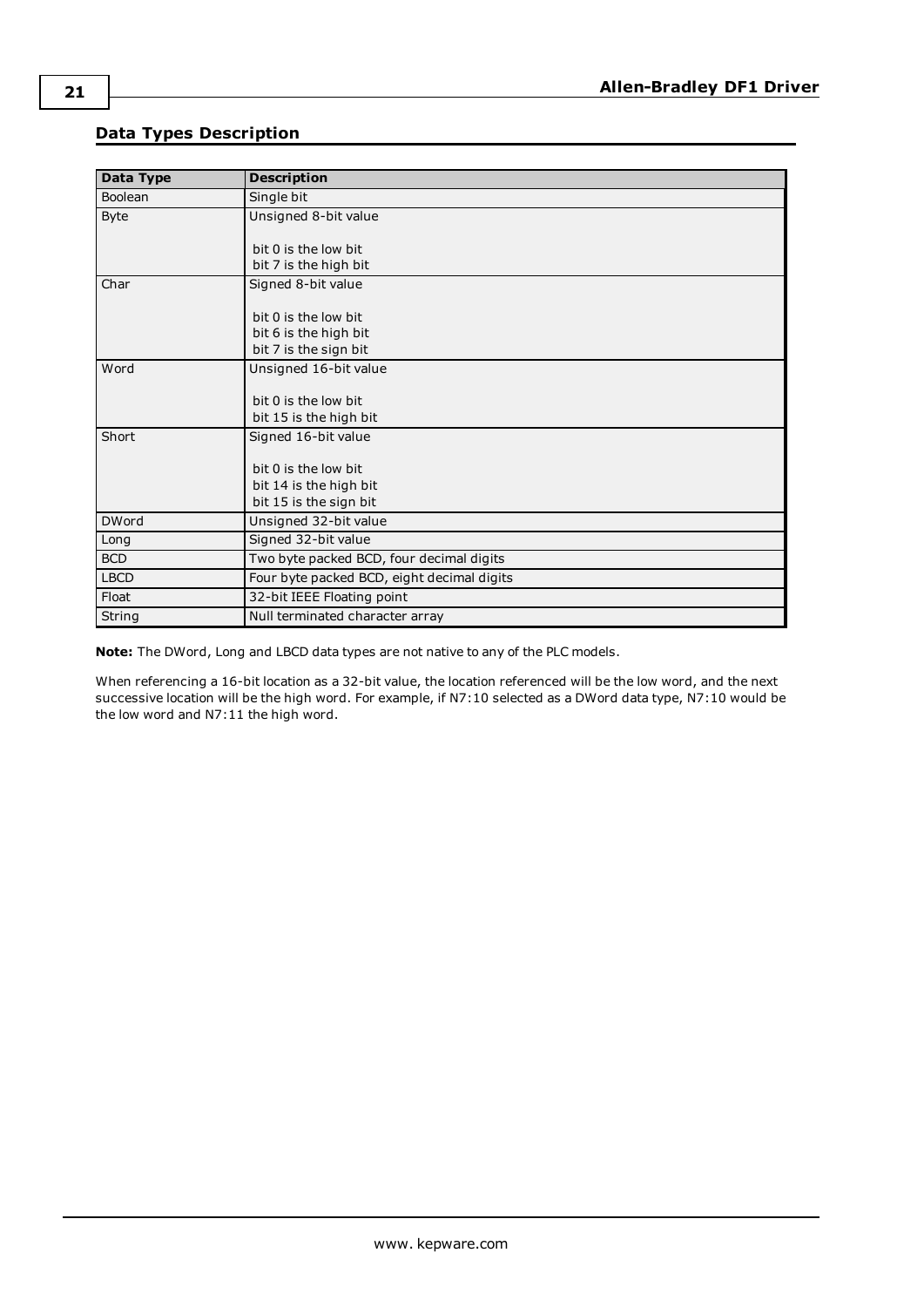### <span id="page-20-0"></span>**Data Types Description**

<span id="page-20-11"></span><span id="page-20-4"></span><span id="page-20-3"></span><span id="page-20-2"></span>

| Data Type    | <b>Description</b>                         |
|--------------|--------------------------------------------|
| Boolean      | Single bit                                 |
| <b>Byte</b>  | Unsigned 8-bit value                       |
|              |                                            |
|              | bit 0 is the low bit                       |
|              | bit 7 is the high bit                      |
| Char         | Signed 8-bit value                         |
|              |                                            |
|              | bit 0 is the low bit                       |
|              | bit 6 is the high bit                      |
|              | bit 7 is the sign bit                      |
| Word         | Unsigned 16-bit value                      |
|              |                                            |
|              | bit 0 is the low bit                       |
|              | bit 15 is the high bit                     |
| Short        | Signed 16-bit value                        |
|              |                                            |
|              | bit 0 is the low bit                       |
|              | bit 14 is the high bit                     |
|              | bit 15 is the sign bit                     |
| <b>DWord</b> | Unsigned 32-bit value                      |
| Long         | Signed 32-bit value                        |
| <b>BCD</b>   | Two byte packed BCD, four decimal digits   |
| <b>LBCD</b>  | Four byte packed BCD, eight decimal digits |
| Float        | 32-bit IEEE Floating point                 |
| String       | Null terminated character array            |

<span id="page-20-10"></span><span id="page-20-9"></span><span id="page-20-8"></span><span id="page-20-7"></span><span id="page-20-6"></span><span id="page-20-5"></span><span id="page-20-1"></span>**Note:** The DWord, Long and LBCD data types are not native to any of the PLC models.

When referencing a 16-bit location as a 32-bit value, the location referenced will be the low word, and the next successive location will be the high word. For example, if N7:10 selected as a DWord data type, N7:10 would be the low word and N7:11 the high word.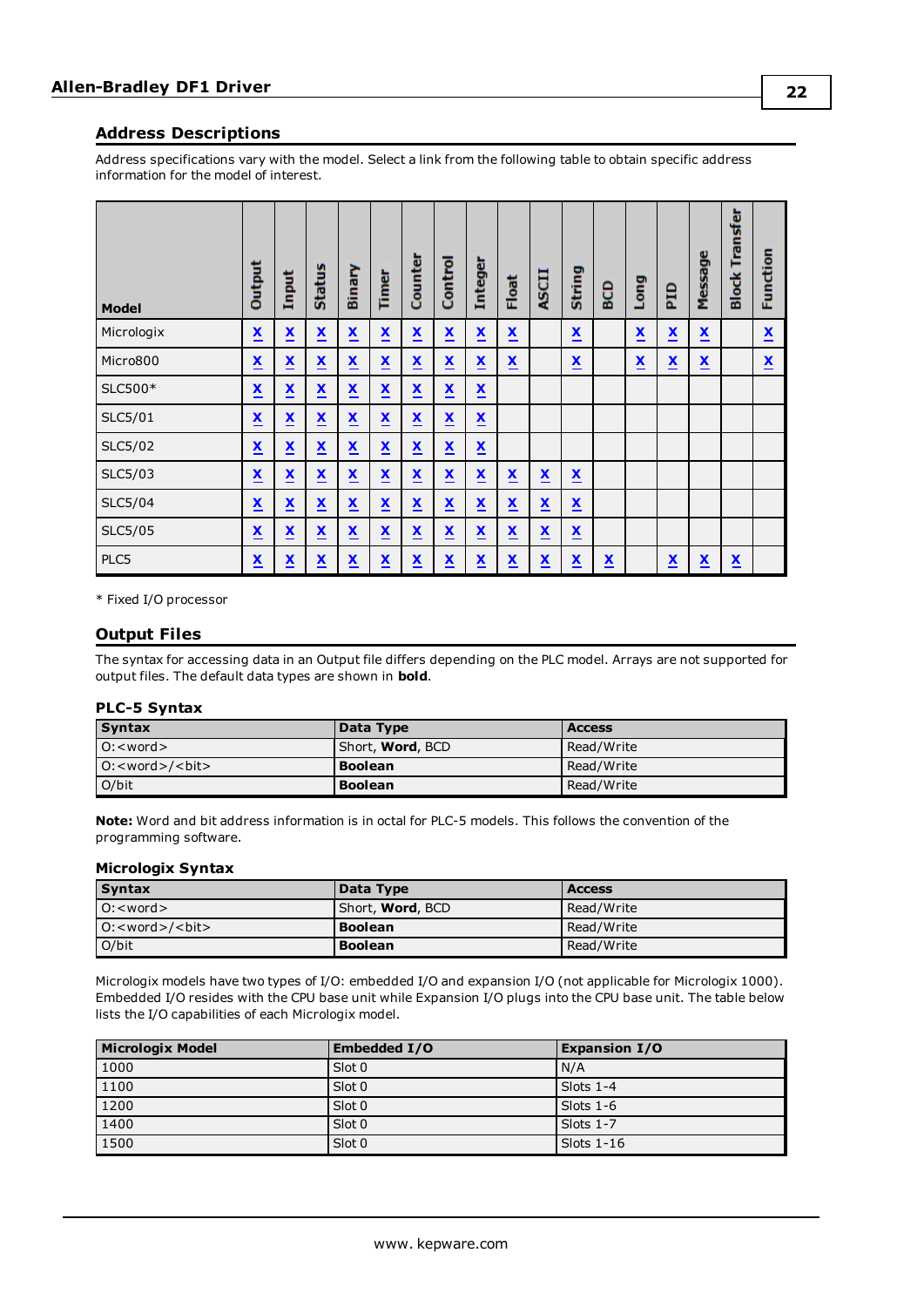#### <span id="page-21-0"></span>**Address Descriptions**

Address specifications vary with the model. Select a link from the following table to obtain specific address information for the model of interest.

| <b>Model</b> | Output                   | Input                    | <b>Status</b>            | Binary                   | Time                     | Counter                  | Control                  | Integer                  | Float                    | <b>ASCII</b>             | String                   | <b>GD</b>                | Long                     | era                      | Message                  | Transfer<br><b>Block</b> | Function                 |
|--------------|--------------------------|--------------------------|--------------------------|--------------------------|--------------------------|--------------------------|--------------------------|--------------------------|--------------------------|--------------------------|--------------------------|--------------------------|--------------------------|--------------------------|--------------------------|--------------------------|--------------------------|
| Micrologix   | $\underline{\mathbf{x}}$ | $\underline{\mathbf{x}}$ | $\underline{\mathbf{x}}$ | $\underline{\mathbf{x}}$ | $\underline{\mathbf{x}}$ | $\underline{\mathbf{x}}$ | $\underline{\mathbf{x}}$ | $\underline{\mathbf{x}}$ | $\underline{\mathbf{x}}$ |                          | $\underline{\mathbf{x}}$ |                          | $\underline{\mathbf{x}}$ | $\underline{\mathbf{x}}$ | $\underline{\mathbf{x}}$ |                          | $\underline{\mathbf{x}}$ |
| Micro800     | $\underline{\mathbf{x}}$ | $\underline{\mathbf{x}}$ | $\underline{\mathbf{x}}$ | $\underline{\mathbf{x}}$ | X<br>-                   | $\underline{\mathbf{x}}$ | $\underline{\mathbf{x}}$ | $\underline{\mathbf{x}}$ | $\underline{\mathbf{x}}$ |                          | $\underline{\mathbf{x}}$ |                          | $\underline{\mathbf{x}}$ | $\underline{\mathbf{x}}$ | $\underline{\mathbf{x}}$ |                          | $\underline{\mathbf{x}}$ |
| SLC500*      | $\underline{\mathbf{x}}$ | $\underline{\mathbf{x}}$ | $\underline{\mathbf{x}}$ | $\underline{\mathbf{x}}$ | X                        | $\underline{\mathbf{x}}$ | $\underline{\mathbf{x}}$ | $\underline{\mathbf{x}}$ |                          |                          |                          |                          |                          |                          |                          |                          |                          |
| SLC5/01      | $\underline{\mathbf{x}}$ | $\underline{\mathbf{x}}$ | $\underline{\mathbf{x}}$ | $\underline{\mathbf{x}}$ | $\underline{\mathbf{x}}$ | $\underline{\mathbf{x}}$ | $\underline{\mathbf{x}}$ | $\underline{\mathbf{x}}$ |                          |                          |                          |                          |                          |                          |                          |                          |                          |
| SLC5/02      | $\underline{\mathbf{x}}$ | $\underline{\mathbf{x}}$ | $\underline{\mathbf{x}}$ | $\underline{\mathbf{x}}$ | $\underline{\mathbf{x}}$ | $\underline{\mathbf{x}}$ | $\underline{\mathbf{x}}$ | $\underline{\mathbf{x}}$ |                          |                          |                          |                          |                          |                          |                          |                          |                          |
| SLC5/03      | $\underline{\mathbf{x}}$ | $\underline{\mathbf{x}}$ | X<br><u>.</u>            | $\underline{\mathbf{x}}$ | X<br>-                   | $\underline{\mathbf{x}}$ | $\underline{\mathbf{x}}$ | $\underline{\mathbf{x}}$ | $\underline{\mathbf{x}}$ | $\underline{\mathbf{x}}$ | $\underline{\mathbf{x}}$ |                          |                          |                          |                          |                          |                          |
| SLC5/04      | $\underline{\mathbf{x}}$ | $\underline{\mathbf{x}}$ | $\underline{\mathbf{x}}$ | $\underline{\mathbf{x}}$ | $\underline{\mathbf{x}}$ | $\underline{\mathbf{x}}$ | $\underline{\mathbf{x}}$ | $\underline{\mathbf{x}}$ | $\underline{\mathbf{x}}$ | $\underline{\mathbf{x}}$ | $\underline{\mathbf{x}}$ |                          |                          |                          |                          |                          |                          |
| SLC5/05      | $\underline{\mathbf{x}}$ | $\underline{\mathbf{x}}$ | $\underline{\mathbf{x}}$ | $\underline{\mathbf{x}}$ | $\underline{\mathbf{x}}$ | $\underline{\mathbf{x}}$ | $\underline{\mathbf{x}}$ | $\underline{\mathbf{x}}$ | $\underline{\mathbf{x}}$ | $\underline{\mathbf{x}}$ | $\underline{\mathbf{x}}$ |                          |                          |                          |                          |                          |                          |
| PLC5         | $\underline{\mathbf{x}}$ | $\underline{\mathbf{x}}$ | $\underline{\mathbf{x}}$ | $\underline{\mathbf{x}}$ | $\underline{\mathbf{x}}$ | $\underline{\mathbf{x}}$ | $\underline{\mathbf{x}}$ | $\underline{\mathbf{x}}$ | $\underline{\mathbf{x}}$ | $\underline{\mathbf{x}}$ | $\underline{\mathbf{x}}$ | $\underline{\mathbf{x}}$ |                          | $\underline{\mathbf{x}}$ | $\underline{\mathbf{x}}$ | $\underline{\mathbf{x}}$ |                          |

<span id="page-21-1"></span>\* Fixed I/O processor

#### **Output Files**

The syntax for accessing data in an Output file differs depending on the PLC model. Arrays are not supported for output files. The default data types are shown in **bold**.

#### **PLC-5 Syntax**

| <b>Syntax</b>            | Data Type                | <b>Access</b> |
|--------------------------|--------------------------|---------------|
| $O: <$ word $>$          | Short, <b>Word</b> , BCD | Read/Write    |
| $ O:$ < word > / < bit > | <b>Boolean</b>           | Read/Write    |
| O/bit                    | <b>Boolean</b>           | Read/Write    |

**Note:** Word and bit address information is in octal for PLC-5 models. This follows the convention of the programming software.

#### **Micrologix Syntax**

| <b>Syntax</b>            | Data Type                | <b>Access</b> |
|--------------------------|--------------------------|---------------|
| $O: <$ word $>$          | Short, <b>Word</b> , BCD | Read/Write    |
| $ O:$ < word > / < bit > | <b>Boolean</b>           | Read/Write    |
| O/bit                    | <b>Boolean</b>           | Read/Write    |

Micrologix models have two types of I/O: embedded I/O and expansion I/O (not applicable for Micrologix 1000). Embedded I/O resides with the CPU base unit while Expansion I/O plugs into the CPU base unit. The table below lists the I/O capabilities of each Micrologix model.

| <b>Micrologix Model</b> | <b>Embedded I/O</b> | <b>Expansion I/O</b> |
|-------------------------|---------------------|----------------------|
| 1000                    | Slot 0              | N/A                  |
| 1100                    | Slot 0              | Slots $1-4$          |
| 1200                    | Slot 0              | Slots $1-6$          |
| 1400                    | Slot 0              | Slots $1-7$          |
| 1500                    | Slot 0              | Slots $1-16$         |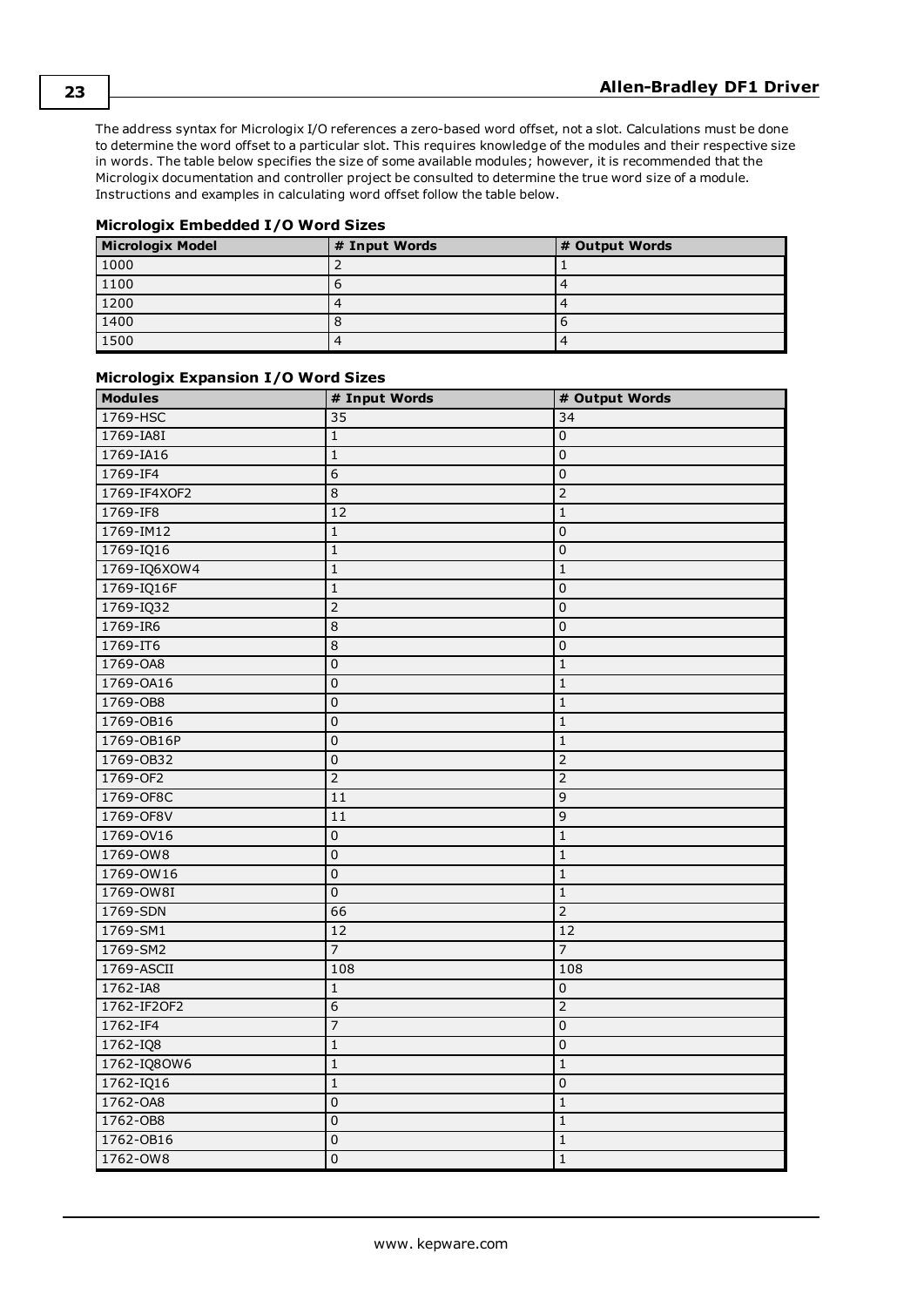The address syntax for Micrologix I/O references a zero-based word offset, not a slot. Calculations must be done to determine the word offset to a particular slot. This requires knowledge of the modules and their respective size in words. The table below specifies the size of some available modules; however, it is recommended that the Micrologix documentation and controller project be consulted to determine the true word size of a module. Instructions and examples in calculating word offset follow the table below.

| Micrologix Embedded I/O Word Sizes |  |
|------------------------------------|--|
|------------------------------------|--|

| <b>Micrologix Model</b> | # Input Words | # Output Words |
|-------------------------|---------------|----------------|
| 1000                    |               |                |
| 1100                    |               |                |
| 1200                    |               |                |
| $\boxed{1400}$          |               | о              |
| 1500                    |               |                |

| <b>Modules</b> | # Input Words   | # Output Words  |
|----------------|-----------------|-----------------|
| 1769-HSC       | 35              | $\overline{34}$ |
| 1769-IA8I      | $\mathbf{1}$    | $\overline{0}$  |
| 1769-IA16      | $\mathbf{1}$    | 0               |
| 1769-IF4       | $\overline{6}$  | 0               |
| 1769-IF4XOF2   | $\overline{8}$  | $\overline{2}$  |
| 1769-IF8       | 12              | $\mathbf{1}$    |
| 1769-IM12      | $\overline{1}$  | $\overline{0}$  |
| 1769-IQ16      | $\mathbf{1}$    | 0               |
| 1769-IQ6XOW4   | $\mathbf{1}$    | $\mathbf{1}$    |
| 1769-IQ16F     | $\overline{1}$  | 0               |
| 1769-IQ32      | $\overline{2}$  | $\overline{0}$  |
| 1769-IR6       | $\overline{8}$  | $\overline{0}$  |
| 1769-IT6       | $\overline{8}$  | $\overline{0}$  |
| 1769-0A8       | $\overline{0}$  | $\mathbf 1$     |
| 1769-0A16      | $\overline{0}$  | $\mathbf 1$     |
| 1769-0B8       | $\overline{0}$  | $1\,$           |
| 1769-0B16      | $\overline{0}$  | $1\,$           |
| 1769-OB16P     | $\overline{0}$  | $\mathbf 1$     |
| 1769-0B32      | $\overline{0}$  | $\overline{2}$  |
| 1769-OF2       | $\overline{2}$  | $\overline{2}$  |
| 1769-OF8C      | $\overline{11}$ | $\overline{9}$  |
| 1769-OF8V      | $\overline{11}$ | 9               |
| 1769-0V16      | $\overline{0}$  | $\mathbf{1}$    |
| 1769-OW8       | $\overline{0}$  | $\overline{1}$  |
| 1769-OW16      | $\overline{0}$  | $\mathbf 1$     |
| 1769-OW8I      | $\overline{0}$  | $\overline{1}$  |
| 1769-SDN       | 66              | $\overline{2}$  |
| 1769-SM1       | $\overline{12}$ | $\overline{12}$ |
| 1769-SM2       | $\overline{7}$  | $\overline{7}$  |
| 1769-ASCII     | 108             | 108             |
| 1762-IA8       | $1\,$           | $\pmb{0}$       |
| 1762-IF20F2    | $\overline{6}$  | $\overline{2}$  |
| 1762-IF4       | $\overline{7}$  | 0               |
| $1762 - IQ8$   | $\mathbf{1}$    | $\overline{0}$  |
| 1762-IQ80W6    | $\mathbf{1}$    | $\mathbf 1$     |
| 1762-IQ16      | $\mathbf{1}$    | $\overline{0}$  |
| 1762-OA8       | $\overline{0}$  | $\mathbf 1$     |
| 1762-OB8       | $\overline{0}$  | $\mathbf 1$     |
| 1762-0B16      | $\overline{0}$  | $\mathbf 1$     |
| 1762-OW8       | $\overline{0}$  | $\overline{1}$  |

#### **Micrologix Expansion I/O Word Sizes**

**23**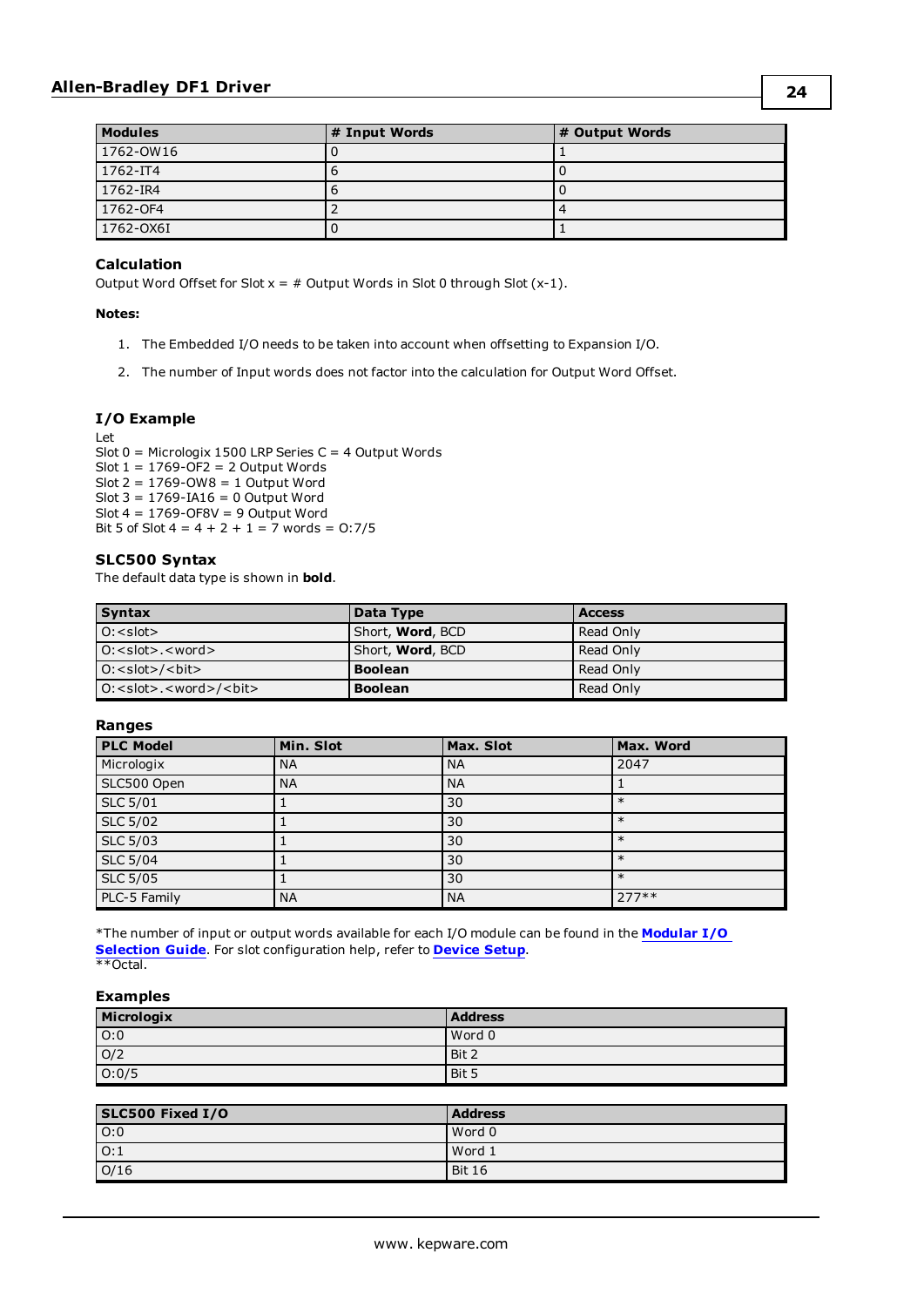| <b>Modules</b> | # Input Words | # Output Words |
|----------------|---------------|----------------|
| 1762-OW16      |               |                |
| 1762-IT4       |               |                |
| 1762-IR4       |               |                |
| 1762-OF4       |               |                |
| 1762-OX6I      |               |                |

#### **Calculation**

Output Word Offset for Slot  $x = #$  Output Words in Slot 0 through Slot  $(x-1)$ .

#### **Notes:**

- 1. The Embedded I/O needs to be taken into account when offsetting to Expansion I/O.
- 2. The number of Input words does not factor into the calculation for Output Word Offset.

#### **I/O Example**

Let

Slot 0 = Micrologix 1500 LRP Series C = 4 Output Words Slot  $1 = 1769 - \overline{OF2} = 2$  Output Words Slot  $2 = 1769$ -OW $8 = 1$  Output Word Slot  $3 = 1769 - I A16 = 0$  Output Word Slot  $4 = 1769 - OF8V = 9$  Output Word Bit 5 of Slot  $4 = 4 + 2 + 1 = 7$  words = 0:7/5

#### **SLC500 Syntax**

The default data type is shown in **bold**.

| <b>Syntax</b>                   | Data Type                | <b>Access</b> |
|---------------------------------|--------------------------|---------------|
| $0: <$ slot $>$                 | Short, <b>Word</b> , BCD | Read Only     |
| $O: <$ slot>. $<$ word>.        | Short, <b>Word</b> , BCD | Read Only     |
| $O:$ < slot > / < bit >         | <b>Boolean</b>           | Read Only     |
| $O:$ < slot>. < word > / < bit> | <b>Boolean</b>           | Read Only     |

#### **Ranges**

| <b>PLC Model</b>        | Min. Slot | Max. Slot | Max. Word |
|-------------------------|-----------|-----------|-----------|
| Micrologix              | <b>NA</b> | <b>NA</b> | 2047      |
| SLC500 Open             | <b>NA</b> | <b>NA</b> |           |
| <b>SLC 5/01</b>         |           | 30        | $\ast$    |
| <b>SLC 5/02</b>         |           | 30        | $\ast$    |
| $SLC$ $\overline{5/03}$ |           | 30        | $\ast$    |
| <b>SLC 5/04</b>         |           | 30        | $\ast$    |
| <b>SLC 5/05</b>         |           | 30        | $\ast$    |
| PLC-5 Family            | <b>NA</b> | <b>NA</b> | $277**$   |

\*The number of input or output words available for each I/O module can be found in the **[Modular](#page-14-0) I/O [Selection](#page-14-0) Guide**. For slot configuration help, refer to **[Device](#page-9-0) Setup**. \*\*Octal.

| Micrologix       | <b>Address</b> |
|------------------|----------------|
| $\overline{O:0}$ | Word 0         |
| O/2              | Bit 2          |
| 0:0/5            | Bit 5          |

| SLC500 Fixed I/O | <b>Address</b> |
|------------------|----------------|
| O:0              | Word 0         |
| $\overline{O:1}$ | Word 1         |
| O/16             | <b>Bit 16</b>  |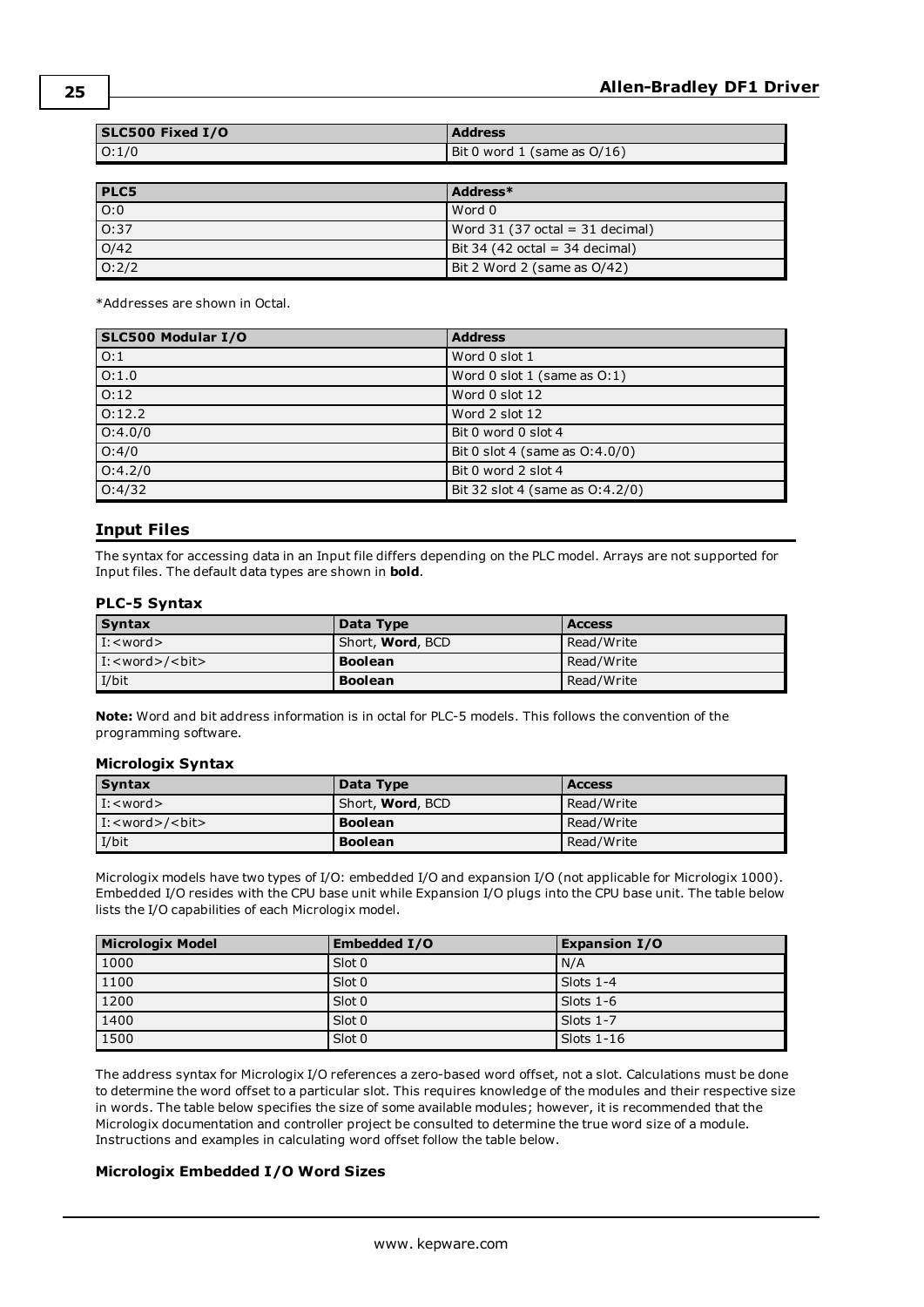| SLC500 Fixed I/O | <b>Address</b>              |
|------------------|-----------------------------|
| O:1/0            | Bit 0 word 1 (same as O/16) |

| <b>PLC5</b>       | Address*                                         |
|-------------------|--------------------------------------------------|
| O:0               | Word 0                                           |
| 0:37              | Word $31(37 \text{ octal} = 31 \text{ decimal})$ |
| $\overline{O/42}$ | $Bit$ 34 (42 octal = 34 decimal)                 |
| 0:2/2             | Bit 2 Word 2 (same as 0/42)                      |

\*Addresses are shown in Octal.

| SLC500 Modular I/O | <b>Address</b>                     |
|--------------------|------------------------------------|
| O:1                | Word 0 slot 1                      |
| 0:1.0              | Word $0$ slot $1$ (same as $0:1$ ) |
| 0:12               | Word 0 slot 12                     |
| 0:12.2             | Word 2 slot 12                     |
| 0:4.0/0            | Bit 0 word 0 slot 4                |
| O:4/0              | Bit 0 slot 4 (same as $O(4.0/0)$ ) |
| 0:4.2/0            | Bit 0 word 2 slot 4                |
| 0:4/32             | Bit 32 slot 4 (same as 0:4.2/0)    |

#### <span id="page-24-0"></span>**Input Files**

The syntax for accessing data in an Input file differs depending on the PLC model. Arrays are not supported for Input files. The default data types are shown in **bold**.

#### **PLC-5 Syntax**

| <b>Syntax</b>                 | Data Type                | <b>Access</b> |
|-------------------------------|--------------------------|---------------|
| $\vert$ I: < word >           | Short, <b>Word</b> , BCD | Read/Write    |
| $\vert$ I: < word > / < bit > | <b>Boolean</b>           | Read/Write    |
| I/bit                         | <b>Boolean</b>           | Read/Write    |

**Note:** Word and bit address information is in octal for PLC-5 models. This follows the convention of the programming software.

#### **Micrologix Syntax**

| <b>Syntax</b>                 | Data Type                | <b>Access</b> |
|-------------------------------|--------------------------|---------------|
| $\vert$ I: $\lt$ word $\gt$   | Short, <b>Word</b> , BCD | Read/Write    |
| $\vert$ I: < word > / < bit > | <b>Boolean</b>           | Read/Write    |
| I/bit                         | <b>Boolean</b>           | Read/Write    |

Micrologix models have two types of I/O: embedded I/O and expansion I/O (not applicable for Micrologix 1000). Embedded I/O resides with the CPU base unit while Expansion I/O plugs into the CPU base unit. The table below lists the I/O capabilities of each Micrologix model.

| Micrologix Model | Embedded I/O | <b>Expansion I/O</b> |
|------------------|--------------|----------------------|
| 1000             | Slot 0       | N/A                  |
| 1100             | Slot 0       | Slots $1-4$          |
| 1200             | Slot 0       | Slots $1-6$          |
| 1400             | Slot 0       | Slots 1-7            |
| 1500             | Slot 0       | Slots $1-16$         |

The address syntax for Micrologix I/O references a zero-based word offset, not a slot. Calculations must be done to determine the word offset to a particular slot. This requires knowledge of the modules and their respective size in words. The table below specifies the size of some available modules; however, it is recommended that the Micrologix documentation and controller project be consulted to determine the true word size of a module. Instructions and examples in calculating word offset follow the table below.

#### **Micrologix Embedded I/O Word Sizes**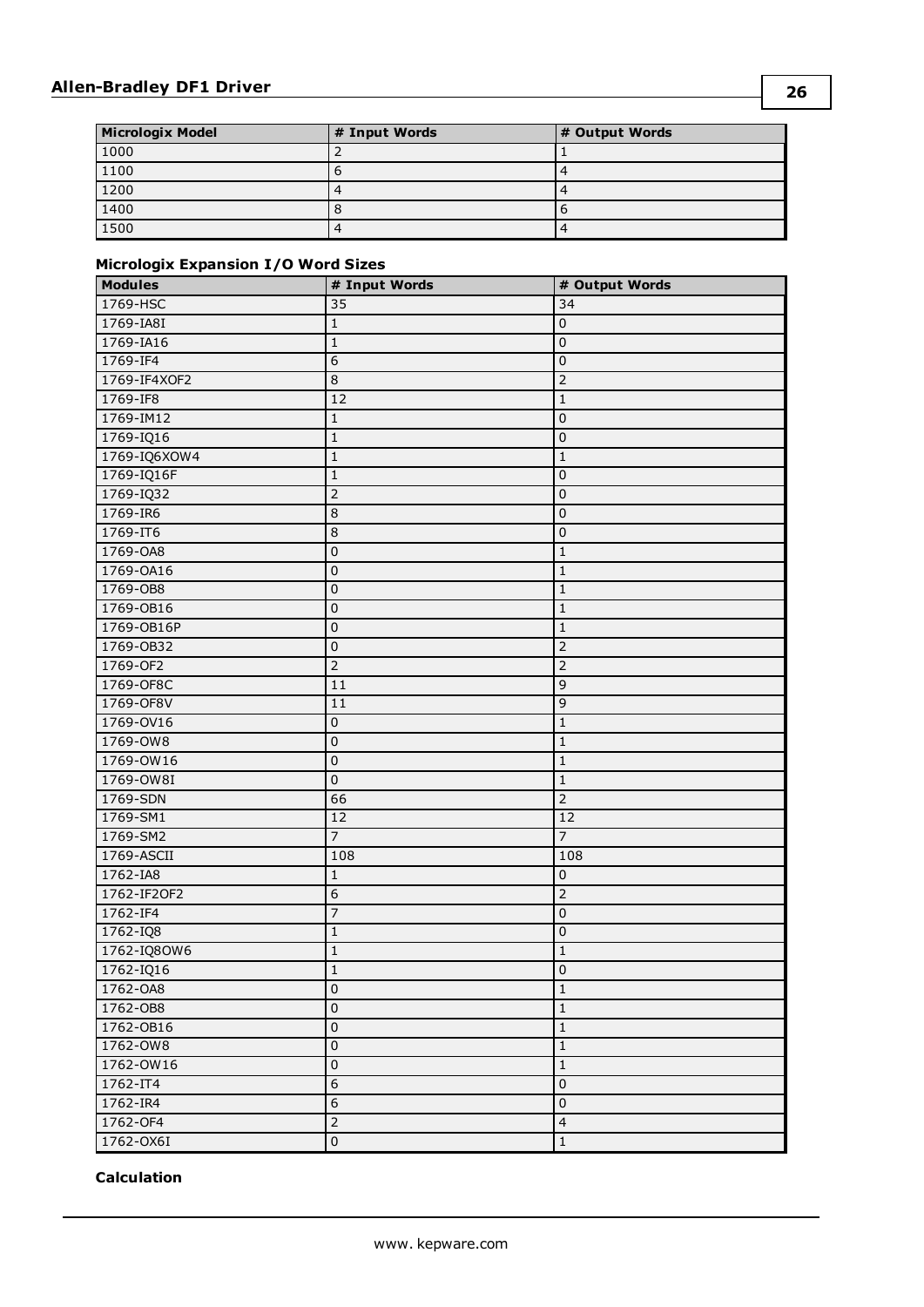| <b>Micrologix Model</b> | # Input Words | # Output Words |
|-------------------------|---------------|----------------|
| 1000                    |               |                |
| 1100                    |               |                |
| 1200                    |               |                |
| $\boxed{1400}$          |               |                |
| 1500                    |               |                |

#### **Micrologix Expansion I/O Word Sizes**

| <b>Modules</b> | # Input Words           | # Output Words          |
|----------------|-------------------------|-------------------------|
| 1769-HSC       | 35                      | 34                      |
| 1769-IA8I      | $1\,$                   | 0                       |
| 1769-IA16      | $\mathbf{1}$            | $\pmb{0}$               |
| 1769-IF4       | 6                       | $\pmb{0}$               |
| 1769-IF4XOF2   | 8                       | $\overline{2}$          |
| 1769-IF8       | 12                      | $1\,$                   |
| 1769-IM12      | $1\,$                   | $\mathbf 0$             |
| 1769-IQ16      | $\overline{1}$          | $\pmb{0}$               |
| 1769-IQ6XOW4   | $1\,$                   | 1                       |
| 1769-IQ16F     | 1                       | 0                       |
| 1769-IQ32      | $\overline{2}$          | $\pmb{0}$               |
| 1769-IR6       | $\overline{8}$          | 0                       |
| 1769-IT6       | 8                       | $\pmb{0}$               |
| 1769-OA8       | $\pmb{0}$               | $\mathbf{1}$            |
| 1769-0A16      | $\pmb{0}$               | 1                       |
| 1769-0B8       | $\pmb{0}$               | 1                       |
| 1769-0B16      | $\overline{\textbf{0}}$ | $\mathbf 1$             |
| 1769-0B16P     | $\pmb{0}$               | $\mathbf 1$             |
| 1769-0B32      | $\pmb{0}$               | $\overline{2}$          |
| 1769-OF2       | $\overline{2}$          | $\overline{2}$          |
| 1769-OF8C      | 11                      | 9                       |
| 1769-OF8V      | 11                      | 9                       |
| 1769-0V16      | $\overline{\textbf{0}}$ | $\mathbf{1}$            |
| 1769-0W8       | $\overline{0}$          | $1\,$                   |
| 1769-OW16      | $\pmb{0}$               | $\mathbf{1}$            |
| 1769-OW8I      | $\mathbf 0$             | $1\,$                   |
| 1769-SDN       | 66                      | $\overline{2}$          |
| 1769-SM1       | 12                      | $\overline{12}$         |
| 1769-SM2       | $\overline{7}$          | $\overline{7}$          |
| 1769-ASCII     | 108                     | 108                     |
| 1762-IA8       | $1\,$                   | $\pmb{0}$               |
| 1762-IF20F2    | $\overline{6}$          | $\overline{2}$          |
| 1762-IF4       | $\overline{7}$          | $\pmb{0}$               |
| $1762 - IQ8$   | 1                       | 0                       |
| 1762-IQ8OW6    | $\overline{\mathbf{1}}$ | $\mathbf 1$             |
| $1762 - IQ16$  | $\overline{1}$          | $\overline{0}$          |
| 1762-OA8       | $\pmb{0}$               | $\mathbf{1}$            |
| 1762-OB8       | 0                       | $1\,$                   |
| 1762-OB16      | $\pmb{0}$               | $1\,$                   |
| 1762-OW8       | $\pmb{0}$               | $\mathbf{1}$            |
| 1762-OW16      | $\overline{\textbf{0}}$ | $1\,$                   |
| 1762-IT4       | $\overline{6}$          | $\pmb{0}$               |
| 1762-IR4       | $\overline{6}$          | $\pmb{0}$               |
| 1762-OF4       | $\overline{2}$          | $\overline{\mathbf{4}}$ |
| 1762-OX6I      | 0                       | $\mathbf{1}$            |

#### **Calculation**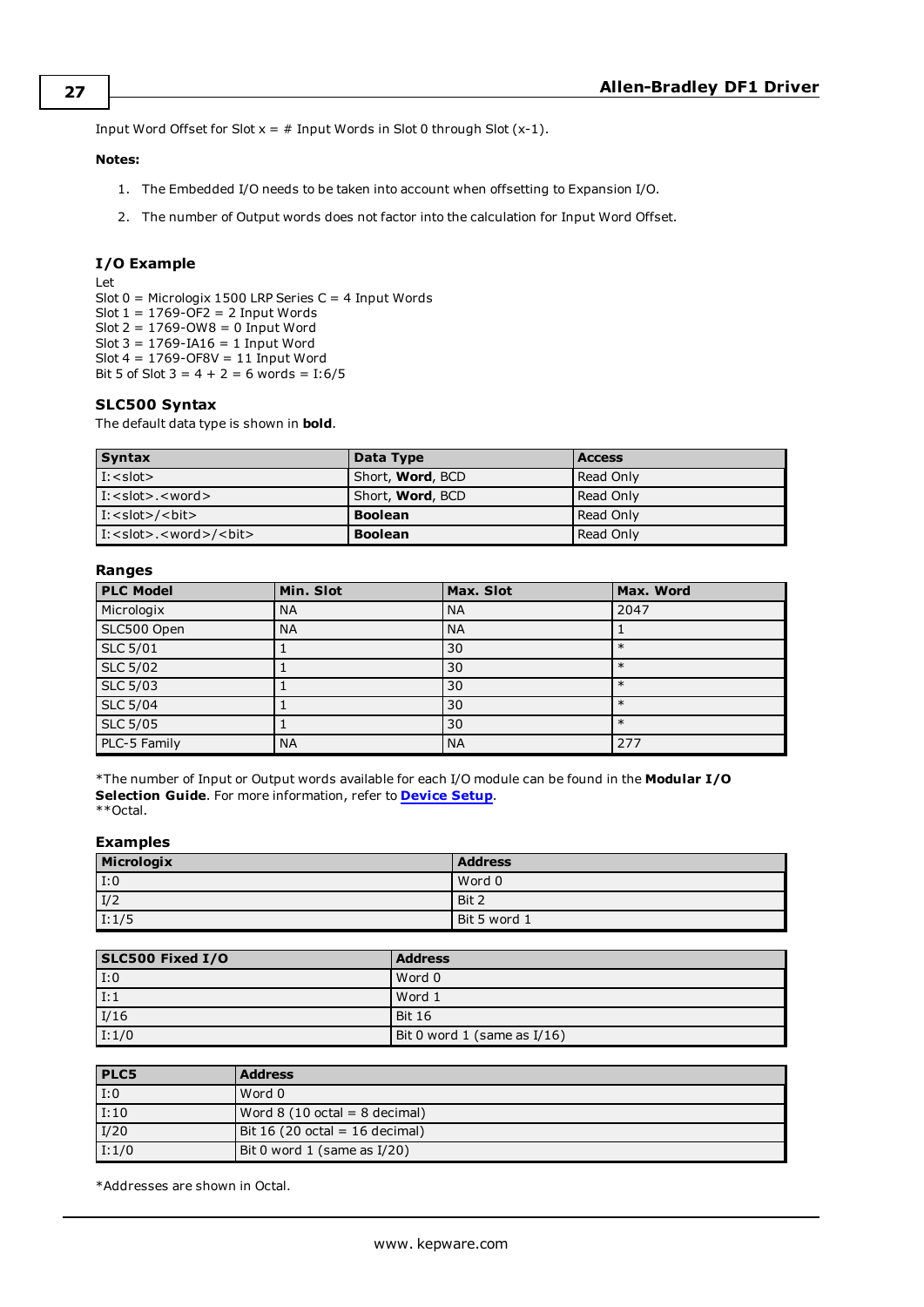Input Word Offset for Slot  $x = #$  Input Words in Slot 0 through Slot  $(x-1)$ .

#### **Notes:**

- 1. The Embedded I/O needs to be taken into account when offsetting to Expansion I/O.
- 2. The number of Output words does not factor into the calculation for Input Word Offset.

#### **I/O Example**

Let Slot 0 = Micrologix 1500 LRP Series C = 4 Input Words Slot  $1 = 1769$ -OF2 = 2 Input Words Slot 2 = 1769-OW8 = 0 Input Word Slot 3 = 1769-IA16 = 1 Input Word Slot 4 = 1769-OF8V = 11 Input Word Bit 5 of Slot  $3 = 4 + 2 = 6$  words = I:6/5

#### **SLC500 Syntax**

The default data type is shown in **bold**.

| <b>Syntax</b>                                     | Data Type                | <b>Access</b> |
|---------------------------------------------------|--------------------------|---------------|
| $\vert$ I: $\langle$ slot $\rangle$               | Short, <b>Word</b> , BCD | Read Only     |
| $\vert$ I: <slot>.<word></word></slot>            | Short, <b>Word</b> , BCD | Read Only     |
| $\vert$ I: < slot>/<br><br>bit>                   | <b>Boolean</b>           | Read Only     |
| $\vert$ I: <slot>.<word>/<br/><br/></word></slot> | <b>Boolean</b>           | Read Only     |

#### **Ranges**

| <b>PLC Model</b> | Min. Slot | Max. Slot | Max. Word |
|------------------|-----------|-----------|-----------|
| Micrologix       | <b>NA</b> | <b>NA</b> | 2047      |
| SLC500 Open      | <b>NA</b> | <b>NA</b> |           |
| <b>SLC 5/01</b>  |           | 30        | $\ast$    |
| <b>SLC 5/02</b>  |           | 30        | $\ast$    |
| <b>SLC 5/03</b>  |           | 30        | $\ast$    |
| <b>SLC 5/04</b>  |           | 30        | $\ast$    |
| <b>SLC 5/05</b>  |           | 30        | $\ast$    |
| PLC-5 Family     | <b>NA</b> | <b>NA</b> | 277       |

\*The number of Input or Output words available for each I/O module can be found in the **Modular I/O Selection Guide**. For more information, refer to **[Device](#page-9-0) Setup**. \*\*Octal.

#### **Examples**

| Micrologix | <b>Address</b> |
|------------|----------------|
| 1:0        | Word 0         |
| I/2        | Bit 2          |
| 1:1/5      | Bit 5 word 1   |

| SLC500 Fixed I/O | <b>Address</b>              |
|------------------|-----------------------------|
| 1:0              | Word 0                      |
| I:1              | Word 1                      |
| I/16             | Bit 16                      |
| I:1/0            | Bit 0 word 1 (same as I/16) |

| <b>PLC5</b>        | <b>Address</b>                                 |
|--------------------|------------------------------------------------|
| $\vert$ I:0        | Word 0                                         |
| I:10               | Word $8(10 \text{ octal} = 8 \text{ decimal})$ |
| I/20               | $Bit 16 (20 octal = 16 decimal)$               |
| $\overline{I:1/0}$ | Bit 0 word 1 (same as I/20)                    |

\*Addresses are shown in Octal.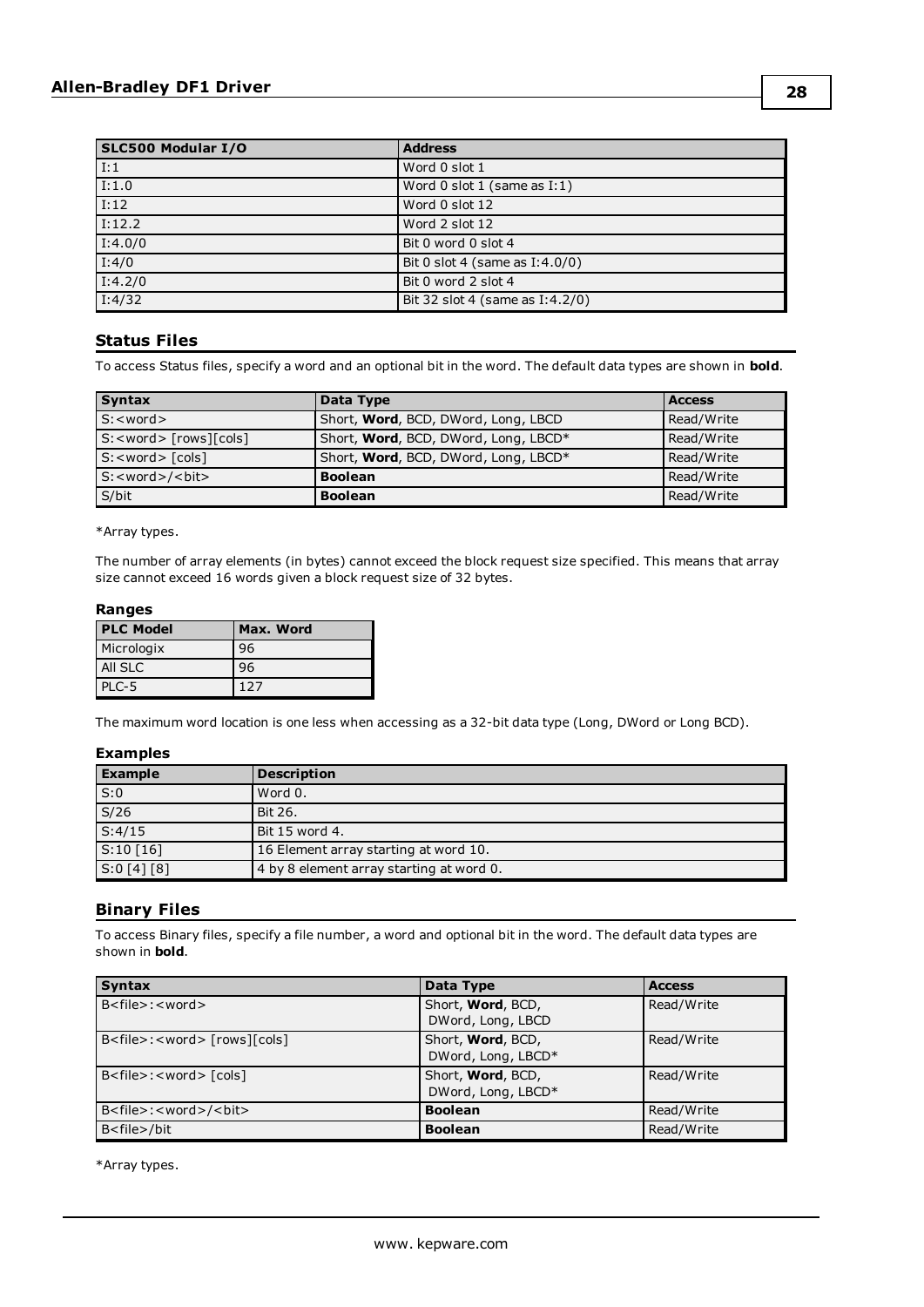| SLC500 Modular I/O | <b>Address</b>                     |
|--------------------|------------------------------------|
| $\overline{1:1}$   | Word 0 slot 1                      |
| 1:1.0              | Word $0$ slot $1$ (same as $I:1$ ) |
| $\overline{I:12}$  | Word 0 slot 12                     |
| I:12.2             | Word 2 slot 12                     |
| I:4.0/0            | Bit 0 word 0 slot 4                |
| $\overline{I:4/0}$ | Bit 0 slot 4 (same as $I:4.0/0$ )  |
| I:4.2/0            | Bit 0 word 2 slot 4                |
| I:4/32             | Bit 32 slot 4 (same as I:4.2/0)    |

#### <span id="page-27-0"></span>**Status Files**

To access Status files, specify a word and an optional bit in the word. The default data types are shown in **bold**.

| <b>Syntax</b>                      | Data Type                            | <b>Access</b> |
|------------------------------------|--------------------------------------|---------------|
| $S: <$ word $>$                    | Short, Word, BCD, DWord, Long, LBCD  | Read/Write    |
| $S: <$ word> $[rows][\text{cols}]$ | Short, Word, BCD, DWord, Long, LBCD* | Read/Write    |
| $S: <$ word $>$ $[cols]$           | Short, Word, BCD, DWord, Long, LBCD* | Read/Write    |
| S: <word>/<br/>&gt;bit&gt;</word>  | <b>Boolean</b>                       | Read/Write    |
| S/bit                              | <b>Boolean</b>                       | Read/Write    |

\*Array types.

The number of array elements (in bytes) cannot exceed the block request size specified. This means that array size cannot exceed 16 words given a block request size of 32 bytes.

#### **Ranges**

| <b>PLC Model</b> | Max. Word |
|------------------|-----------|
| Micrologix       | 96        |
| <b>All SLC</b>   | 96        |
| PLC-5            | 127       |

The maximum word location is one less when accessing as a 32-bit data type (Long, DWord or Long BCD).

#### **Examples**

| <b>Example</b> | <b>Description</b>                       |
|----------------|------------------------------------------|
| S:0            | Word 0.                                  |
| S/26           | Bit 26.                                  |
| S:4/15         | Bit 15 word 4.                           |
| S:10[16]       | 16 Element array starting at word 10.    |
| [S:0[4][8]     | 4 by 8 element array starting at word 0. |

#### <span id="page-27-1"></span>**Binary Files**

To access Binary files, specify a file number, a word and optional bit in the word. The default data types are shown in **bold**.

| <b>Syntax</b>                                       | Data Type                               | <b>Access</b> |
|-----------------------------------------------------|-----------------------------------------|---------------|
| $B <$ file $>$ : $<$ word $>$                       | Short, Word, BCD,<br>DWord, Long, LBCD  | Read/Write    |
| B <file>:<word>[rows][cols]</word></file>           | Short, Word, BCD,<br>DWord, Long, LBCD* | Read/Write    |
| B <file>:<word>[cols]</word></file>                 | Short, Word, BCD,<br>DWord, Long, LBCD* | Read/Write    |
| B <file>:<word>/<br/><br/>&gt;bit&gt;</word></file> | <b>Boolean</b>                          | Read/Write    |
| B <file>/bit</file>                                 | <b>Boolean</b>                          | Read/Write    |

\*Array types.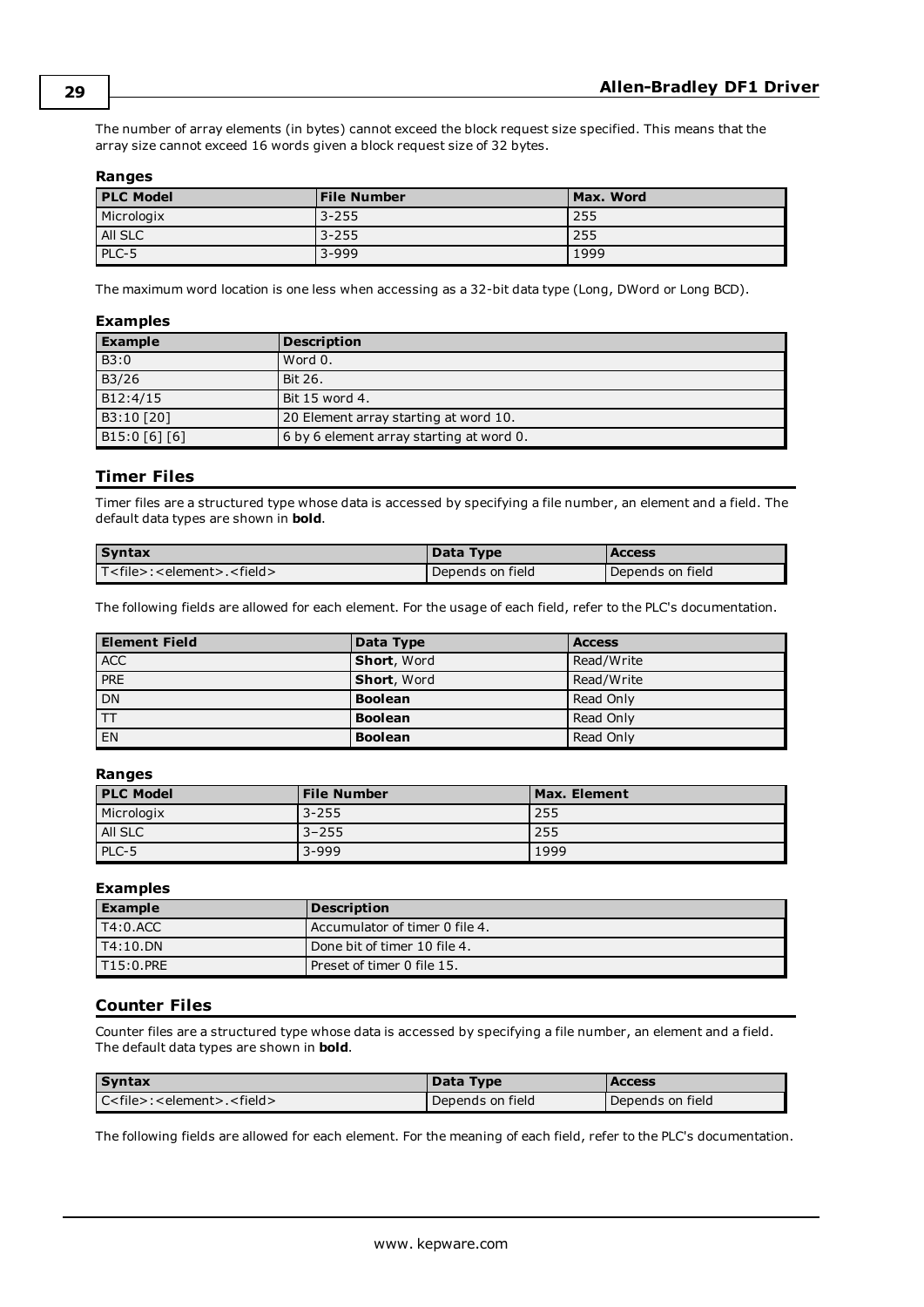The number of array elements (in bytes) cannot exceed the block request size specified. This means that the array size cannot exceed 16 words given a block request size of 32 bytes.

#### **Ranges**

| <b>PLC Model</b> | <b>File Number</b> | Max. Word |
|------------------|--------------------|-----------|
| Micrologix       | 3-255              | 255       |
| All SLC          | 3-255              | 255       |
| PLC-5            | $3 - 999$          | 1999      |

The maximum word location is one less when accessing as a 32-bit data type (Long, DWord or Long BCD).

#### **Examples**

| <b>Example</b> | <b>Description</b>                       |
|----------------|------------------------------------------|
| B3:0           | Word 0.                                  |
| B3/26          | Bit 26.                                  |
| B12:4/15       | Bit 15 word 4.                           |
| B3:10 [20]     | 20 Element array starting at word 10.    |
| B15:0 [6] [6]  | 6 by 6 element array starting at word 0. |

#### <span id="page-28-0"></span>**Timer Files**

Timer files are a structured type whose data is accessed by specifying a file number, an element and a field. The default data types are shown in **bold**.

| <b>Syntax</b>                                       | Data Type        | <b>Access</b>    |
|-----------------------------------------------------|------------------|------------------|
| T <file>:<element>.<field></field></element></file> | Depends on field | Depends on field |

The following fields are allowed for each element. For the usage of each field, refer to the PLC's documentation.

| <b>Element Field</b> | Data Type          | <b>Access</b> |
|----------------------|--------------------|---------------|
| <b>ACC</b>           | <b>Short, Word</b> | Read/Write    |
| <b>PRE</b>           | <b>Short, Word</b> | Read/Write    |
| DN                   | <b>Boolean</b>     | Read Only     |
| ltt                  | <b>Boolean</b>     | Read Only     |
| EN                   | <b>Boolean</b>     | Read Only     |

#### **Ranges**

| <b>PLC Model</b> | <b>File Number</b> | Max. Element |
|------------------|--------------------|--------------|
| Micrologix       | $3 - 255$          | 255          |
| All SLC          | $3 - 255$          | 255          |
| PLC-5            | $3 - 999$          | 1999         |

#### **Examples**

| <b>Example</b>    | <b>Description</b>               |
|-------------------|----------------------------------|
| $I$ T4:0.ACC      | l Accumulator of timer 0 file 4. |
| IT4:10.DN         | l Done bit of timer 10 file 4.   |
| 1 T 1 5 : 0 . PRE | l Preset of timer 0 file 15.     |

#### <span id="page-28-1"></span>**Counter Files**

Counter files are a structured type whose data is accessed by specifying a file number, an element and a field. The default data types are shown in **bold**.

| <b>Syntax</b>                  | Data Type        | <b>Access</b>    |
|--------------------------------|------------------|------------------|
| $Cfile$ : < element>. < field> | Depends on field | Depends on field |

The following fields are allowed for each element. For the meaning of each field, refer to the PLC's documentation.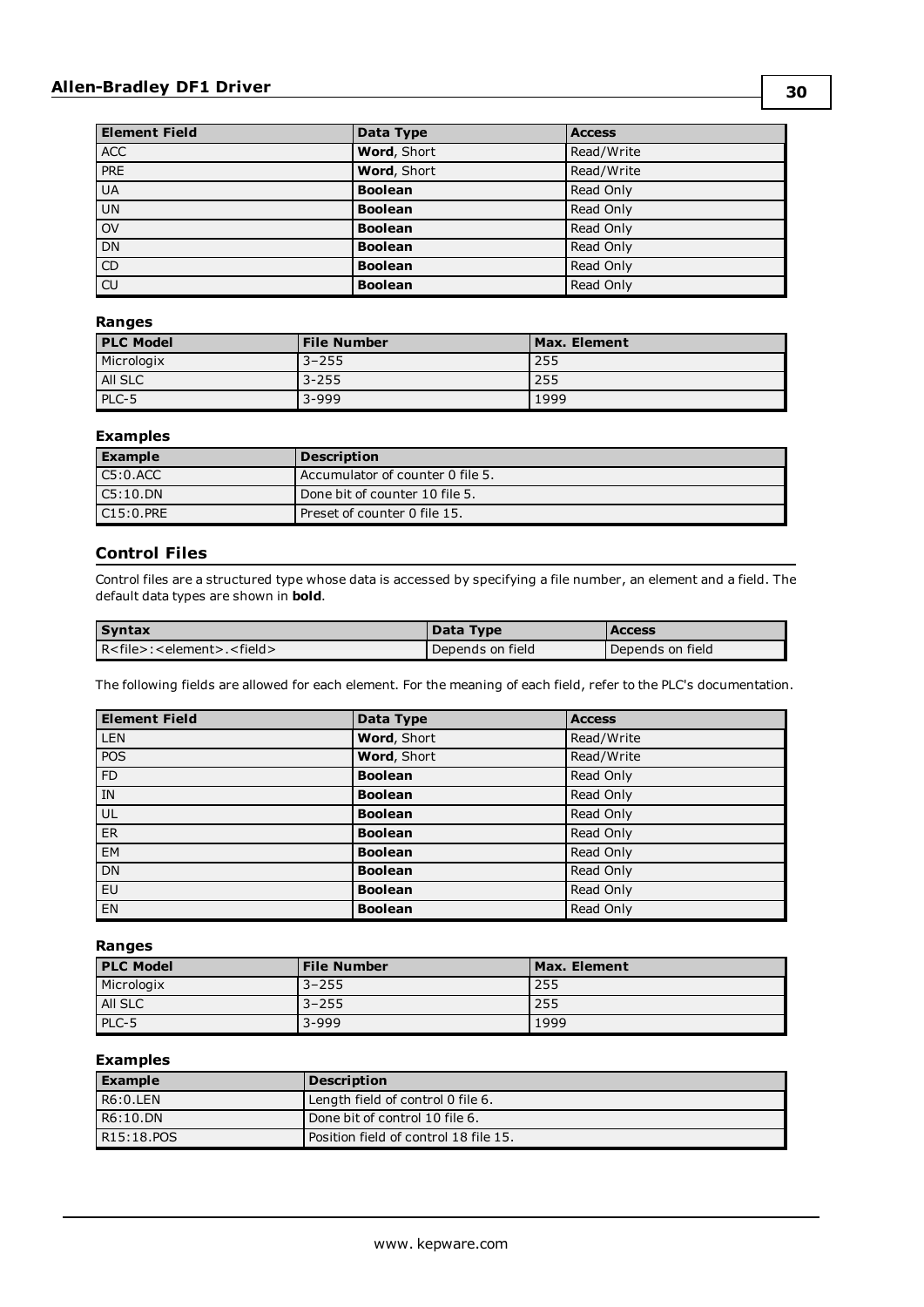#### **Allen-Bradley DF1 Driver**

| <b>Element Field</b>             | Data Type                   | <b>Access</b> |
|----------------------------------|-----------------------------|---------------|
| <b>ACC</b>                       | Word, Short                 | Read/Write    |
| <b>PRE</b>                       | Word, Short                 | Read/Write    |
| <b>UA</b>                        | <b>Boolean</b>              | Read Only     |
| UN                               | <b>Boolean</b>              | Read Only     |
| $\overline{ov}$                  | <b>Boolean</b>              | Read Only     |
| DN                               | <b>Boolean</b>              | Read Only     |
| $\overline{CD}$                  | <b>Boolean</b><br>Read Only |               |
| $\overline{\text{c}^{\text{U}}}$ | <b>Boolean</b>              | Read Only     |

#### **Ranges**

| <b>PLC Model</b> | <b>File Number</b> | Max. Element |
|------------------|--------------------|--------------|
| Micrologix       | $3 - 255$          | 255          |
| All SLC          | $3 - 255$          | 255          |
| PLC-5            | $3 - 999$          | 1999         |

#### **Examples**

| <b>Example</b> | <b>Description</b>               |
|----------------|----------------------------------|
| C5:0.ACC       | Accumulator of counter 0 file 5. |
| $C5:10.$ DN    | Done bit of counter 10 file 5.   |
| C15:0.PRE      | Preset of counter 0 file 15.     |

## <span id="page-29-0"></span>**Control Files**

Control files are a structured type whose data is accessed by specifying a file number, an element and a field. The default data types are shown in **bold**.

| <b>Syntax</b>                                       | Data Type        | <b>Access</b>    |
|-----------------------------------------------------|------------------|------------------|
| R <file>:<element>.<field></field></element></file> | Depends on field | Depends on field |

The following fields are allowed for each element. For the meaning of each field, refer to the PLC's documentation.

| <b>Element Field</b> | Data Type      | <b>Access</b> |
|----------------------|----------------|---------------|
| <b>LEN</b>           | Word, Short    | Read/Write    |
| POS                  | Word, Short    | Read/Write    |
| <b>FD</b>            | <b>Boolean</b> | Read Only     |
| IN                   | <b>Boolean</b> | Read Only     |
| UL                   | <b>Boolean</b> | Read Only     |
| <b>ER</b>            | <b>Boolean</b> | Read Only     |
| EM                   | <b>Boolean</b> | Read Only     |
| <b>DN</b>            | <b>Boolean</b> | Read Only     |
| <b>EU</b>            | <b>Boolean</b> | Read Only     |
| EN                   | <b>Boolean</b> | Read Only     |

#### **Ranges**

| <b>PLC Model</b> | <b>File Number</b> | Max. Element |
|------------------|--------------------|--------------|
| Micrologix       | $3 - 255$          | 255          |
| AII SLC          | $3 - 255$          | 255          |
| PLC-5            | $3 - 999$          | 1999         |

| <b>Example</b> | <b>Description</b>                    |
|----------------|---------------------------------------|
| R6:0.LEN       | Length field of control 0 file 6.     |
| R6:10.DN       | Done bit of control 10 file 6.        |
| R15:18.POS     | Position field of control 18 file 15. |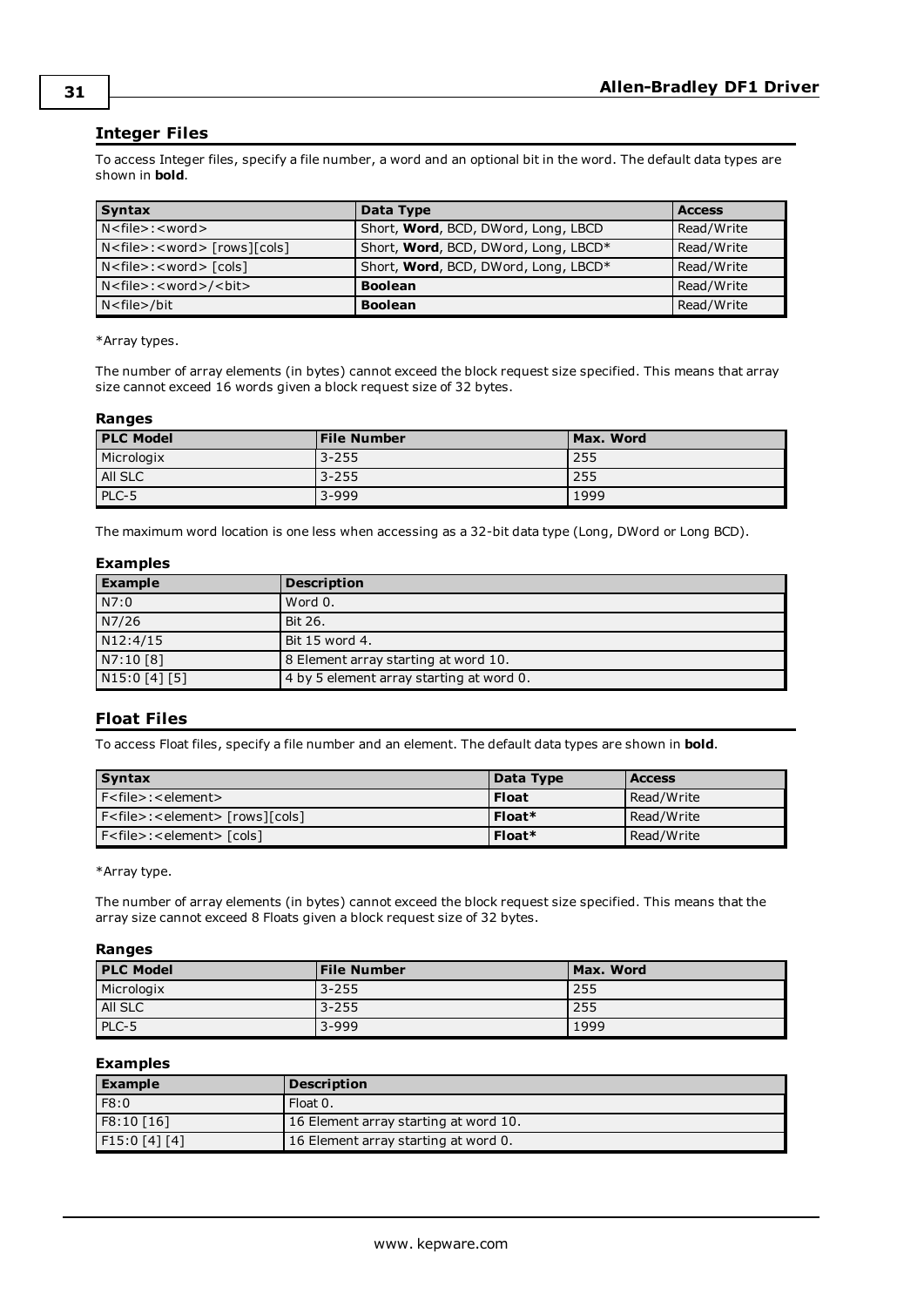#### <span id="page-30-0"></span>**Integer Files**

To access Integer files, specify a file number, a word and an optional bit in the word. The default data types are shown in **bold**.

| <b>Syntax</b>                                                          | Data Type                            | <b>Access</b> |
|------------------------------------------------------------------------|--------------------------------------|---------------|
| N <file>:<word></word></file>                                          | Short, Word, BCD, DWord, Long, LBCD  | Read/Write    |
| N <file>:<word> [rows][cols]</word></file>                             | Short, Word, BCD, DWord, Long, LBCD* | Read/Write    |
| $N$ <file>: <word><math>\lceil \cosh \cdot \rceil</math></word></file> | Short, Word, BCD, DWord, Long, LBCD* | Read/Write    |
| N <file>:<word>/<br/><br/></word></file>                               | <b>Boolean</b>                       | Read/Write    |
| N <file>/bit</file>                                                    | <b>Boolean</b>                       | Read/Write    |

\*Array types.

The number of array elements (in bytes) cannot exceed the block request size specified. This means that array size cannot exceed 16 words given a block request size of 32 bytes.

#### **Ranges**

| <b>PLC Model</b> | <b>File Number</b> | Max. Word |
|------------------|--------------------|-----------|
| Micrologix       | 3-255              | 255       |
| All SLC          | 3-255              | 255       |
| PLC-5            | $3 - 999$          | 1999      |

The maximum word location is one less when accessing as a 32-bit data type (Long, DWord or Long BCD).

#### **Examples**

| <b>Example</b> | <b>Description</b>                       |
|----------------|------------------------------------------|
| N7:0           | Word 0.                                  |
| N7/26          | Bit 26.                                  |
| N12:4/15       | Bit 15 word 4.                           |
| N7:10 [8]      | 8 Element array starting at word 10.     |
| N15:0 [4] [5]  | 4 by 5 element array starting at word 0. |

#### <span id="page-30-1"></span>**Float Files**

To access Float files, specify a file number and an element. The default data types are shown in **bold**.

| <b>Syntax</b>                                          | Data Type    | <b>Access</b> |
|--------------------------------------------------------|--------------|---------------|
| $F$ < file > : < element >                             | <b>Float</b> | Read/Write    |
| $Ffile$ : <element> [rows][cols]</element>             | Float*       | Read/Write    |
| $F$ < file > : < element > $\lceil \text{cols} \rceil$ | Float*       | Read/Write    |

\*Array type.

The number of array elements (in bytes) cannot exceed the block request size specified. This means that the array size cannot exceed 8 Floats given a block request size of 32 bytes.

#### **Ranges**

| <b>PLC Model</b> | <b>File Number</b> | Max. Word |
|------------------|--------------------|-----------|
| Micrologix       | $3 - 255$          | 255       |
| All SLC          | 3-255              | 255       |
| PLC-5            | $3 - 999$          | 1999      |

| <b>Example</b> | <b>Description</b>                    |
|----------------|---------------------------------------|
| F8:0           | Float 0.                              |
| F8:10 [16]     | 16 Element array starting at word 10. |
| F15:0[4][4]    | 16 Element array starting at word 0.  |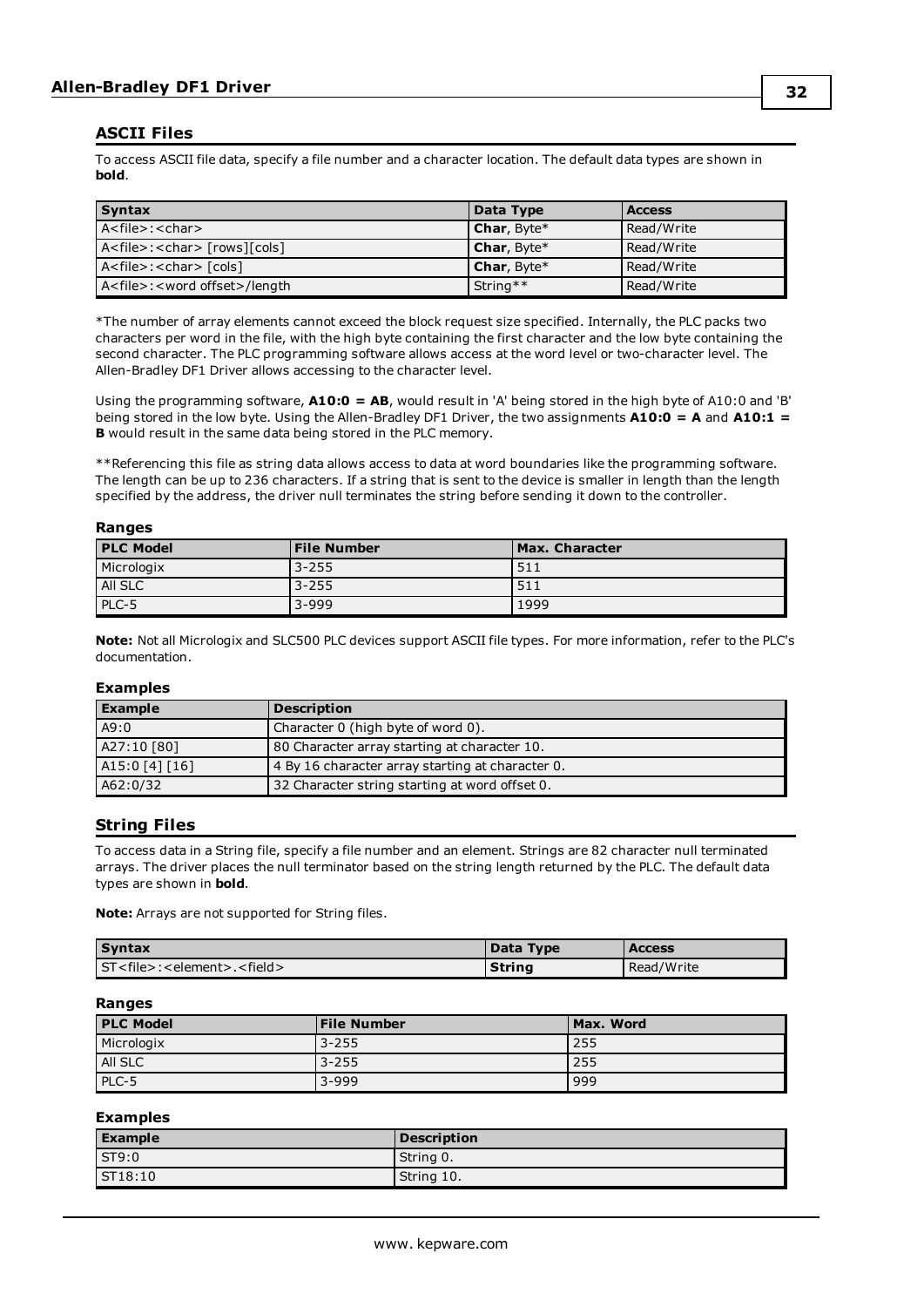#### <span id="page-31-0"></span>**ASCII Files**

To access ASCII file data, specify a file number and a character location. The default data types are shown in **bold**.

| Syntax                                         | Data Type   | <b>Access</b> |
|------------------------------------------------|-------------|---------------|
| A <file>:<char></char></file>                  | Char, Byte* | Read/Write    |
| A <file>:<char> [rows][cols]</char></file>     | Char, Byte* | Read/Write    |
| A <file>:<char>[cols]</char></file>            | Char, Byte* | Read/Write    |
| A <file>:<word offset="">/length</word></file> | String**    | Read/Write    |

\*The number of array elements cannot exceed the block request size specified. Internally, the PLC packs two characters per word in the file, with the high byte containing the first character and the low byte containing the second character. The PLC programming software allows access at the word level or two-character level. The Allen-Bradley DF1 Driver allows accessing to the character level.

Using the programming software, **A10:0 = AB**, would result in 'A' being stored in the high byte of A10:0 and 'B' being stored in the low byte. Using the Allen-Bradley DF1 Driver, the two assignments **A10:0 = A** and **A10:1 = B** would result in the same data being stored in the PLC memory.

\*\*Referencing this file as string data allows access to data at word boundaries like the programming software. The length can be up to 236 characters. If a string that is sent to the device is smaller in length than the length specified by the address, the driver null terminates the string before sending it down to the controller.

#### **Ranges**

| <b>PLC Model</b> | <b>File Number</b> | <b>Max. Character</b> |
|------------------|--------------------|-----------------------|
| Micrologix       | $3 - 255$          | 511                   |
| All SLC          | $3 - 255$          | 511                   |
| PLC-5            | $3 - 999$          | 1999                  |

**Note:** Not all Micrologix and SLC500 PLC devices support ASCII file types. For more information, refer to the PLC's documentation.

#### **Examples**

| <b>Example</b> | <b>Description</b>                               |
|----------------|--------------------------------------------------|
| A9:0           | Character 0 (high byte of word 0).               |
| A27:10 [80]    | 80 Character array starting at character 10.     |
| A15:0 [4] [16] | 4 By 16 character array starting at character 0. |
| A62:0/32       | 32 Character string starting at word offset 0.   |

#### <span id="page-31-1"></span>**String Files**

To access data in a String file, specify a file number and an element. Strings are 82 character null terminated arrays. The driver places the null terminator based on the string length returned by the PLC. The default data types are shown in **bold**.

**Note:** Arrays are not supported for String files.

| <b>Syntax</b>                                        | Data Type | <b>Access</b> |
|------------------------------------------------------|-----------|---------------|
| ST <file>:<element>.<field></field></element></file> | String    | Read/Write    |

#### **Ranges**

| <b>PLC Model</b> | <b>File Number</b> | Max. Word |
|------------------|--------------------|-----------|
| Micrologix       | 3-255              | 255       |
| All SLC          | $3 - 255$          | 255       |
| PLC-5            | $3 - 999$          | 999       |

| <b>Example</b>    | <b>Description</b> |
|-------------------|--------------------|
| S <sub>T9:0</sub> | String 0.          |
| ST18:10           | String 10.         |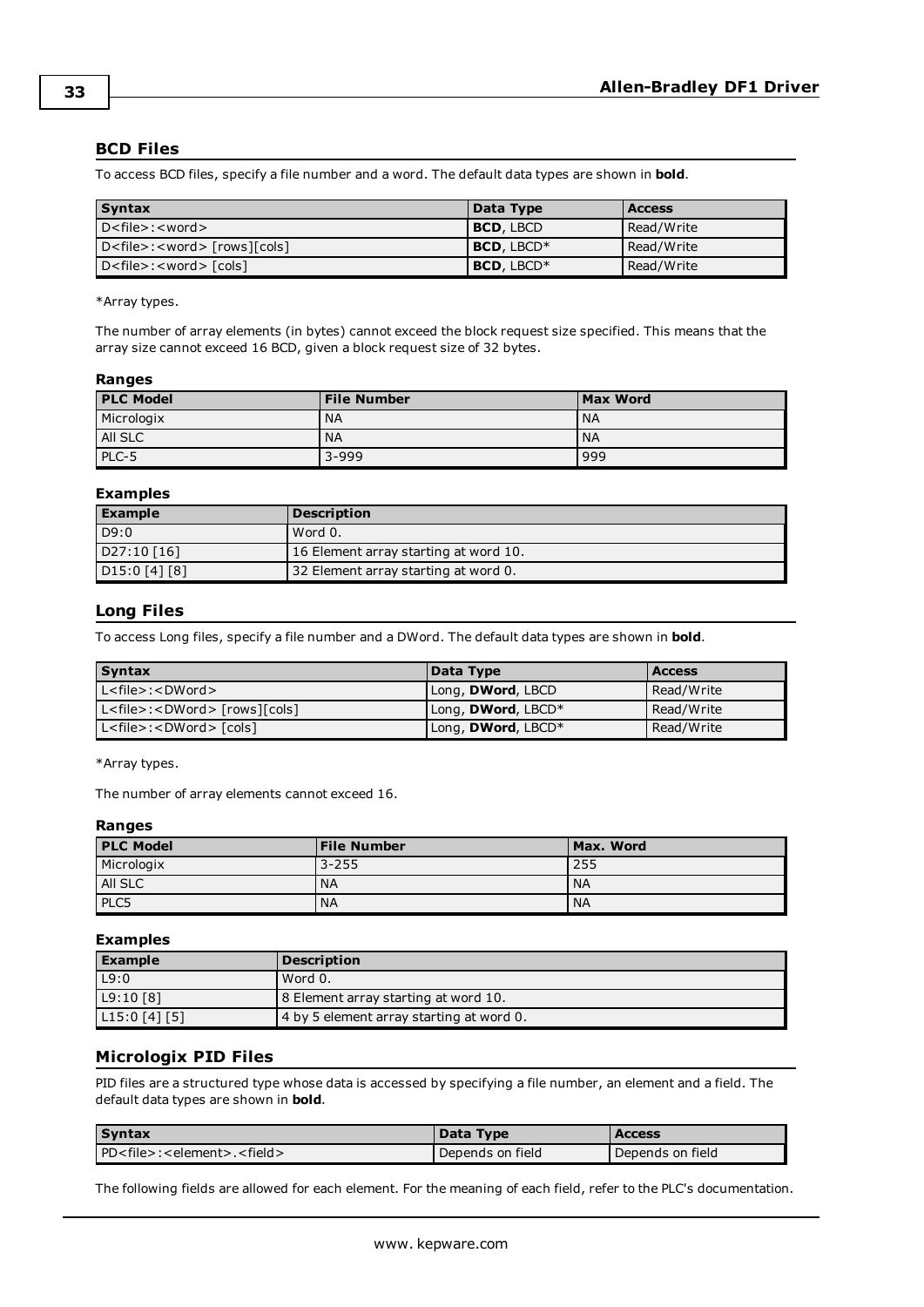#### <span id="page-32-0"></span>**BCD Files**

To access BCD files, specify a file number and a word. The default data types are shown in **bold**.

| <b>Syntax</b>                        | Data Type        | <b>Access</b> |
|--------------------------------------|------------------|---------------|
| $D$ < file > : < word >              | <b>BCD, LBCD</b> | Read/Write    |
| $D < file > : < word > [rows][cols]$ | $BCD. LBCD*$     | Read/Write    |
| $D < file > : < word > [cols]$       | BCD, LBCD*       | Read/Write    |

\*Array types.

The number of array elements (in bytes) cannot exceed the block request size specified. This means that the array size cannot exceed 16 BCD, given a block request size of 32 bytes.

#### **Ranges**

| <b>PLC Model</b> | <b>File Number</b> | <b>Max Word</b> |
|------------------|--------------------|-----------------|
| Micrologix       | <b>NA</b>          | <b>NA</b>       |
| All SLC          | <b>NA</b>          | <b>NA</b>       |
| $PLC-5$          | $3 - 999$          | 999             |

#### **Examples**

| <b>Example</b>             | <b>Description</b>                    |
|----------------------------|---------------------------------------|
| D9:0                       | Word 0.                               |
| D27:10 [16]                | 16 Element array starting at word 10. |
| D <sub>15</sub> :0 [4] [8] | 32 Element array starting at word 0.  |

#### <span id="page-32-1"></span>**Long Files**

To access Long files, specify a file number and a DWord. The default data types are shown in **bold**.

| <b>Syntax</b>                                                                                                 | Data Type                  | <b>Access</b> |
|---------------------------------------------------------------------------------------------------------------|----------------------------|---------------|
| $L <$ file>: <dword></dword>                                                                                  | Long, <b>DWord</b> , LBCD  | Read/Write    |
| $\lfloor$ L <file>:<dword> <math>\lceil</math> rows<math>\rceil</math>[cols<math>\rceil</math></dword></file> | Long, <b>DWord</b> , LBCD* | Read/Write    |
| $L <$ file $>$ : <dword<math>&gt; [cols]</dword<math>                                                         | Long, DWord, LBCD*         | Read/Write    |

\*Array types.

The number of array elements cannot exceed 16.

#### **Ranges**

| <b>PLC Model</b> | <b>File Number</b> | Max. Word |
|------------------|--------------------|-----------|
| Micrologix       | $3 - 255$          | 255       |
| All SLC          | <b>NA</b>          | <b>NA</b> |
| PLC5             | <b>NA</b>          | <b>NA</b> |

#### **Examples**

| <b>Example</b> | <b>Description</b>                       |
|----------------|------------------------------------------|
| L9:0           | Word 0.                                  |
| L9:10 [8]      | 8 Element array starting at word 10.     |
| L15:0[4][5]    | 4 by 5 element array starting at word 0. |

#### <span id="page-32-2"></span>**Micrologix PID Files**

PID files are a structured type whose data is accessed by specifying a file number, an element and a field. The default data types are shown in **bold**.

| Syntax                                               | Data Type        | <b>Access</b>    |
|------------------------------------------------------|------------------|------------------|
| PD <file>:<element>.<field></field></element></file> | Depends on field | Depends on field |

The following fields are allowed for each element. For the meaning of each field, refer to the PLC's documentation.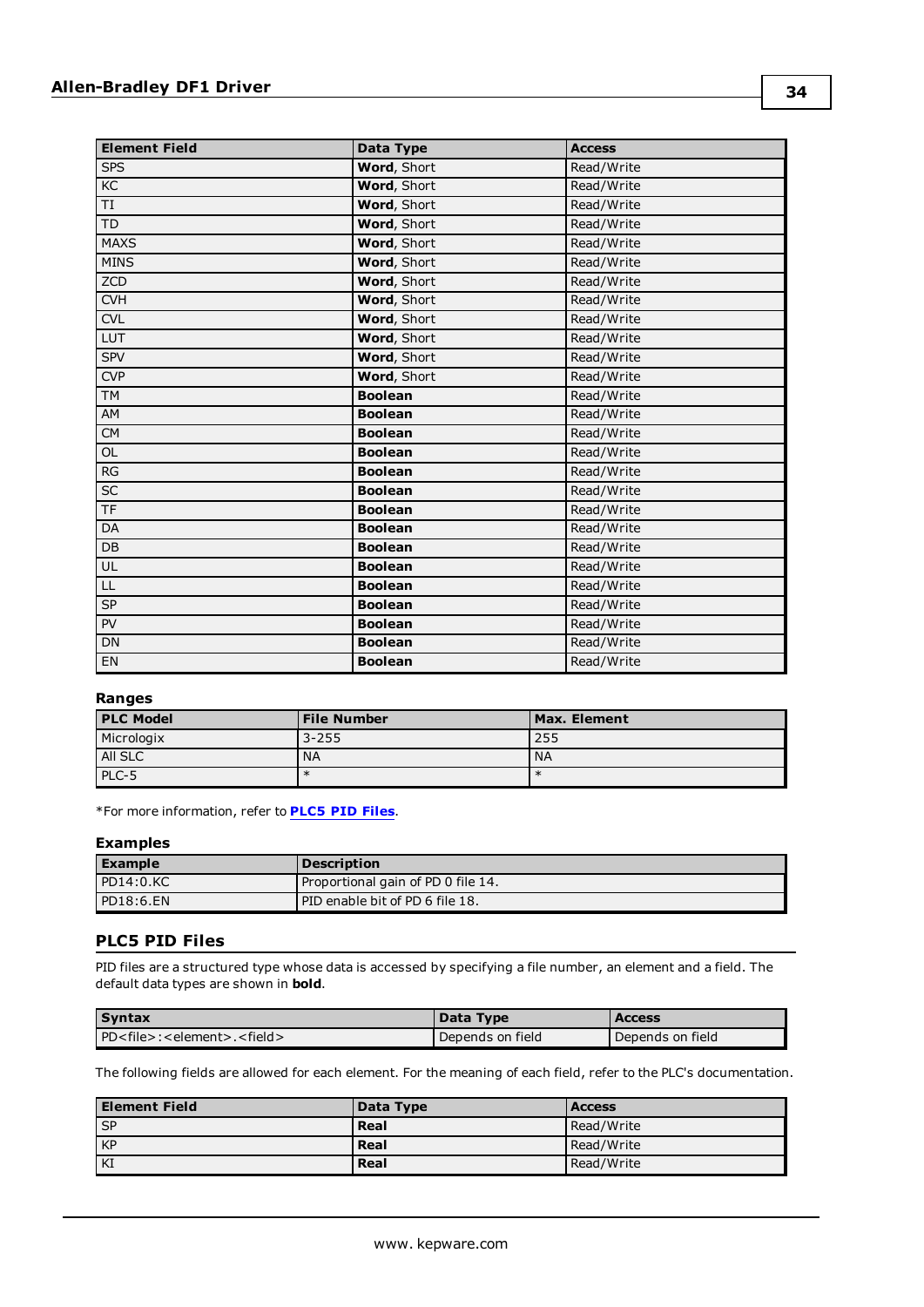| <b>Element Field</b>                     | Data Type      | <b>Access</b> |
|------------------------------------------|----------------|---------------|
| <b>SPS</b>                               | Word, Short    | Read/Write    |
| K <sub>C</sub>                           | Word, Short    | Read/Write    |
| TI                                       | Word, Short    | Read/Write    |
| TD                                       | Word, Short    | Read/Write    |
| <b>MAXS</b>                              | Word, Short    | Read/Write    |
| <b>MINS</b>                              | Word, Short    | Read/Write    |
| ZCD                                      | Word, Short    | Read/Write    |
| CVH                                      | Word, Short    | Read/Write    |
| <b>CVL</b>                               | Word, Short    | Read/Write    |
| LUT                                      | Word, Short    | Read/Write    |
| <b>SPV</b>                               | Word, Short    | Read/Write    |
| <b>CVP</b>                               | Word, Short    | Read/Write    |
| TM                                       | <b>Boolean</b> | Read/Write    |
| AM                                       | <b>Boolean</b> | Read/Write    |
| ${\sf CM}$                               | <b>Boolean</b> | Read/Write    |
| $\mathsf{OL}% \left( \mathcal{M}\right)$ | <b>Boolean</b> | Read/Write    |
| RG                                       | <b>Boolean</b> | Read/Write    |
| $\overline{SC}$                          | <b>Boolean</b> | Read/Write    |
| <b>TF</b>                                | <b>Boolean</b> | Read/Write    |
| DA                                       | <b>Boolean</b> | Read/Write    |
| DB                                       | <b>Boolean</b> | Read/Write    |
| UL                                       | <b>Boolean</b> | Read/Write    |
| LL                                       | <b>Boolean</b> | Read/Write    |
| SP                                       | <b>Boolean</b> | Read/Write    |
| PV                                       | <b>Boolean</b> | Read/Write    |
| <b>DN</b>                                | <b>Boolean</b> | Read/Write    |
| EN                                       | <b>Boolean</b> | Read/Write    |

#### **Ranges**

| <b>PLC Model</b> | <b>File Number</b> | Max. Element |
|------------------|--------------------|--------------|
| Micrologix       | $3 - 255$          | 255          |
| AII SLC          | <b>NA</b>          | <b>NA</b>    |
| $PLC-5$          | $\ast$             | $\ast$       |

\*For more information, refer to **[PLC5](#page-33-0) PID Files**.

#### **Examples**

| l Example   | <b>Description</b>                 |
|-------------|------------------------------------|
| PDI4:0.KC   | Proportional gain of PD 0 file 14. |
| l PD18:6.EN | PID enable bit of PD 6 file 18.    |

#### <span id="page-33-0"></span>**PLC5 PID Files**

PID files are a structured type whose data is accessed by specifying a file number, an element and a field. The default data types are shown in **bold**.

| <b>Syntax</b>                                        | Data Type        | <b>Access</b>    |
|------------------------------------------------------|------------------|------------------|
| PD <file>:<element>.<field></field></element></file> | Depends on field | Depends on field |

The following fields are allowed for each element. For the meaning of each field, refer to the PLC's documentation.

| l Element Field | Data Type | <b>Access</b> |
|-----------------|-----------|---------------|
| I SP            | Real      | Read/Write    |
| KP              | Real      | Read/Write    |
| KI              | Real      | Read/Write    |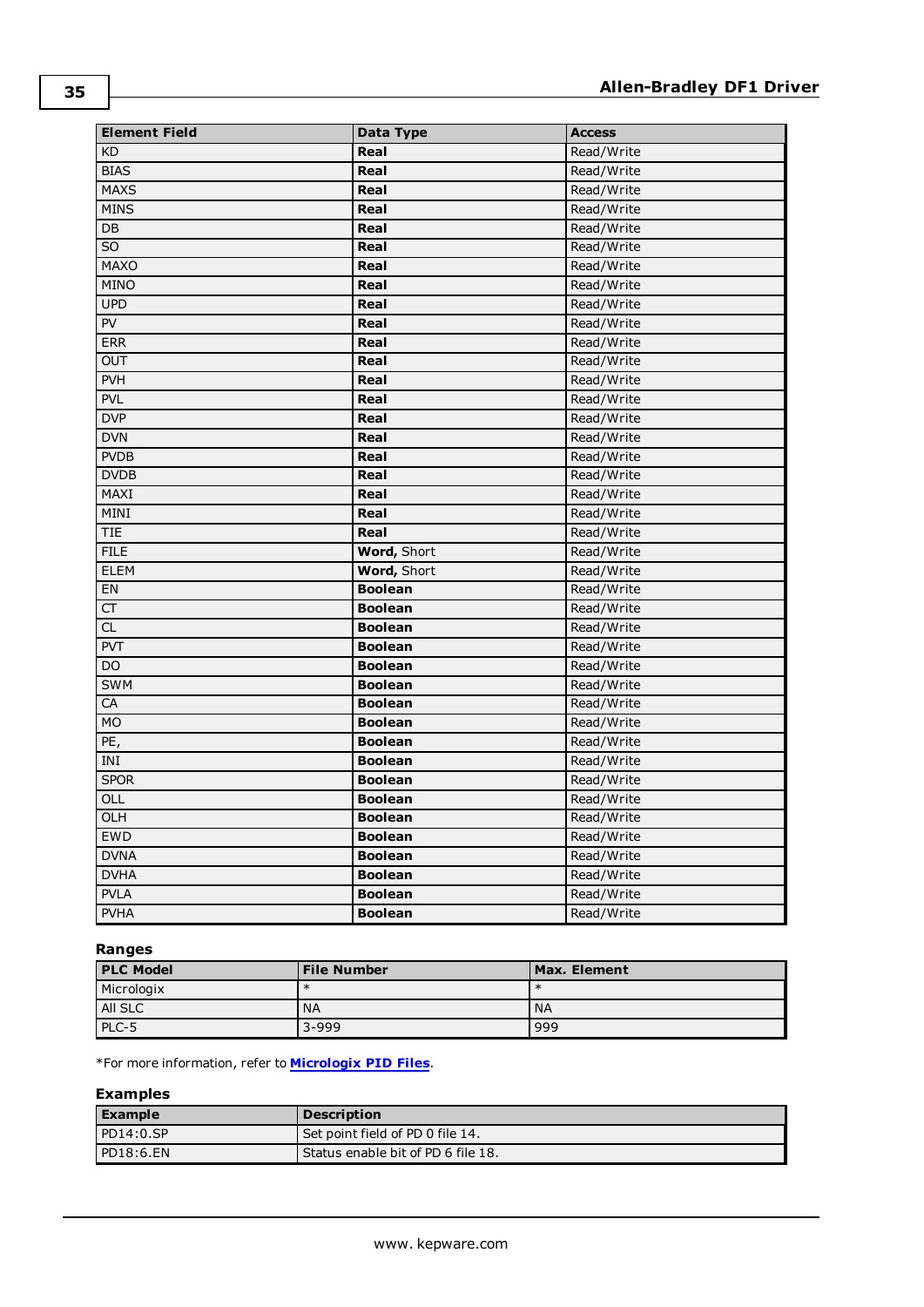| <b>Element Field</b> | Data Type      | <b>Access</b> |  |
|----------------------|----------------|---------------|--|
| <b>KD</b>            | Real           | Read/Write    |  |
| <b>BIAS</b>          | Real           | Read/Write    |  |
| <b>MAXS</b>          | Real           | Read/Write    |  |
| <b>MINS</b>          | Real           | Read/Write    |  |
| DB                   | Real           | Read/Write    |  |
| SO.                  | Real           | Read/Write    |  |
| <b>MAXO</b>          | Real           | Read/Write    |  |
| <b>MINO</b>          | Real           | Read/Write    |  |
| <b>UPD</b>           | Real           | Read/Write    |  |
| PV                   | Real           | Read/Write    |  |
| <b>ERR</b>           | Real           | Read/Write    |  |
| <b>OUT</b>           | Real           | Read/Write    |  |
| <b>PVH</b>           | Real           | Read/Write    |  |
| <b>PVL</b>           | Real           | Read/Write    |  |
| <b>DVP</b>           | Real           | Read/Write    |  |
| <b>DVN</b>           | Real           | Read/Write    |  |
| <b>PVDB</b>          | Real           | Read/Write    |  |
| <b>DVDB</b>          | Real           | Read/Write    |  |
| MAXI                 | Real           | Read/Write    |  |
| <b>MINI</b>          | Real           | Read/Write    |  |
| TIE                  | Real           | Read/Write    |  |
| <b>FILE</b>          | Word, Short    | Read/Write    |  |
| <b>ELEM</b>          | Word, Short    | Read/Write    |  |
| EN                   | <b>Boolean</b> | Read/Write    |  |
| <b>CT</b>            | <b>Boolean</b> | Read/Write    |  |
| CL                   | <b>Boolean</b> | Read/Write    |  |
| PVT                  | <b>Boolean</b> | Read/Write    |  |
| DO                   | <b>Boolean</b> | Read/Write    |  |
| <b>SWM</b>           | <b>Boolean</b> | Read/Write    |  |
| CA                   | <b>Boolean</b> | Read/Write    |  |
| <b>MO</b>            | <b>Boolean</b> | Read/Write    |  |
| PE,                  | <b>Boolean</b> | Read/Write    |  |
| INI                  | <b>Boolean</b> | Read/Write    |  |
| <b>SPOR</b>          | <b>Boolean</b> | Read/Write    |  |
| OLL                  | <b>Boolean</b> | Read/Write    |  |
| OLH                  | <b>Boolean</b> | Read/Write    |  |
| <b>EWD</b>           | <b>Boolean</b> | Read/Write    |  |
| <b>DVNA</b>          | <b>Boolean</b> | Read/Write    |  |
| <b>DVHA</b>          | <b>Boolean</b> | Read/Write    |  |
| <b>PVLA</b>          | <b>Boolean</b> | Read/Write    |  |
| <b>PVHA</b>          | <b>Boolean</b> | Read/Write    |  |

#### **Ranges**

| <b>PLC Model</b> | <b>File Number</b> | Max. Element |
|------------------|--------------------|--------------|
| Micrologix       | $\ast$             |              |
| All SLC          | <b>NA</b>          | <b>NA</b>    |
| PLC-5            | $3 - 999$          | 999          |

\*For more information, refer to **[Micrologix](#page-32-2) PID Files**.

| Example      | <b>Description</b>                 |
|--------------|------------------------------------|
| $PD14:0.$ SP | Set point field of PD 0 file 14.   |
| PD18:6.EN    | Status enable bit of PD 6 file 18. |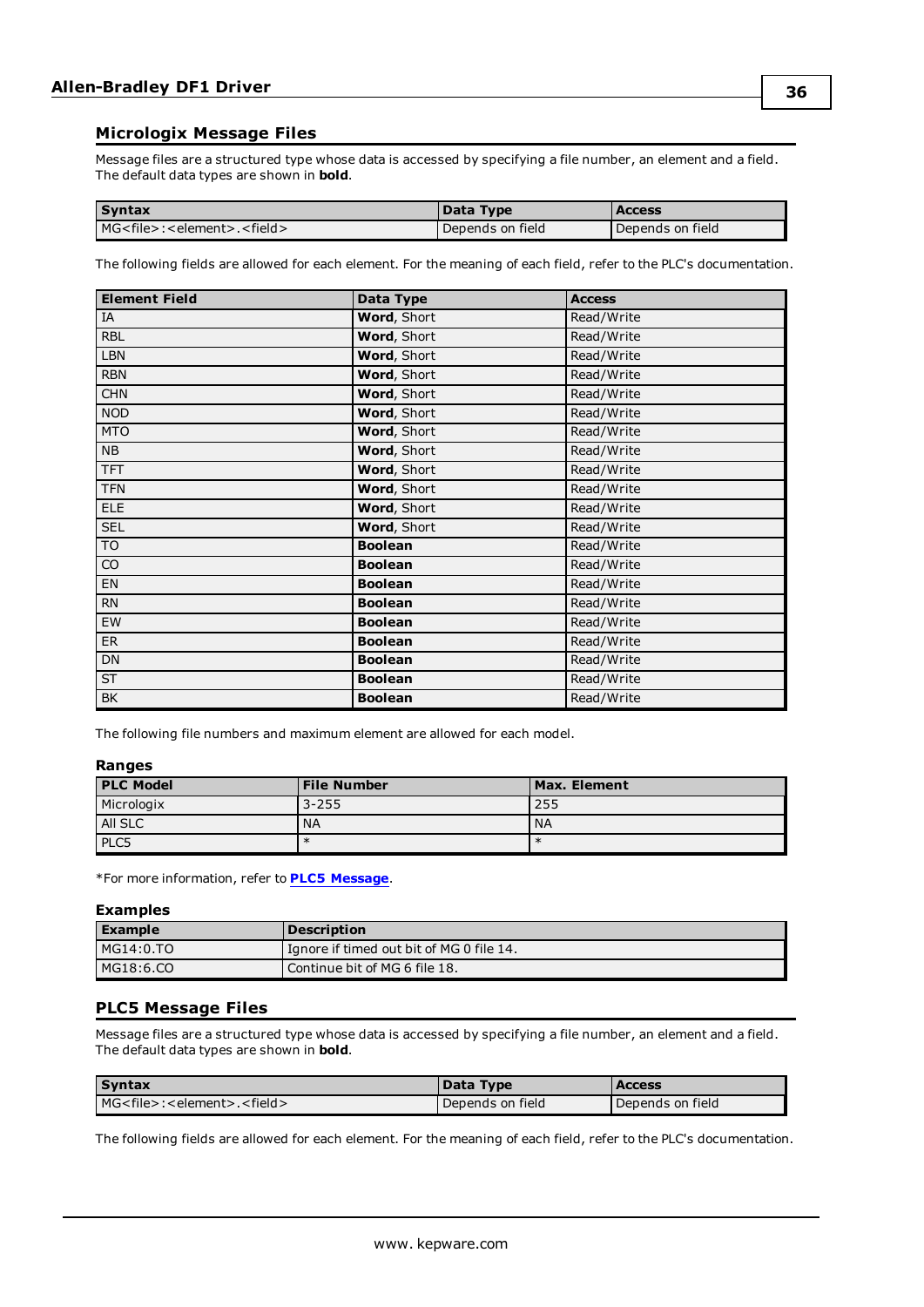#### <span id="page-35-0"></span>**Micrologix Message Files**

Message files are a structured type whose data is accessed by specifying a file number, an element and a field. The default data types are shown in **bold**.

| <b>Syntax</b>                                        | Data Type        | <b>Access</b>    |
|------------------------------------------------------|------------------|------------------|
| MG <file>:<element>.<field></field></element></file> | Depends on field | Depends on field |

The following fields are allowed for each element. For the meaning of each field, refer to the PLC's documentation.

| <b>Element Field</b> | Data Type          | <b>Access</b> |
|----------------------|--------------------|---------------|
| IA                   | Word, Short        | Read/Write    |
| <b>RBL</b>           | Word, Short        | Read/Write    |
| <b>LBN</b>           | Word, Short        | Read/Write    |
| <b>RBN</b>           | Word, Short        | Read/Write    |
| <b>CHN</b>           | Word, Short        | Read/Write    |
| <b>NOD</b>           | Word, Short        | Read/Write    |
| <b>MTO</b>           | Word, Short        | Read/Write    |
| <b>NB</b>            | <b>Word, Short</b> | Read/Write    |
| <b>TFT</b>           | Word, Short        | Read/Write    |
| <b>TFN</b>           | Word, Short        | Read/Write    |
| ELE                  | Word, Short        | Read/Write    |
| <b>SEL</b>           | Word, Short        | Read/Write    |
| TO                   | <b>Boolean</b>     | Read/Write    |
| CO                   | <b>Boolean</b>     | Read/Write    |
| EN                   | <b>Boolean</b>     | Read/Write    |
| <b>RN</b>            | <b>Boolean</b>     | Read/Write    |
| EW                   | <b>Boolean</b>     | Read/Write    |
| ER                   | <b>Boolean</b>     | Read/Write    |
| <b>DN</b>            | <b>Boolean</b>     | Read/Write    |
| <b>ST</b>            | <b>Boolean</b>     | Read/Write    |
| BK                   | <b>Boolean</b>     | Read/Write    |

The following file numbers and maximum element are allowed for each model.

#### **Ranges**

| <b>PLC Model</b> | <b>File Number</b> | Max. Element |
|------------------|--------------------|--------------|
| Micrologix       | $3 - 255$          | 255          |
| All SLC          | <b>NA</b>          | <b>NA</b>    |
| PLC5             | $\ast$             | $\ast$       |

\*For more information, refer to **PLC5 [Message](#page-35-1)**.

#### **Examples**

| Example   | <b>Description</b>                         |
|-----------|--------------------------------------------|
| MG14:0.TO | I Ignore if timed out bit of MG 0 file 14. |
| MG18:6.CO | Continue bit of MG 6 file 18.              |

#### <span id="page-35-1"></span>**PLC5 Message Files**

Message files are a structured type whose data is accessed by specifying a file number, an element and a field. The default data types are shown in **bold**.

| <b>Syntax</b>                                        | Data Type        | <b>Access</b>    |
|------------------------------------------------------|------------------|------------------|
| MG <file>:<element>.<field></field></element></file> | Depends on field | Depends on field |

The following fields are allowed for each element. For the meaning of each field, refer to the PLC's documentation.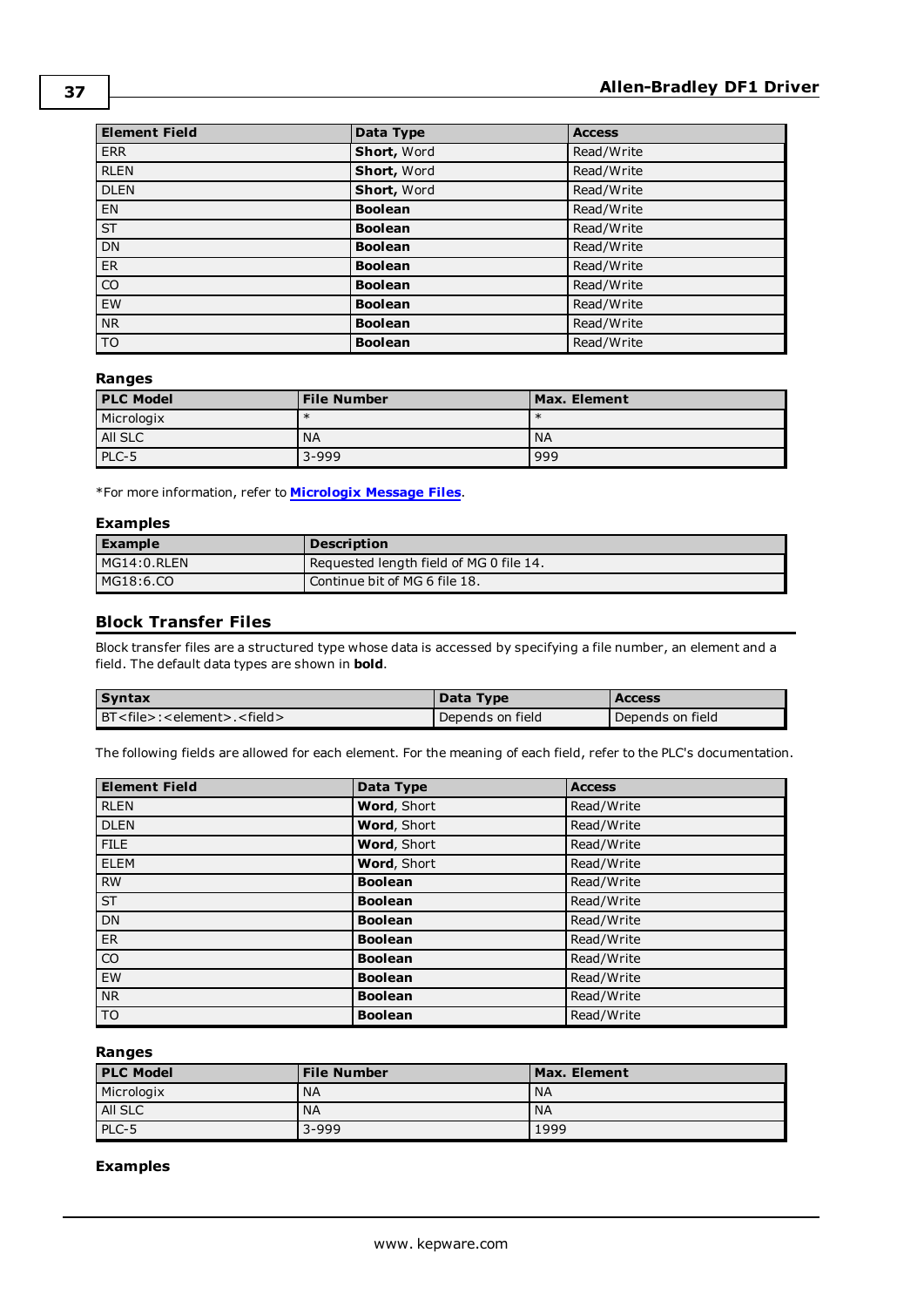| <b>Element Field</b>     | Data Type      | <b>Access</b> |
|--------------------------|----------------|---------------|
| <b>ERR</b>               | Short, Word    | Read/Write    |
| <b>RLEN</b>              | Short, Word    | Read/Write    |
| <b>DLEN</b>              | Short, Word    | Read/Write    |
| EN                       | <b>Boolean</b> | Read/Write    |
| $\overline{\mathsf{ST}}$ | <b>Boolean</b> | Read/Write    |
| DN                       | <b>Boolean</b> | Read/Write    |
| ER                       | <b>Boolean</b> | Read/Write    |
| $\overline{co}$          | <b>Boolean</b> | Read/Write    |
| EW                       | <b>Boolean</b> | Read/Write    |
| N <sub>R</sub>           | <b>Boolean</b> | Read/Write    |
| $\overline{\text{TO}}$   | <b>Boolean</b> | Read/Write    |

#### **Ranges**

| <b>PLC Model</b> | <b>File Number</b> | Max. Element |
|------------------|--------------------|--------------|
| Micrologix       | $\ast$             | $\ast$       |
| All SLC          | <b>NA</b>          | <b>NA</b>    |
| PLC-5            | $3 - 999$          | 999          |

\*For more information, refer to **[Micrologix](#page-35-0) Message Files**.

#### **Examples**

| <b>Example</b> | <b>Description</b>                      |
|----------------|-----------------------------------------|
| $MGI4:0.$ RLEN | Requested length field of MG 0 file 14. |
| MG18:6.CO      | Continue bit of MG 6 file 18.           |

#### <span id="page-36-0"></span>**Block Transfer Files**

Block transfer files are a structured type whose data is accessed by specifying a file number, an element and a field. The default data types are shown in **bold**.

| <b>Syntax</b>                                        | Data Type        | <b>Access</b>    |
|------------------------------------------------------|------------------|------------------|
| BT <file>:<element>.<field></field></element></file> | Depends on field | Depends on field |

The following fields are allowed for each element. For the meaning of each field, refer to the PLC's documentation.

| <b>Element Field</b>     | Data Type      | <b>Access</b> |
|--------------------------|----------------|---------------|
| <b>RLEN</b>              | Word, Short    | Read/Write    |
| <b>DLEN</b>              | Word, Short    | Read/Write    |
| <b>FILE</b>              | Word, Short    | Read/Write    |
| <b>ELEM</b>              | Word, Short    | Read/Write    |
| RW                       | <b>Boolean</b> | Read/Write    |
| $\overline{\mathsf{ST}}$ | <b>Boolean</b> | Read/Write    |
| DN                       | <b>Boolean</b> | Read/Write    |
| ER                       | <b>Boolean</b> | Read/Write    |
| $\overline{co}$          | <b>Boolean</b> | Read/Write    |
| EW                       | <b>Boolean</b> | Read/Write    |
| N <sub>R</sub>           | <b>Boolean</b> | Read/Write    |
| $\overline{10}$          | <b>Boolean</b> | Read/Write    |

#### **Ranges**

| <b>PLC Model</b> | <b>File Number</b> | Max. Element    |
|------------------|--------------------|-----------------|
| Micrologix       | <b>NA</b>          | NA              |
| All SLC          | <b>NA</b>          | NA <sup>'</sup> |
| PLC-5            | $3 - 999$          | 1999            |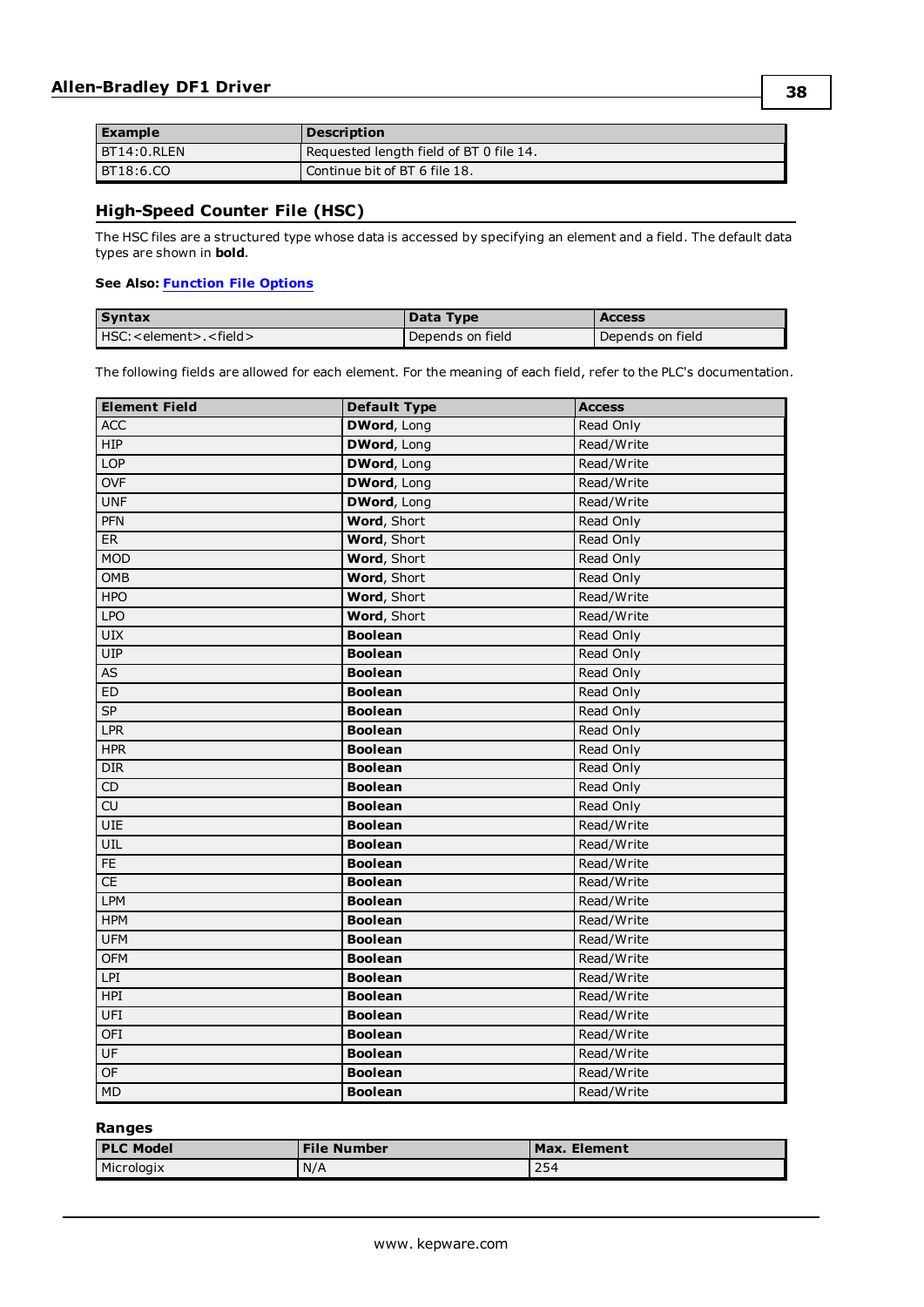| <b>Example</b> | <b>Description</b>                        |
|----------------|-------------------------------------------|
| BT14:0.RLEN    | I Requested length field of BT 0 file 14. |
| BT18:6.CO      | Continue bit of BT 6 file 18.             |

## <span id="page-37-0"></span>**High-Speed Counter File (HSC)**

The HSC files are a structured type whose data is accessed by specifying an element and a field. The default data types are shown in **bold**.

#### **See Also: [Function](#page-12-0) File Options**

| <b>Syntax</b>                    | Data Type        | <b>Access</b>    |
|----------------------------------|------------------|------------------|
| HSC: < element>. <field></field> | Depends on field | Depends on field |

The following fields are allowed for each element. For the meaning of each field, refer to the PLC's documentation.

| <b>Element Field</b> | <b>Default Type</b> | <b>Access</b> |
|----------------------|---------------------|---------------|
| <b>ACC</b>           | <b>DWord, Long</b>  | Read Only     |
| HIP                  | <b>DWord, Long</b>  | Read/Write    |
| <b>LOP</b>           | <b>DWord, Long</b>  | Read/Write    |
| <b>OVF</b>           | <b>DWord, Long</b>  | Read/Write    |
| <b>UNF</b>           | <b>DWord, Long</b>  | Read/Write    |
| PFN                  | Word, Short         | Read Only     |
| ER                   | Word, Short         | Read Only     |
| <b>MOD</b>           | Word, Short         | Read Only     |
| <b>OMB</b>           | <b>Word, Short</b>  | Read Only     |
| <b>HPO</b>           | Word, Short         | Read/Write    |
| <b>LPO</b>           | Word, Short         | Read/Write    |
| <b>UIX</b>           | <b>Boolean</b>      | Read Only     |
| UIP                  | <b>Boolean</b>      | Read Only     |
| <b>AS</b>            | <b>Boolean</b>      | Read Only     |
| ED                   | <b>Boolean</b>      | Read Only     |
| SP                   | <b>Boolean</b>      | Read Only     |
| <b>LPR</b>           | <b>Boolean</b>      | Read Only     |
| HPR                  | <b>Boolean</b>      | Read Only     |
| DIR                  | <b>Boolean</b>      | Read Only     |
| $\mathsf{CD}$        | <b>Boolean</b>      | Read Only     |
| CU                   | <b>Boolean</b>      | Read Only     |
| UIE                  | <b>Boolean</b>      | Read/Write    |
| UIL                  | <b>Boolean</b>      | Read/Write    |
| FE                   | <b>Boolean</b>      | Read/Write    |
| CE                   | <b>Boolean</b>      | Read/Write    |
| <b>LPM</b>           | <b>Boolean</b>      | Read/Write    |
| <b>HPM</b>           | <b>Boolean</b>      | Read/Write    |
| <b>UFM</b>           | <b>Boolean</b>      | Read/Write    |
| <b>OFM</b>           | <b>Boolean</b>      | Read/Write    |
| LPI                  | <b>Boolean</b>      | Read/Write    |
| HPI                  | <b>Boolean</b>      | Read/Write    |
| UFI                  | <b>Boolean</b>      | Read/Write    |
| <b>OFI</b>           | <b>Boolean</b>      | Read/Write    |
| UF                   | <b>Boolean</b>      | Read/Write    |
| OF                   | <b>Boolean</b>      | Read/Write    |
| <b>MD</b>            | <b>Boolean</b>      | Read/Write    |

#### **Ranges**

| <b>I PLC Model</b> | <b>File Number</b> | Max. Element |
|--------------------|--------------------|--------------|
| Micrologix         | N/A                | 254          |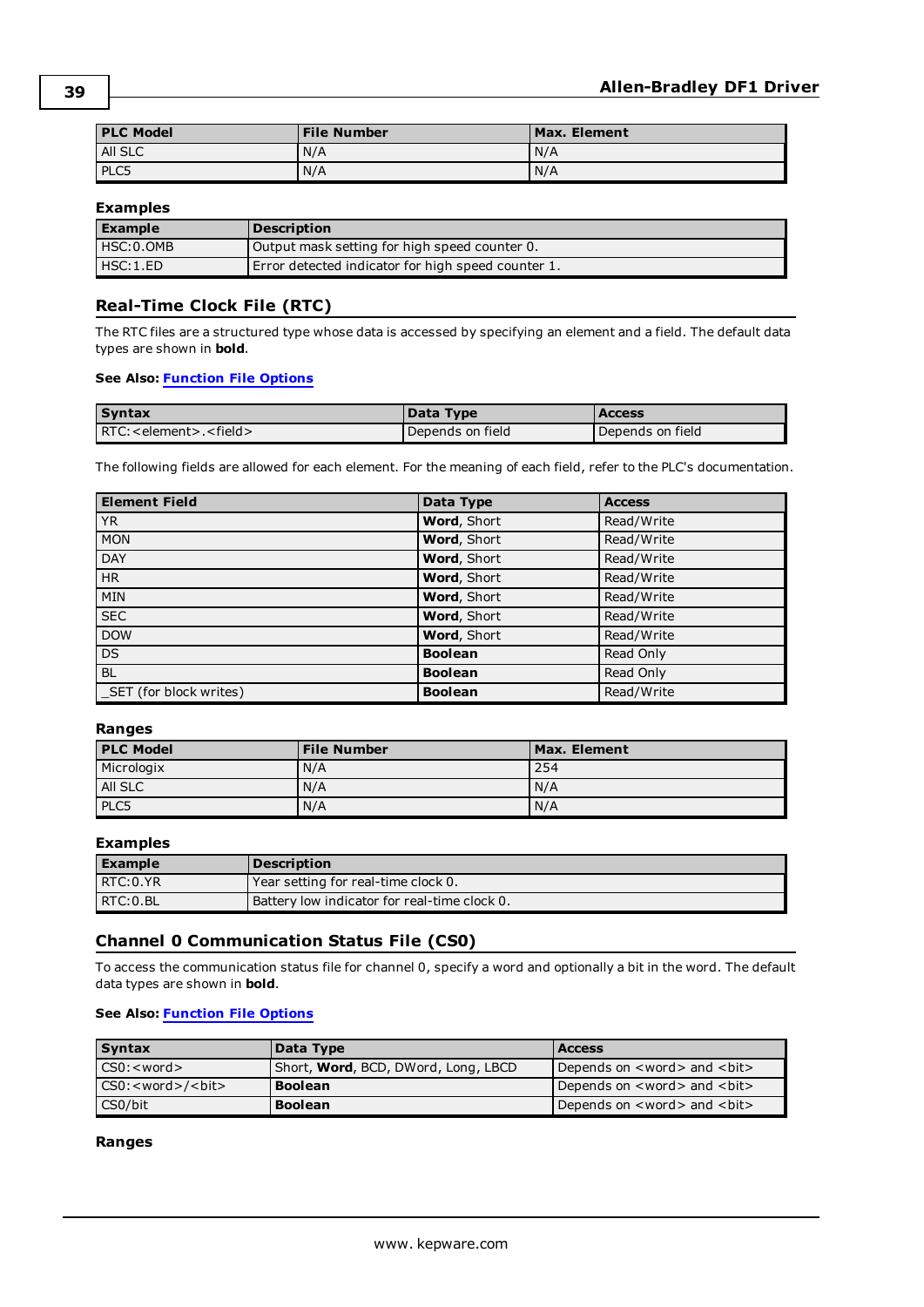| <b>PLC Model</b> | <b>File Number</b> | Max. Element |
|------------------|--------------------|--------------|
| All SLC          | N/A                | N/A          |
| PLC5             | N/A                | N/A          |

#### **Examples**

| <b>Example</b> | <b>Description</b>                                 |
|----------------|----------------------------------------------------|
| HSC: 0.0MB     | Output mask setting for high speed counter 0.      |
| HSC:1.ED       | Error detected indicator for high speed counter 1. |

#### <span id="page-38-0"></span>**Real-Time Clock File (RTC)**

The RTC files are a structured type whose data is accessed by specifying an element and a field. The default data types are shown in **bold**.

#### **See Also: [Function](#page-12-0) File Options**

| <b>Syntax</b>             | Data Type        | Access           |
|---------------------------|------------------|------------------|
| RTC: < element>. < field> | Depends on field | Depends on field |

The following fields are allowed for each element. For the meaning of each field, refer to the PLC's documentation.

| <b>Element Field</b>    | Data Type      | <b>Access</b> |
|-------------------------|----------------|---------------|
| <b>YR</b>               | Word, Short    | Read/Write    |
| <b>MON</b>              | Word, Short    | Read/Write    |
| <b>DAY</b>              | Word, Short    | Read/Write    |
| H <sub>R</sub>          | Word, Short    | Read/Write    |
| <b>MIN</b>              | Word, Short    | Read/Write    |
| <b>SEC</b>              | Word, Short    | Read/Write    |
| <b>DOW</b>              | Word, Short    | Read/Write    |
| <b>DS</b>               | <b>Boolean</b> | Read Only     |
| <b>BL</b>               | <b>Boolean</b> | Read Only     |
| _SET (for block writes) | <b>Boolean</b> | Read/Write    |

#### **Ranges**

| <b>PLC Model</b> | <b>File Number</b> | Max. Element |
|------------------|--------------------|--------------|
| Micrologix       | N/A                | 254          |
| AII SLC          | N/A                | N/A          |
| PLC5             | N/A                | I N/A        |

#### **Examples**

| l Example | <b>Description</b>                           |
|-----------|----------------------------------------------|
| RTC:0.YR  | Year setting for real-time clock 0.          |
| RTC: 0.BL | Battery low indicator for real-time clock 0. |

#### <span id="page-38-1"></span>**Channel 0 Communication Status File (CS0)**

To access the communication status file for channel 0, specify a word and optionally a bit in the word. The default data types are shown in **bold**.

#### **See Also: [Function](#page-12-0) File Options**

| <b>Syntax</b>                  | Data Type                                   | <b>Access</b>                                      |
|--------------------------------|---------------------------------------------|----------------------------------------------------|
| CS0: < word >                  | Short, <b>Word</b> , BCD, DWord, Long, LBCD | Depends on <word> and <bit></bit></word>           |
| CS0: <word>/<bit></bit></word> | <b>Boolean</b>                              | Depends on <word> and <br/> <br/>&gt;it&gt;</word> |
| CS0/bit                        | <b>Boolean</b>                              | Depends on <word> and <bit></bit></word>           |

#### **Ranges**

**39**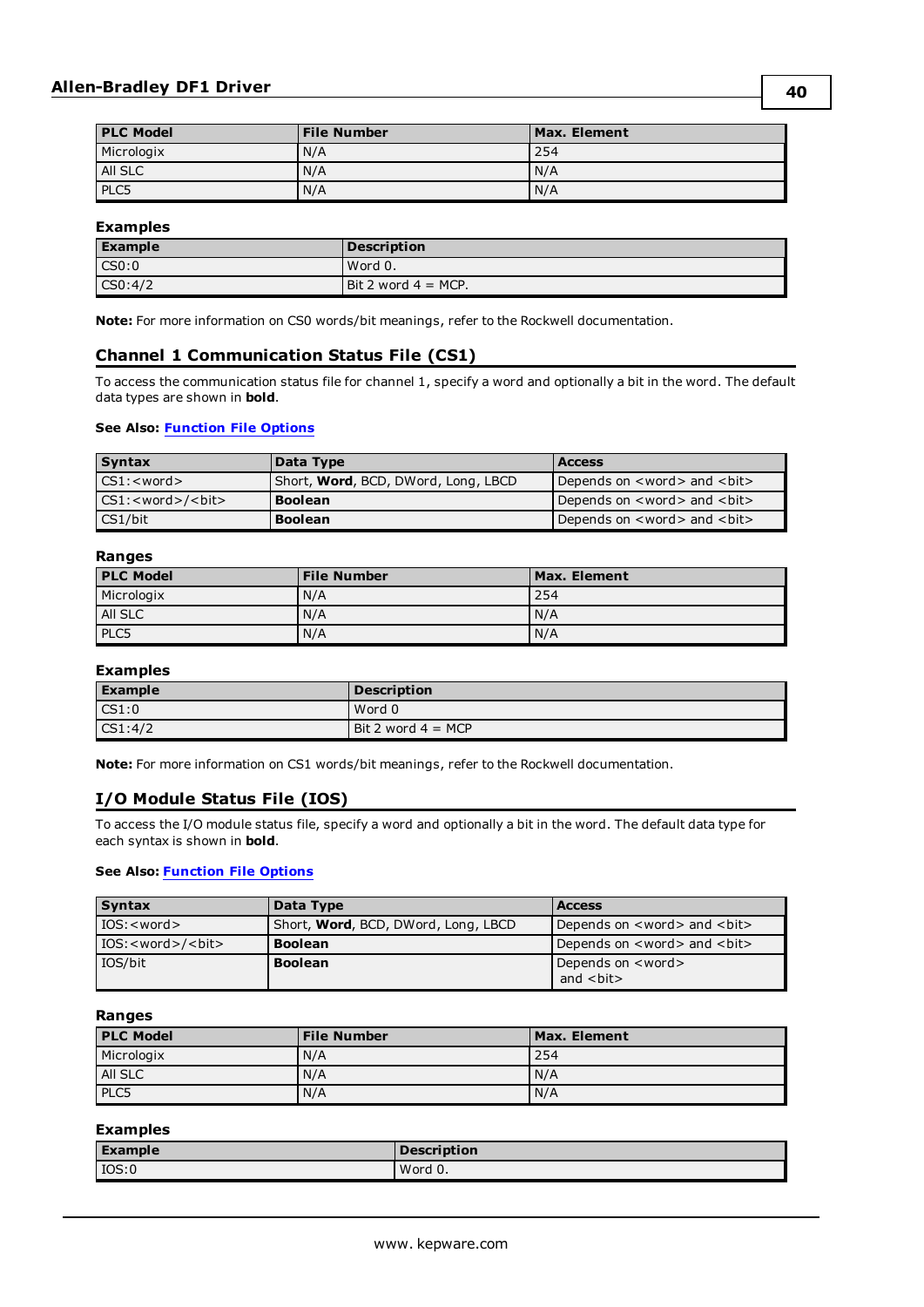| <b>PLC Model</b> | <b>File Number</b> | Max. Element |
|------------------|--------------------|--------------|
| Micrologix       | N/A                | 254          |
| All SLC          | N/A                | N/A          |
| PLC5             | N/A                | N/A          |

#### **Examples**

| <b>Example</b>    | Description            |
|-------------------|------------------------|
| $\mathsf{CC}50:0$ | Word 0.                |
| CS0:4/2           | Bit 2 word $4 = MCP$ . |

<span id="page-39-0"></span>**Note:** For more information on CS0 words/bit meanings, refer to the Rockwell documentation.

#### **Channel 1 Communication Status File (CS1)**

To access the communication status file for channel 1, specify a word and optionally a bit in the word. The default data types are shown in **bold**.

#### **See Also: [Function](#page-12-0) File Options**

| <b>Syntax</b>                    | Data Type                                   | <b>Access</b>                                     |
|----------------------------------|---------------------------------------------|---------------------------------------------------|
| $CS1$ : $<$ word $>$             | Short, <b>Word</b> , BCD, DWord, Long, LBCD | Depends on <word> and <bit></bit></word>          |
| $\text{CS1:}$ < word > / < bit > | <b>Boolean</b>                              | Depends on <word> and <br/> <br/>&gt;L&gt;</word> |
| CS1/bit                          | <b>Boolean</b>                              | Depends on <word> and <br/> <br/>t&gt;</word>     |

#### **Ranges**

| <b>PLC Model</b> | <b>File Number</b> | Max. Element |
|------------------|--------------------|--------------|
| Micrologix       | N/A                | 254          |
| All SLC          | N/A                | N/A          |
| PLC5             | N/A                | N/A          |

#### **Examples**

| <b>Example</b>     | <b>Description</b>   |
|--------------------|----------------------|
| $\mathsf{CS1:0}$   | Word 0               |
| $\textsf{CS1:4}/2$ | Bit 2 word $4 = MCP$ |

<span id="page-39-1"></span>**Note:** For more information on CS1 words/bit meanings, refer to the Rockwell documentation.

## **I/O Module Status File (IOS)**

To access the I/O module status file, specify a word and optionally a bit in the word. The default data type for each syntax is shown in **bold**.

#### **See Also: [Function](#page-12-0) File Options**

| <b>Syntax</b>                  | Data Type                                   | <b>Access</b>                                       |
|--------------------------------|---------------------------------------------|-----------------------------------------------------|
| IOS: <word></word>             | Short, <b>Word</b> , BCD, DWord, Long, LBCD | Depends on <word> and <br/> <br/>&gt;bit&gt;</word> |
| IOS: <word>/<bit></bit></word> | <b>Boolean</b>                              | Depends on <word> and <bit></bit></word>            |
| IOS/bit                        | <b>Boolean</b>                              | Depends on <word></word>                            |
|                                |                                             | and $bit$                                           |

#### **Ranges**

| <b>PLC Model</b> | <b>File Number</b> | Max. Element |
|------------------|--------------------|--------------|
| Micrologix       | N/A                | 254          |
| AII SLC          | N/A                | N/A          |
| PLC5             | N/A                | N/A          |

#### **Examples**

| <b>Example</b> | <b>Description</b> |
|----------------|--------------------|
| IOS:0          | Word 0.            |

**40**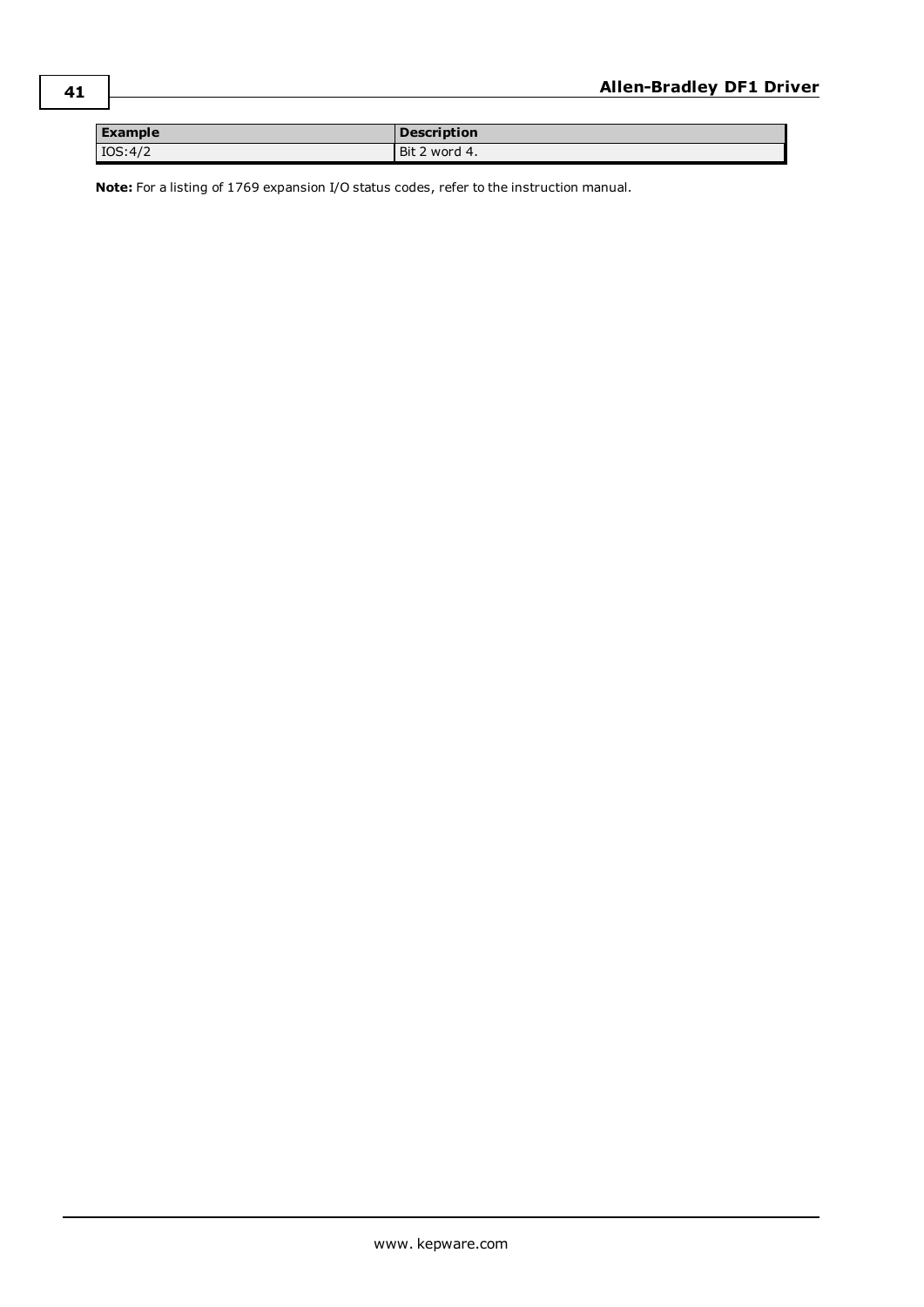| <b>Example</b> | <b>Description</b> |
|----------------|--------------------|
| IOS:4/2        | Bit 2 word 4.      |

**Note:** For a listing of 1769 expansion I/O status codes, refer to the instruction manual.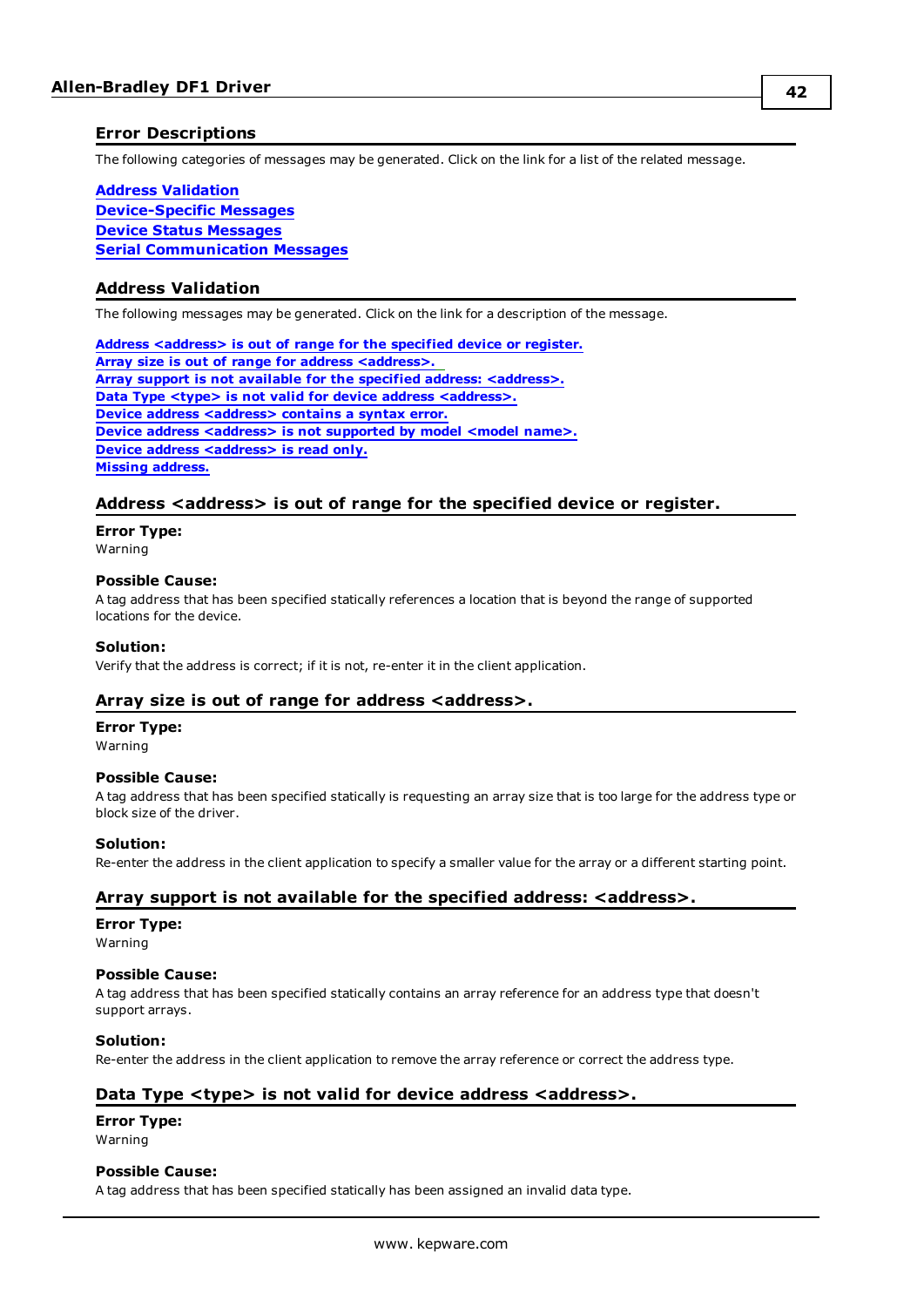#### <span id="page-41-0"></span>**Error Descriptions**

The following categories of messages may be generated. Click on the link for a list of the related message.

#### **Address [Validation](#page-41-1) [Device-Specific](#page-45-0) Messages Device Status [Messages](#page-44-1) Serial [Communication](#page-42-4) Messages**

#### <span id="page-41-1"></span>**Address Validation**

The following messages may be generated. Click on the link for a description of the message.

**Address [<address>](#page-41-2) is out of range for the specified device or register. Array size is out of range for address [<address>.](#page-41-3) Array support is not available for the specified address: [<address>.](#page-41-4) Data Type <type> is not valid for device address [<address>.](#page-41-5) Device address [<address>](#page-42-0) contains a syntax error. Device address [<address>](#page-42-1)** is not supported by model <model name>. **Device address [<address>](#page-42-2)** is read only. **Missing [address.](#page-42-3)**

#### <span id="page-41-2"></span>**Address <address> is out of range for the specified device or register.**

#### **Error Type:**

Warning

#### **Possible Cause:**

A tag address that has been specified statically references a location that is beyond the range of supported locations for the device.

#### **Solution:**

<span id="page-41-3"></span>Verify that the address is correct; if it is not, re-enter it in the client application.

#### **Array size is out of range for address <address>.**

#### **Error Type:**

Warning

#### **Possible Cause:**

A tag address that has been specified statically is requesting an array size that is too large for the address type or block size of the driver.

#### **Solution:**

<span id="page-41-4"></span>Re-enter the address in the client application to specify a smaller value for the array or a different starting point.

#### **Array support is not available for the specified address: <address>.**

#### **Error Type:**

Warning

#### **Possible Cause:**

A tag address that has been specified statically contains an array reference for an address type that doesn't support arrays.

#### **Solution:**

<span id="page-41-5"></span>Re-enter the address in the client application to remove the array reference or correct the address type.

#### **Data Type <type> is not valid for device address <address>.**

#### **Error Type:**

Warning

#### **Possible Cause:**

A tag address that has been specified statically has been assigned an invalid data type.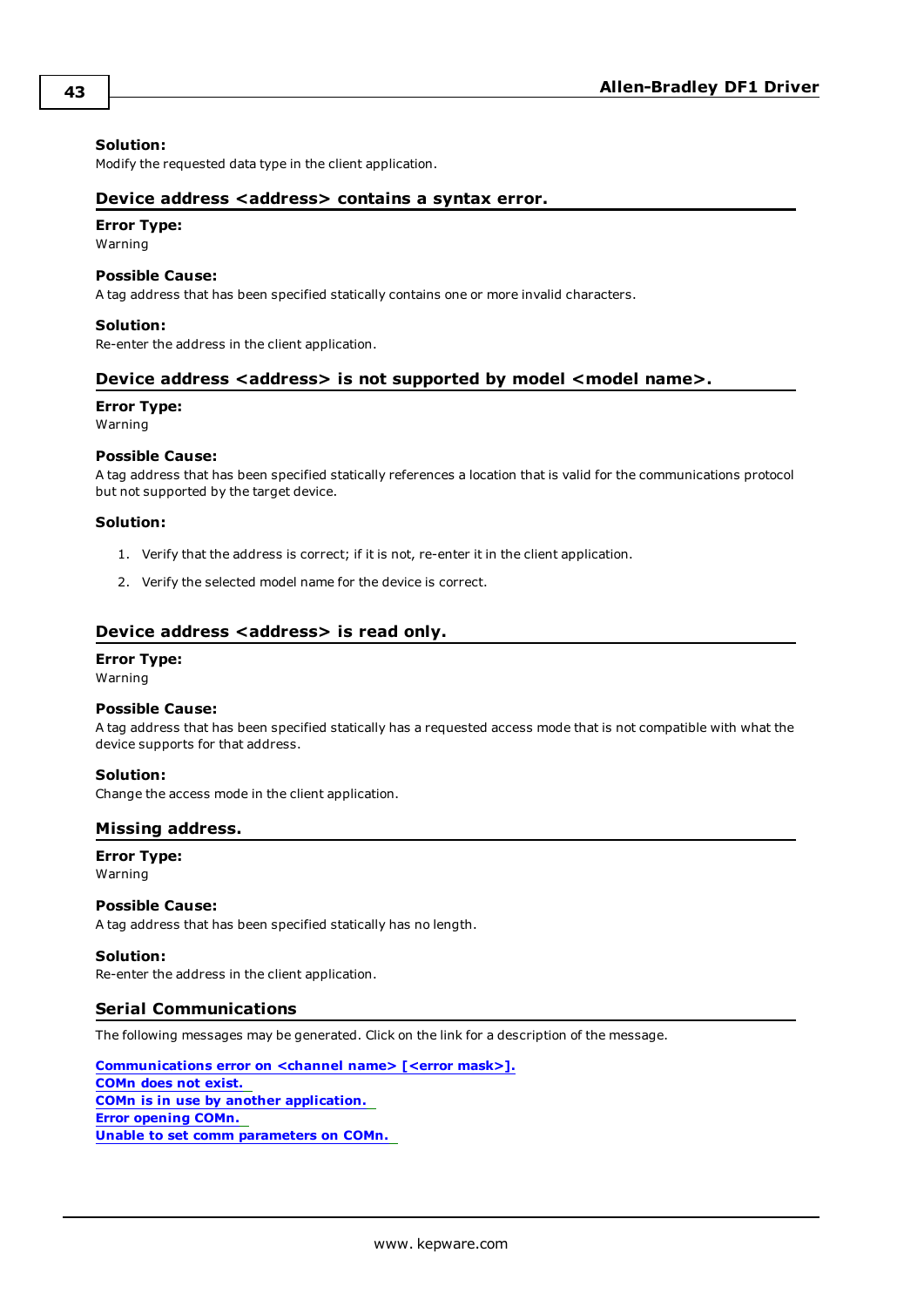#### **Solution:**

<span id="page-42-0"></span>Modify the requested data type in the client application.

#### **Device address <address> contains a syntax error.**

#### **Error Type:**

Warning

#### **Possible Cause:**

A tag address that has been specified statically contains one or more invalid characters.

#### **Solution:**

<span id="page-42-1"></span>Re-enter the address in the client application.

#### **Device address <address> is not supported by model <model name>.**

#### **Error Type:**

Warning

#### **Possible Cause:**

A tag address that has been specified statically references a location that is valid for the communications protocol but not supported by the target device.

#### **Solution:**

- 1. Verify that the address is correct; if it is not, re-enter it in the client application.
- 2. Verify the selected model name for the device is correct.

#### <span id="page-42-2"></span>**Device address <address>** is read only.

#### **Error Type:**

Warning

#### **Possible Cause:**

A tag address that has been specified statically has a requested access mode that is not compatible with what the device supports for that address.

#### **Solution:**

<span id="page-42-3"></span>Change the access mode in the client application.

#### **Missing address.**

**Error Type:** Warning

#### **Possible Cause:**

A tag address that has been specified statically has no length.

#### **Solution:**

<span id="page-42-4"></span>Re-enter the address in the client application.

#### **Serial Communications**

The following messages may be generated. Click on the link for a description of the message.

**[Communications](#page-43-0) error on <channel name> [<error mask>]. [COMn](#page-43-2) does not exist. COMn is in use by another [application.](#page-43-3) Error [opening](#page-43-4) COMn. Unable to set comm [parameters](#page-44-0) on COMn.**

**43**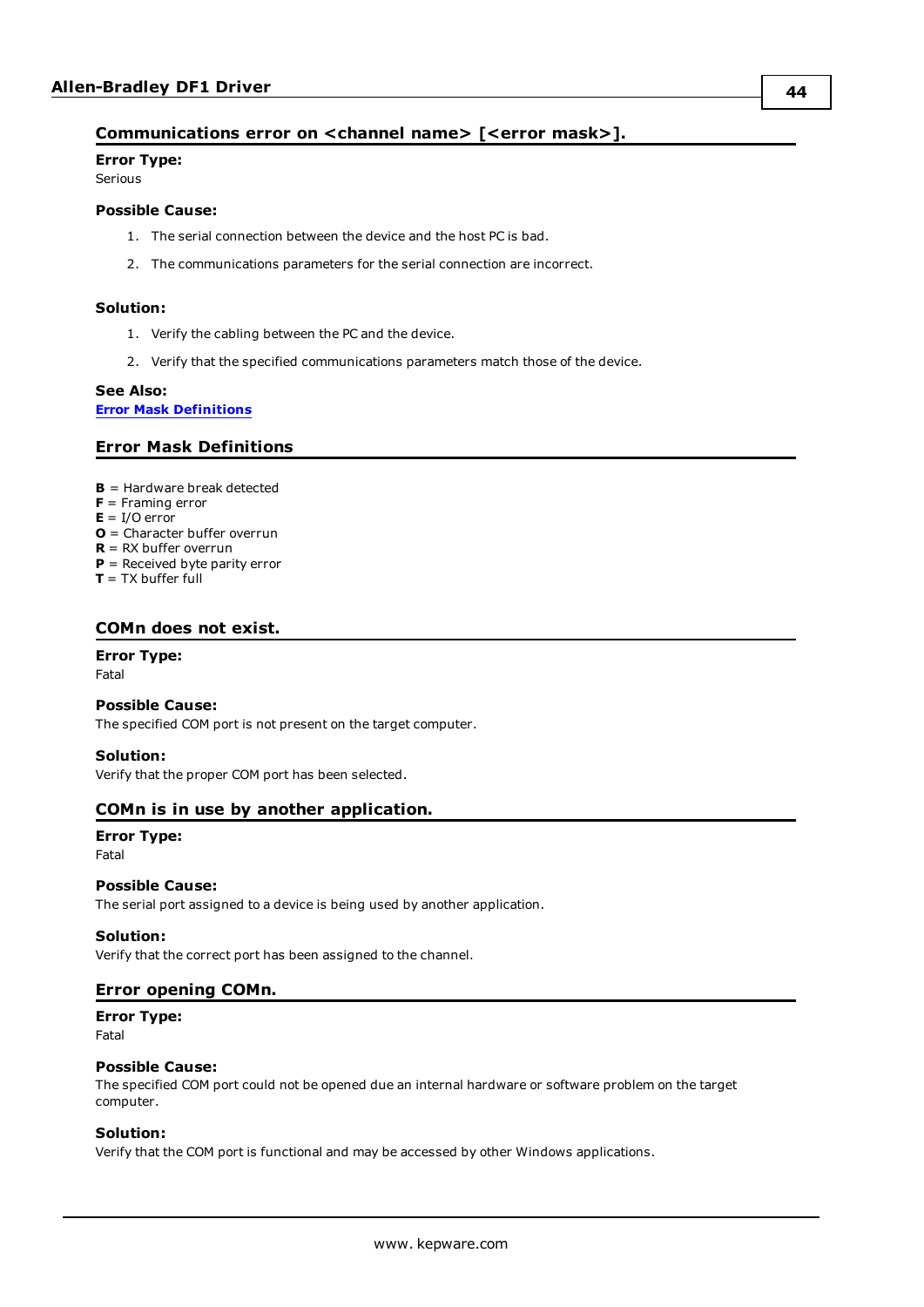#### <span id="page-43-0"></span>**Communications error on <channel name> [<error mask>].**

**Error Type:** Serious

#### **Possible Cause:**

- 1. The serial connection between the device and the host PC is bad.
- 2. The communications parameters for the serial connection are incorrect.

#### **Solution:**

- 1. Verify the cabling between the PC and the device.
- 2. Verify that the specified communications parameters match those of the device.

#### **See Also:**

<span id="page-43-1"></span>**Error Mask [Definitions](#page-43-1)**

#### **Error Mask Definitions**

- <span id="page-43-5"></span>**B** = Hardware break detected
- **F** = Framing error
- <span id="page-43-6"></span> $E = I/O$  error
- **O** = Character buffer overrun
- <span id="page-43-7"></span>**R** = RX buffer overrun
- **P** = Received byte parity error
- **T** = TX buffer full

#### <span id="page-43-2"></span>**COMn does not exist.**

#### **Error Type:**

Fatal

#### **Possible Cause:**

The specified COM port is not present on the target computer.

#### **Solution:**

<span id="page-43-3"></span>Verify that the proper COM port has been selected.

#### **COMn is in use by another application.**

## **Error Type:**

Fatal

#### **Possible Cause:**

The serial port assigned to a device is being used by another application.

#### **Solution:**

<span id="page-43-4"></span>Verify that the correct port has been assigned to the channel.

#### **Error opening COMn.**

**Error Type:**

Fatal

#### **Possible Cause:**

The specified COM port could not be opened due an internal hardware or software problem on the target computer.

#### **Solution:**

Verify that the COM port is functional and may be accessed by other Windows applications.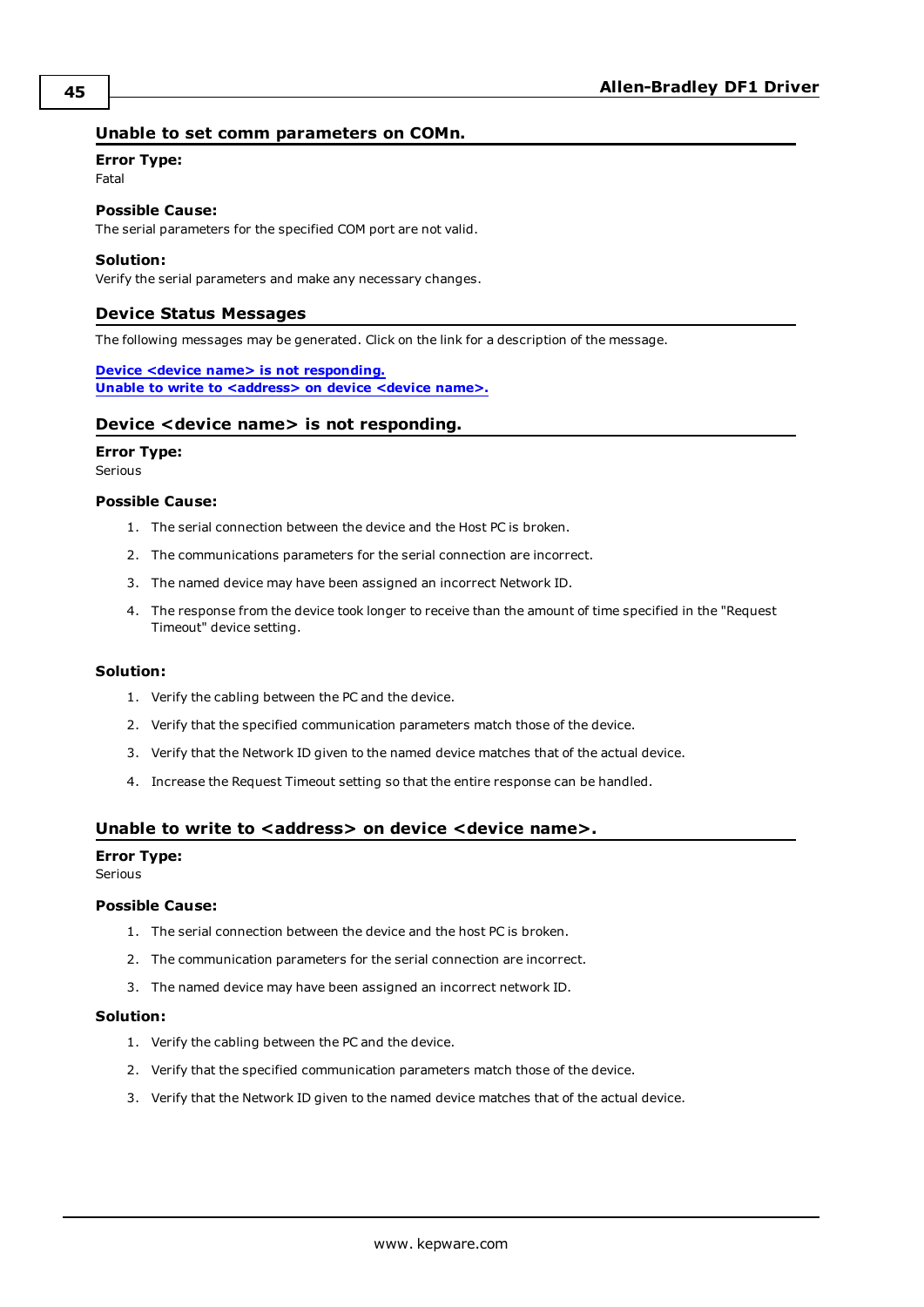#### <span id="page-44-0"></span>**Unable to set comm parameters on COMn.**

#### **Error Type:**

Fatal

**Possible Cause:** The serial parameters for the specified COM port are not valid.

#### **Solution:**

<span id="page-44-1"></span>Verify the serial parameters and make any necessary changes.

#### **Device Status Messages**

The following messages may be generated. Click on the link for a description of the message.

**Device <device name> is not [responding.](#page-44-2) Unable to write to [<address>](#page-44-3) on device <device name>.**

#### <span id="page-44-2"></span>**Device <device name> is not responding.**

#### **Error Type:**

Serious

#### **Possible Cause:**

- 1. The serial connection between the device and the Host PC is broken.
- 2. The communications parameters for the serial connection are incorrect.
- 3. The named device may have been assigned an incorrect Network ID.
- 4. The response from the device took longer to receive than the amount of time specified in the "Request Timeout" device setting.

#### **Solution:**

- 1. Verify the cabling between the PC and the device.
- 2. Verify that the specified communication parameters match those of the device.
- 3. Verify that the Network ID given to the named device matches that of the actual device.
- 4. Increase the Request Timeout setting so that the entire response can be handled.

#### <span id="page-44-3"></span>**Unable to write to <address> on device <device name>.**

#### **Error Type:**

Serious

#### **Possible Cause:**

- 1. The serial connection between the device and the host PC is broken.
- 2. The communication parameters for the serial connection are incorrect.
- 3. The named device may have been assigned an incorrect network ID.

#### **Solution:**

- 1. Verify the cabling between the PC and the device.
- 2. Verify that the specified communication parameters match those of the device.
- 3. Verify that the Network ID given to the named device matches that of the actual device.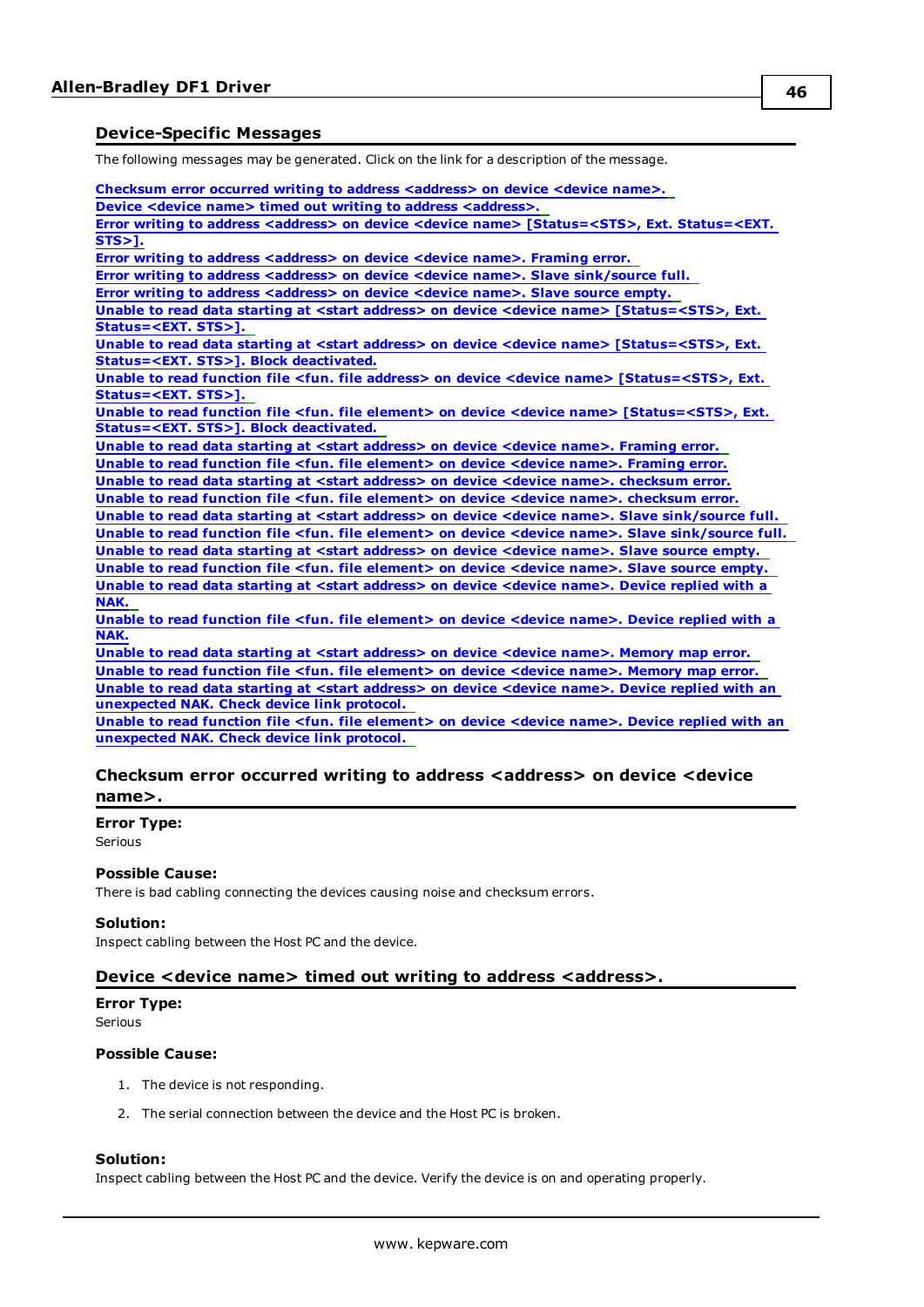#### <span id="page-45-0"></span>**Device-Specific Messages**

The following messages may be generated. Click on the link for a description of the message.

**Checksum error occurred writing to address [<address>](#page-45-1) on device <device name>. Device <device name> timed out writing to address [<address>.](#page-45-2) Error writing to address <address> on device <device name> [\[Status=<STS>,](#page-46-1) Ext. Status=<EXT. [STS>\].](#page-46-1) Error writing to address [<address>](#page-46-2) on device <device name>. Framing error. Error writing to address <address> on device <device name>. Slave [sink/source](#page-46-0) full. Error writing to address [<address>](#page-46-3) on device <device name>. Slave source empty. Unable to read data starting at <start address> on device <device name> [\[Status=<STS>,](#page-47-0) Ext. [Status=<EXT.](#page-47-0) STS>]. Unable to read data starting at <start address> on device <device name> [\[Status=<STS>,](#page-47-1) Ext. [Status=<EXT.](#page-47-1) STS>]. Block deactivated. Unable to read function file <fun. file address> on device <device name> [\[Status=<STS>,](#page-47-2) Ext. [Status=<EXT.](#page-47-2) STS>]. Unable to read function file <fun. file element> on device <device name> [\[Status=<STS>,](#page-48-0) Ext. [Status=<EXT.](#page-48-0) STS>]. Block deactivated. Unable to read data starting at <start [address>](#page-48-1) on device <device name>. Framing error. Unable to read function file <fun. file [element>](#page-48-2) on device <device name>. Framing error. Unable to read data starting at <start address> on device <device name>. [checksum](#page-48-3) error. Unable to read function file <fun. file element> on device <device name>. [checksum](#page-49-0) error. Unable to read data starting at <start address> on device <device name>. Slave [sink/source](#page-49-1) full. Unable to read function file <fun. file element> on device <device name>. Slave [sink/source](#page-49-2) full. Unable to read data starting at <start [address>](#page-49-3) on device <device name>. Slave source empty. Unable to read function file <fun. file [element>](#page-49-4) on device <device name>. Slave source empty. Unable to read data starting at <start [address>](#page-50-0) on device <device name>. Device replied with a [NAK.](#page-50-0) Unable to read function file <fun. file [element>](#page-50-1) on device <device name>. Device replied with a [NAK.](#page-50-1)**

**Unable to read data starting at <start [address>](#page-50-2) on device <device name>. Memory map error. Unable to read function file <fun. file [element>](#page-50-3) on device <device name>. Memory map error. Unable to read data starting at <start [address>](#page-50-4) on device <device name>. Device replied with an [unexpected](#page-50-4) NAK. Check device link protocol.**

**Unable to read function file <fun. file [element>](#page-51-0) on device <device name>. Device replied with an [unexpected](#page-51-0) NAK. Check device link protocol.**

#### <span id="page-45-1"></span>**Checksum error occurred writing to address <address> on device <device name>.**

#### **Error Type:**

Serious

#### **Possible Cause:**

There is bad cabling connecting the devices causing noise and checksum errors.

#### **Solution:**

<span id="page-45-2"></span>Inspect cabling between the Host PC and the device.

#### **Device <device name> timed out writing to address <address>.**

**Error Type:** Serious

#### **Possible Cause:**

- 1. The device is not responding.
- 2. The serial connection between the device and the Host PC is broken.

#### **Solution:**

Inspect cabling between the Host PC and the device. Verify the device is on and operating properly.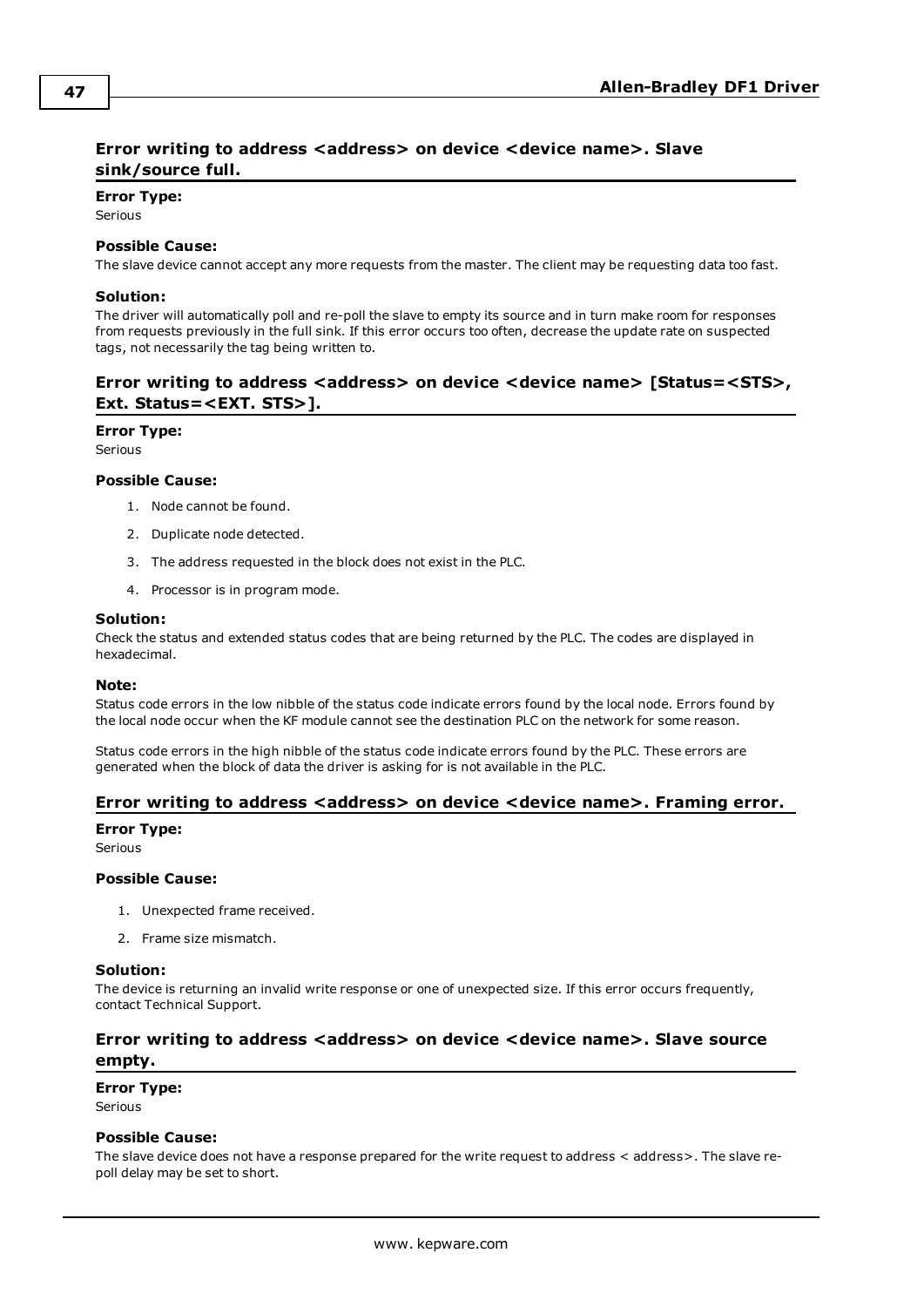#### <span id="page-46-0"></span>**Error writing to address <address> on device <device name>. Slave sink/source full.**

#### **Error Type:**

**Serious** 

#### **Possible Cause:**

The slave device cannot accept any more requests from the master. The client may be requesting data too fast.

#### **Solution:**

The driver will automatically poll and re-poll the slave to empty its source and in turn make room for responses from requests previously in the full sink. If this error occurs too often, decrease the update rate on suspected tags, not necessarily the tag being written to.

#### <span id="page-46-1"></span>**Error** writing to address <address> on device <device name> [Status=<STS>, **Ext. Status=<EXT. STS>].**

#### **Error Type:**

Serious

#### **Possible Cause:**

- 1. Node cannot be found.
- 2. Duplicate node detected.
- 3. The address requested in the block does not exist in the PLC.
- 4. Processor is in program mode.

#### **Solution:**

Check the status and extended status codes that are being returned by the PLC. The codes are displayed in hexadecimal.

#### **Note:**

Status code errors in the low nibble of the status code indicate errors found by the local node. Errors found by the local node occur when the KF module cannot see the destination PLC on the network for some reason.

Status code errors in the high nibble of the status code indicate errors found by the PLC. These errors are generated when the block of data the driver is asking for is not available in the PLC.

#### <span id="page-46-2"></span>**Error writing to address <address> on device <device name>. Framing error.**

#### **Error Type:**

Serious

#### **Possible Cause:**

- 1. Unexpected frame received.
- 2. Frame size mismatch.

#### **Solution:**

The device is returning an invalid write response or one of unexpected size. If this error occurs frequently, contact Technical Support.

### <span id="page-46-3"></span>**Error writing to address <address> on device <device name>. Slave source empty.**

**Error Type:**

Serious

#### **Possible Cause:**

The slave device does not have a response prepared for the write request to address < address>. The slave repoll delay may be set to short.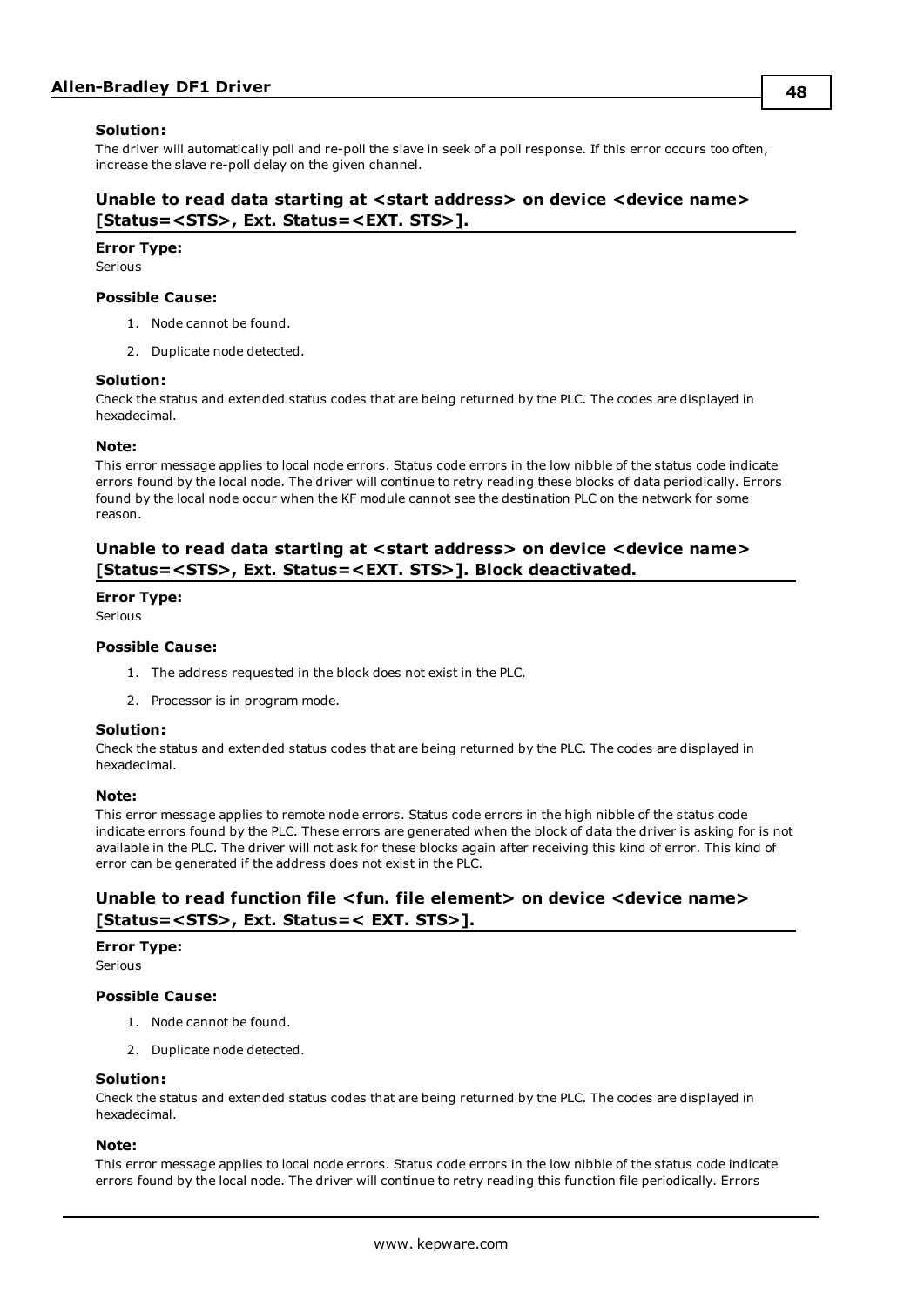#### **Solution:**

The driver will automatically poll and re-poll the slave in seek of a poll response. If this error occurs too often, increase the slave re-poll delay on the given channel.

#### <span id="page-47-0"></span>**Unable to read data starting at <start address> on device <device name> [Status=<STS>, Ext. Status=<EXT. STS>].**

#### **Error Type:**

Serious

#### **Possible Cause:**

- 1. Node cannot be found.
- 2. Duplicate node detected.

#### **Solution:**

Check the status and extended status codes that are being returned by the PLC. The codes are displayed in hexadecimal.

#### **Note:**

This error message applies to local node errors. Status code errors in the low nibble of the status code indicate errors found by the local node. The driver will continue to retry reading these blocks of data periodically. Errors found by the local node occur when the KF module cannot see the destination PLC on the network for some reason.

#### <span id="page-47-1"></span>**Unable to read data starting at <start address> on device <device name> [Status=<STS>, Ext. Status=<EXT. STS>]. Block deactivated.**

#### **Error Type:**

Serious

#### **Possible Cause:**

- 1. The address requested in the block does not exist in the PLC.
- 2. Processor is in program mode.

#### **Solution:**

Check the status and extended status codes that are being returned by the PLC. The codes are displayed in hexadecimal.

#### **Note:**

This error message applies to remote node errors. Status code errors in the high nibble of the status code indicate errors found by the PLC. These errors are generated when the block of data the driver is asking for is not available in the PLC. The driver will not ask for these blocks again after receiving this kind of error. This kind of error can be generated if the address does not exist in the PLC.

#### <span id="page-47-2"></span>**Unable to read function file <fun. file element> on device <device name> [Status=<STS>, Ext. Status=< EXT. STS>].**

#### **Error Type:**

Serious

#### **Possible Cause:**

- 1. Node cannot be found.
- 2. Duplicate node detected.

#### **Solution:**

Check the status and extended status codes that are being returned by the PLC. The codes are displayed in hexadecimal.

#### **Note:**

This error message applies to local node errors. Status code errors in the low nibble of the status code indicate errors found by the local node. The driver will continue to retry reading this function file periodically. Errors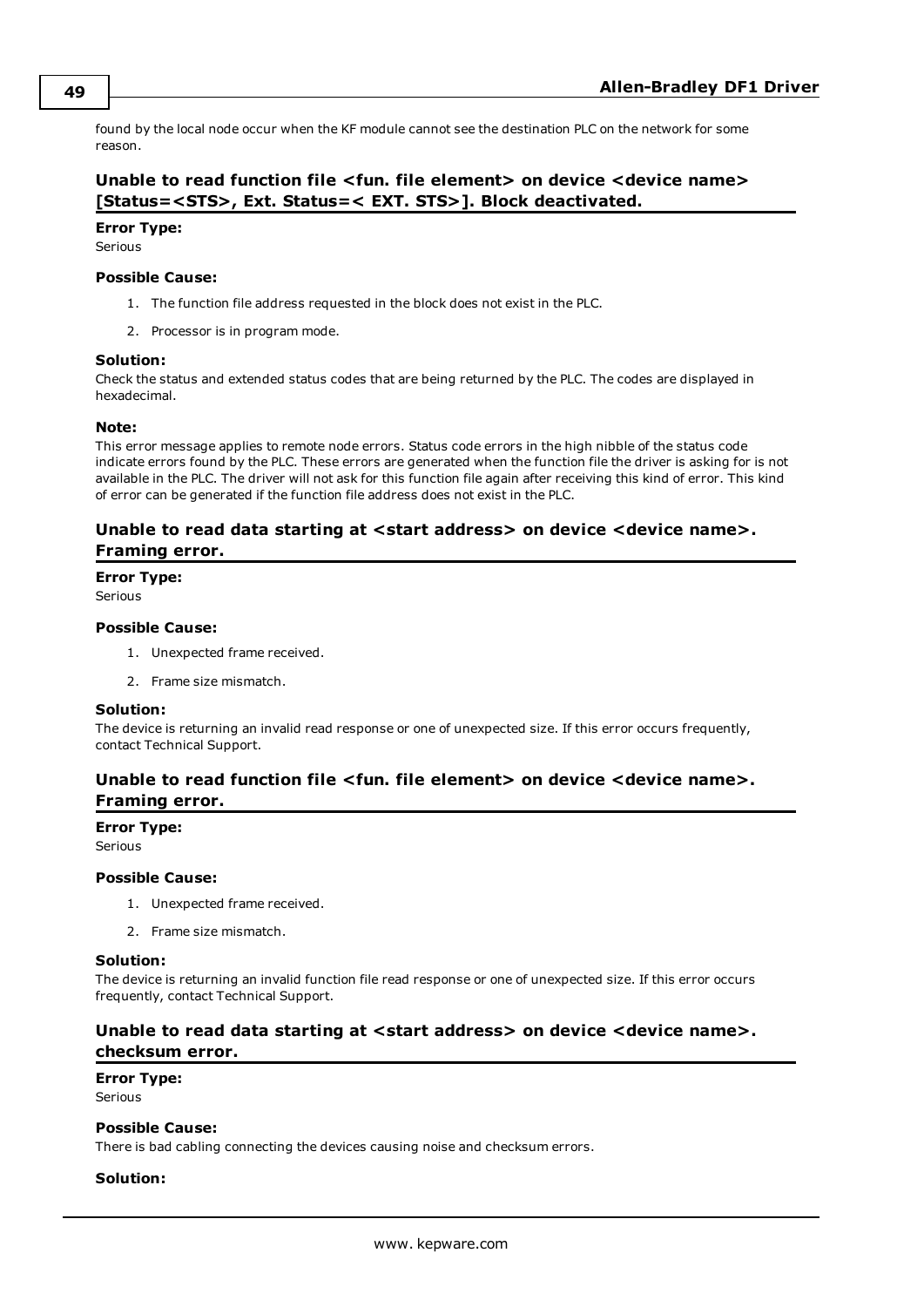found by the local node occur when the KF module cannot see the destination PLC on the network for some reason.

#### <span id="page-48-0"></span>**Unable to read function file <fun. file element> on device <device name> [Status=<STS>, Ext. Status=< EXT. STS>]. Block deactivated.**

#### **Error Type:**

Serious

#### **Possible Cause:**

- 1. The function file address requested in the block does not exist in the PLC.
- 2. Processor is in program mode.

#### **Solution:**

Check the status and extended status codes that are being returned by the PLC. The codes are displayed in hexadecimal.

#### **Note:**

This error message applies to remote node errors. Status code errors in the high nibble of the status code indicate errors found by the PLC. These errors are generated when the function file the driver is asking for is not available in the PLC. The driver will not ask for this function file again after receiving this kind of error. This kind of error can be generated if the function file address does not exist in the PLC.

#### <span id="page-48-1"></span>**Unable to read data starting at <start address> on device <device name>. Framing error.**

#### **Error Type:**

Serious

#### **Possible Cause:**

- 1. Unexpected frame received.
- 2. Frame size mismatch.

#### **Solution:**

The device is returning an invalid read response or one of unexpected size. If this error occurs frequently, contact Technical Support.

### <span id="page-48-2"></span>**Unable to read function file <fun. file element> on device <device name>. Framing error.**

#### **Error Type:**

Serious

#### **Possible Cause:**

- 1. Unexpected frame received.
- 2. Frame size mismatch.

#### **Solution:**

The device is returning an invalid function file read response or one of unexpected size. If this error occurs frequently, contact Technical Support.

#### <span id="page-48-3"></span>**Unable to read data starting at <start address> on device <device name>. checksum error.**

#### **Error Type:** Serious

#### **Possible Cause:**

There is bad cabling connecting the devices causing noise and checksum errors.

#### **Solution:**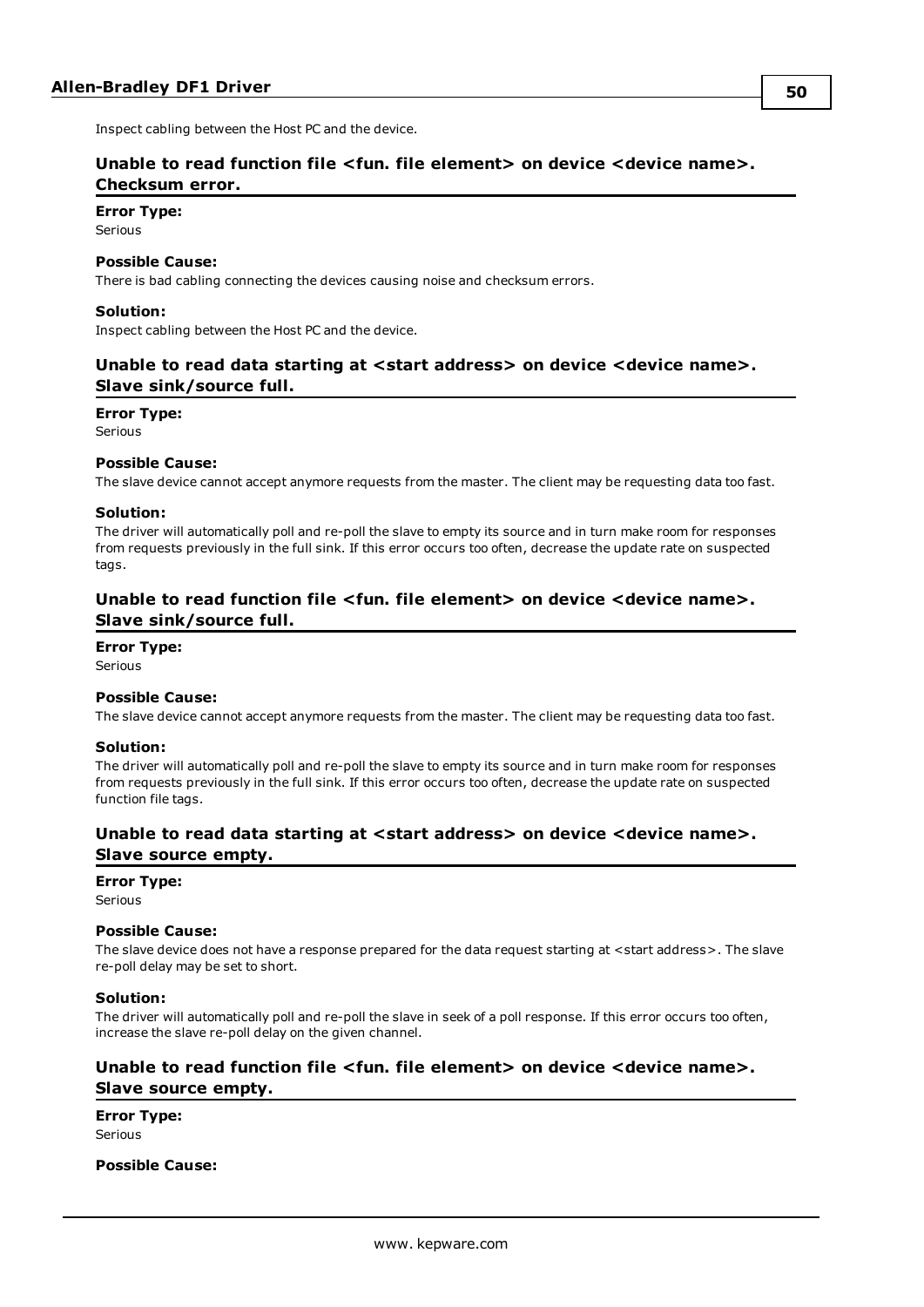<span id="page-49-0"></span>Inspect cabling between the Host PC and the device.

#### **Unable to read function file <fun. file element> on device <device name>. Checksum error.**

**Error Type:**

Serious

#### **Possible Cause:**

There is bad cabling connecting the devices causing noise and checksum errors.

#### **Solution:**

<span id="page-49-1"></span>Inspect cabling between the Host PC and the device.

#### **Unable to read data starting at <start address> on device <device name>. Slave sink/source full.**

#### **Error Type:**

Serious

#### **Possible Cause:**

The slave device cannot accept anymore requests from the master. The client may be requesting data too fast.

#### **Solution:**

The driver will automatically poll and re-poll the slave to empty its source and in turn make room for responses from requests previously in the full sink. If this error occurs too often, decrease the update rate on suspected tags.

#### <span id="page-49-2"></span>**Unable to read function file <fun. file element> on device <device name>. Slave sink/source full.**

#### **Error Type:**

Serious

#### **Possible Cause:**

The slave device cannot accept anymore requests from the master. The client may be requesting data too fast.

#### **Solution:**

The driver will automatically poll and re-poll the slave to empty its source and in turn make room for responses from requests previously in the full sink. If this error occurs too often, decrease the update rate on suspected function file tags.

#### <span id="page-49-3"></span>**Unable to read data starting at <start address> on device <device name>. Slave source empty.**

#### **Error Type:**

Serious

#### **Possible Cause:**

The slave device does not have a response prepared for the data request starting at <start address>. The slave re-poll delay may be set to short.

#### **Solution:**

The driver will automatically poll and re-poll the slave in seek of a poll response. If this error occurs too often, increase the slave re-poll delay on the given channel.

#### <span id="page-49-4"></span>**Unable to read function file <fun. file element> on device <device name>. Slave source empty.**

**Error Type:** Serious

#### **Possible Cause:**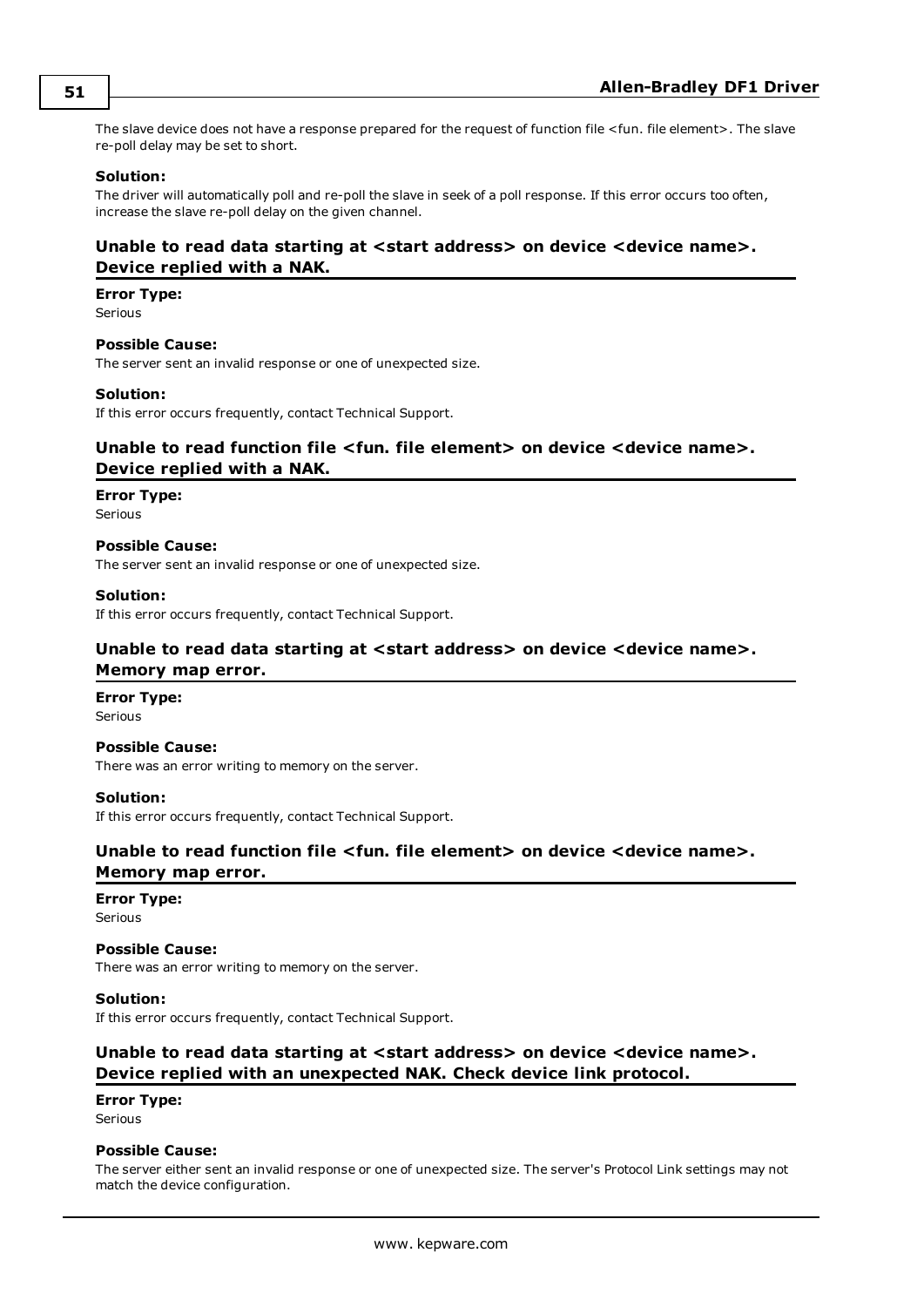The slave device does not have a response prepared for the request of function file <fun. file element>. The slave re-poll delay may be set to short.

#### **Solution:**

The driver will automatically poll and re-poll the slave in seek of a poll response. If this error occurs too often, increase the slave re-poll delay on the given channel.

#### <span id="page-50-0"></span>**Unable to read data starting at <start address> on device <device name>. Device replied with a NAK.**

#### **Error Type:**

Serious

#### **Possible Cause:**

The server sent an invalid response or one of unexpected size.

#### **Solution:**

<span id="page-50-1"></span>If this error occurs frequently, contact Technical Support.

#### **Unable to read function file <fun. file element> on device <device name>. Device replied with a NAK.**

#### **Error Type:**

Serious

#### **Possible Cause:**

The server sent an invalid response or one of unexpected size.

#### **Solution:**

<span id="page-50-2"></span>If this error occurs frequently, contact Technical Support.

#### **Unable to read data starting at <start address> on device <device name>.**

#### **Memory map error.**

**Error Type:** Serious

#### **Possible Cause:**

There was an error writing to memory on the server.

#### **Solution:**

<span id="page-50-3"></span>If this error occurs frequently, contact Technical Support.

### **Unable to read function file <fun. file element> on device <device name>. Memory map error.**

## **Error Type:**

Serious

#### **Possible Cause:**

There was an error writing to memory on the server.

#### **Solution:**

<span id="page-50-4"></span>If this error occurs frequently, contact Technical Support.

#### **Unable to read data starting at <start address> on device <device name>. Device replied with an unexpected NAK. Check device link protocol.**

#### **Error Type:**

Serious

#### **Possible Cause:**

The server either sent an invalid response or one of unexpected size. The server's Protocol Link settings may not match the device configuration.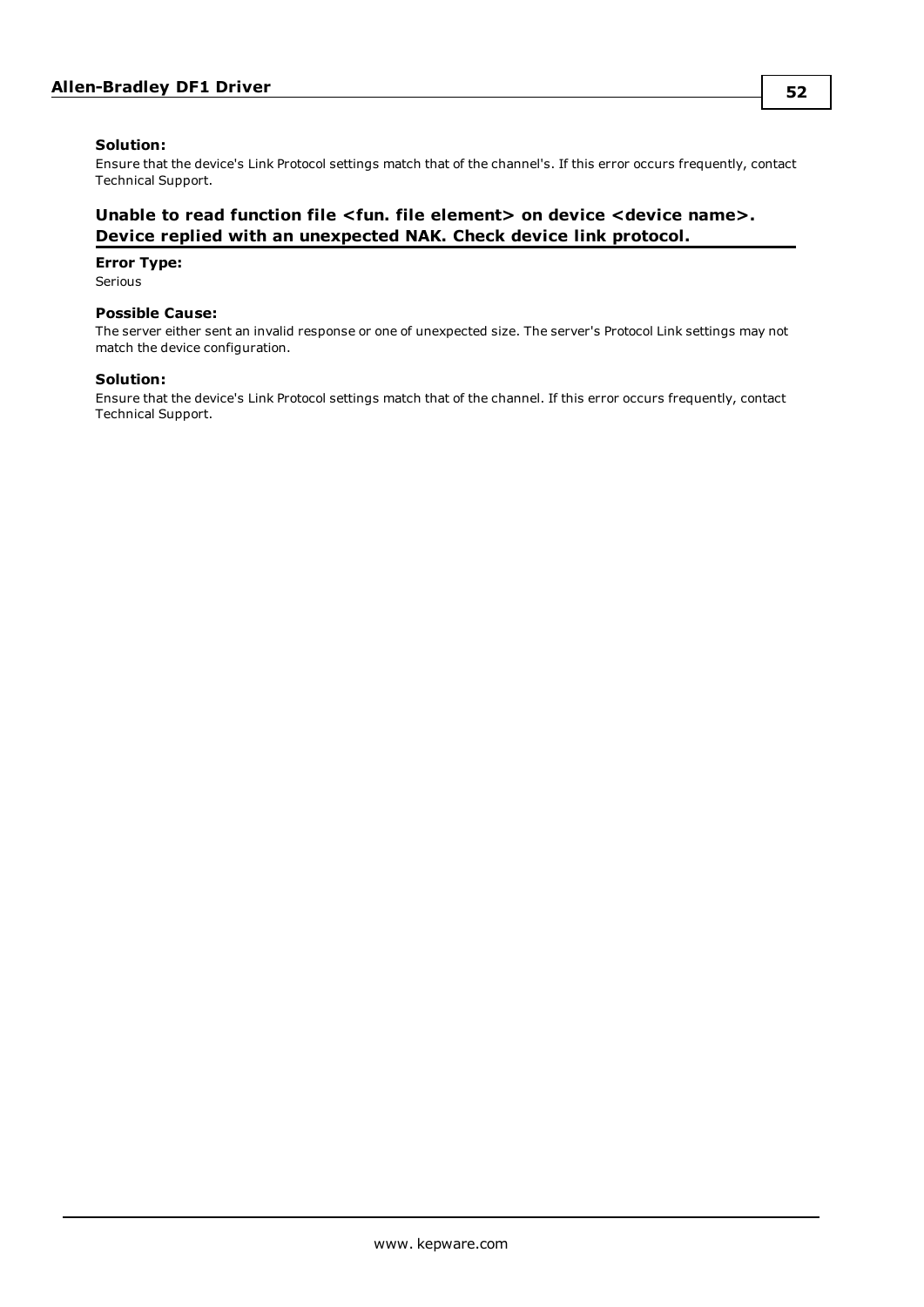#### **Solution:**

Ensure that the device's Link Protocol settings match that of the channel's. If this error occurs frequently, contact Technical Support.

#### <span id="page-51-0"></span>**Unable to read function file <fun. file element> on device <device name>. Device replied with an unexpected NAK. Check device link protocol.**

#### **Error Type:**

Serious

#### **Possible Cause:**

The server either sent an invalid response or one of unexpected size. The server's Protocol Link settings may not match the device configuration.

#### **Solution:**

Ensure that the device's Link Protocol settings match that of the channel. If this error occurs frequently, contact Technical Support.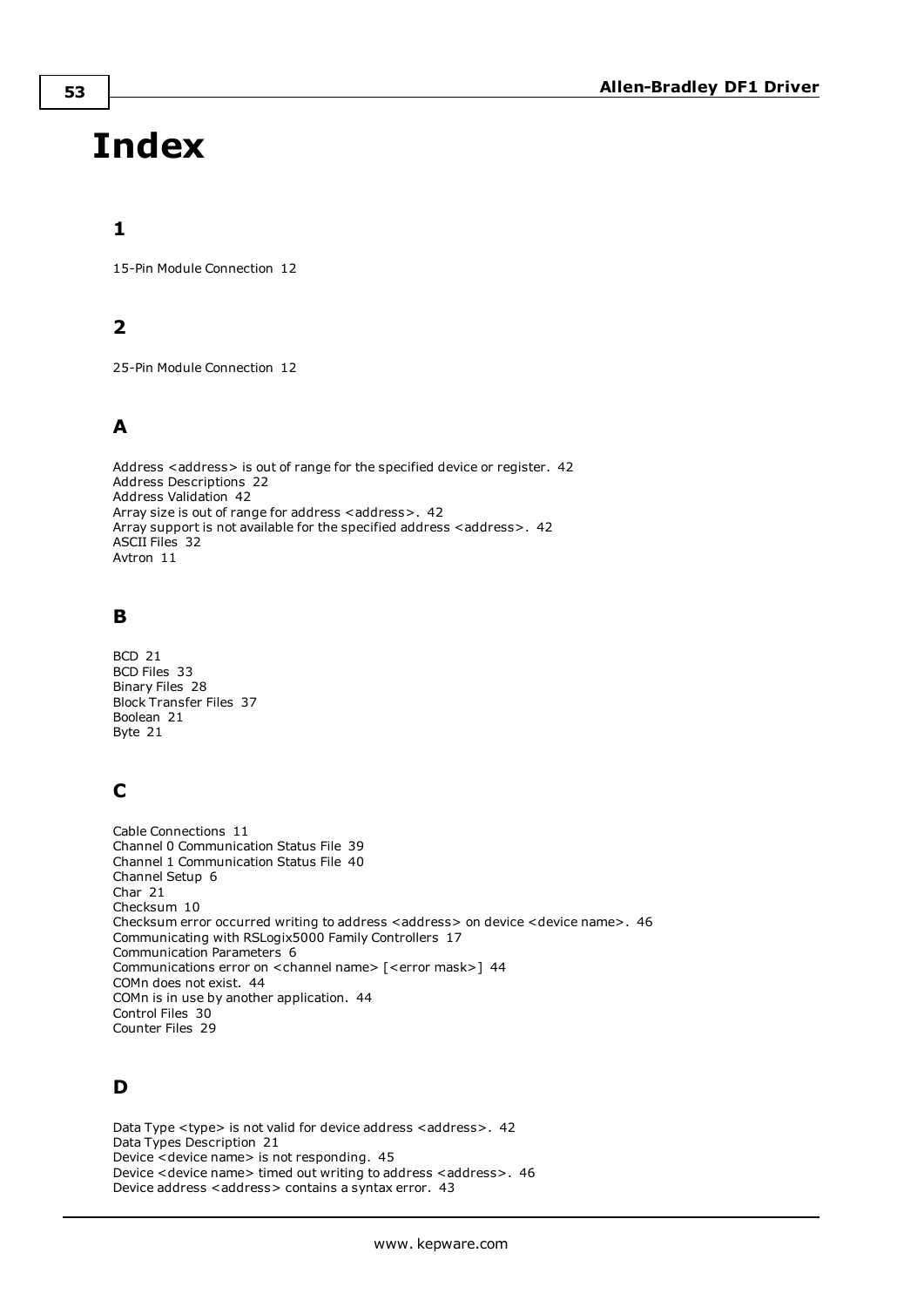# <span id="page-52-0"></span>**Index**

## **1**

15-Pin Module Connection [12](#page-11-1)

## **2**

25-Pin Module Connection [12](#page-11-2)

## **A**

Address <address> is out of range for the specified device or register. [42](#page-41-2) Address Descriptions [22](#page-21-0) Address Validation [42](#page-41-1) Array size is out of range for address <address>. [42](#page-41-3) Array support is not available for the specified address <address>. [42](#page-41-4) ASCII Files [32](#page-31-0) Avtron [11](#page-10-1)

## **B**

BCD [21](#page-20-1) BCD Files [33](#page-32-0) Binary Files [28](#page-27-1) Block Transfer Files [37](#page-36-0) Boolean [21](#page-20-2) Byte [21](#page-20-3)

## **C**

Cable Connections [11](#page-10-0) Channel 0 Communication Status File [39](#page-38-1) Channel 1 Communication Status File [40](#page-39-0) Channel Setup [6](#page-5-0) Char [21](#page-20-4) Checksum [10](#page-9-3) Checksum error occurred writing to address <address> on device <device name>. [46](#page-45-1) Communicating with RSLogix5000 Family Controllers [17](#page-16-0) Communication Parameters [6](#page-5-2) Communications error on <channel name> [<error mask>] [44](#page-43-0) COMn does not exist. [44](#page-43-2) COMn is in use by another application. [44](#page-43-3) Control Files [30](#page-29-0) Counter Files [29](#page-28-1)

## **D**

Data Type <type> is not valid for device address <address>. [42](#page-41-5) Data Types Description [21](#page-20-0) Device <device name> is not responding. [45](#page-44-2) Device <device name> timed out writing to address <address>. [46](#page-45-2) Device address < address > contains a syntax error. [43](#page-42-0)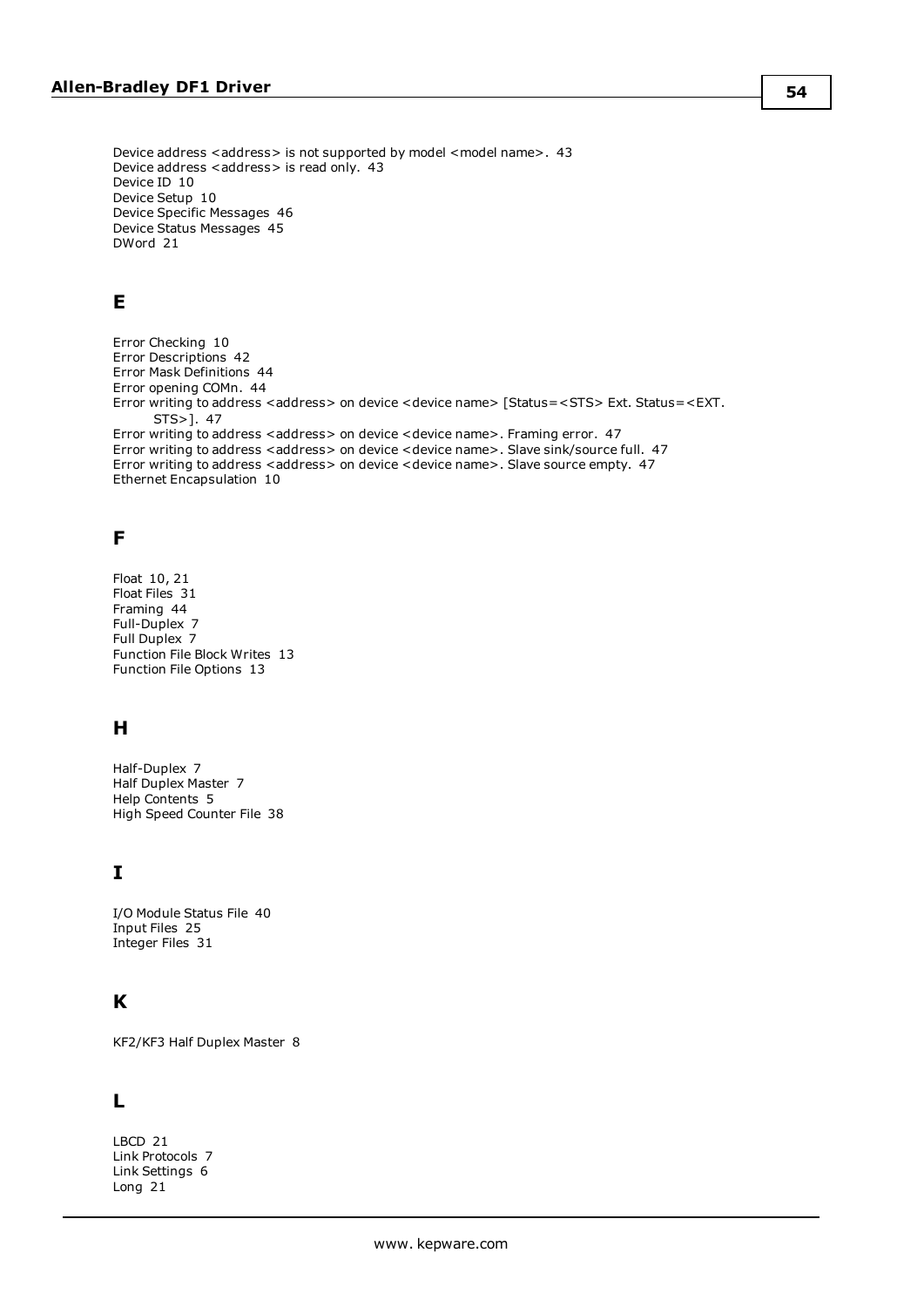Device address <address> is not supported by model <model name>. [43](#page-42-1) Device address <address> is read only. [43](#page-42-2) Device ID [10](#page-9-4) Device Setup [10](#page-9-0) Device Specific Messages [46](#page-45-0) Device Status Messages [45](#page-44-1) DWord [21](#page-20-5)

## **E**

Error Checking [10](#page-9-5) Error Descriptions [42](#page-41-0) Error Mask Definitions [44](#page-43-1) Error opening COMn. [44](#page-43-4) Error writing to address <address> on device <device name> [Status=<STS> Ext. Status=<EXT. STS>]. [47](#page-46-1) Error writing to address <address> on device <device name>. Framing error. [47](#page-46-2) Error writing to address <address> on device <device name>. Slave sink/source full. [47](#page-46-0) Error writing to address < address > on device < device name>. Slave source empty. [47](#page-46-3) Ethernet Encapsulation [10](#page-9-6)

## **F**

Float [10](#page-9-7), [21](#page-20-6) Float Files [31](#page-30-1) Framing [44](#page-43-5) Full-Duplex [7](#page-6-3) Full Duplex [7](#page-6-0) Function File Block Writes [13](#page-12-1) Function File Options [13](#page-12-0)

## **H**

Half-Duplex [7](#page-6-4) Half Duplex Master [7](#page-6-1) Help Contents [5](#page-4-0) High Speed Counter File [38](#page-37-0)

## **I**

I/O Module Status File [40](#page-39-1) Input Files [25](#page-24-0) Integer Files [31](#page-30-0)

## **K**

KF2/KF3 Half Duplex Master [8](#page-7-0)

## **L**

LBCD [21](#page-20-7) Link Protocols [7](#page-6-5) Link Settings [6](#page-5-3) Long [21](#page-20-8)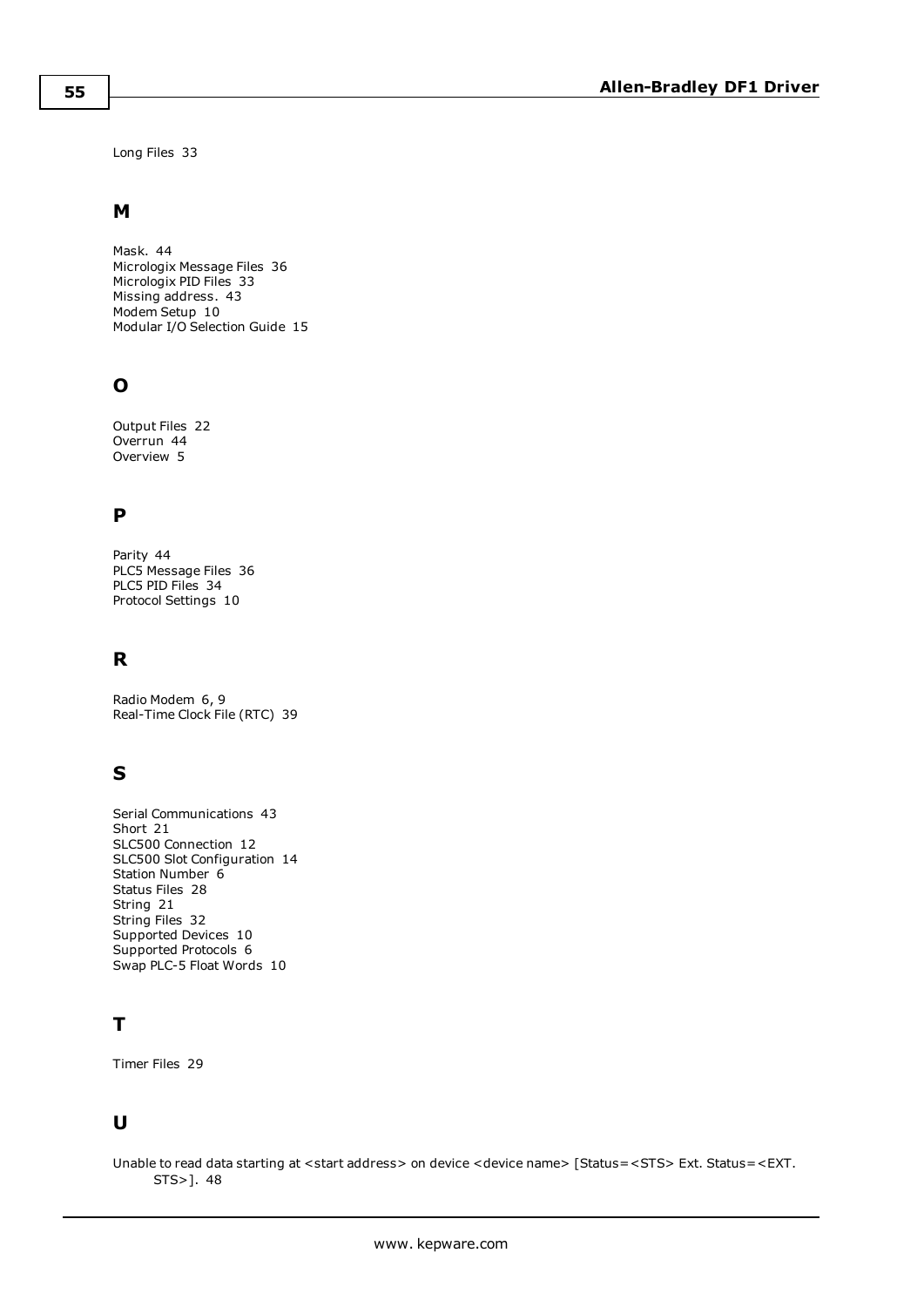Long Files [33](#page-32-1)

### **M**

Mask. [44](#page-43-0) Micrologix Message Files [36](#page-35-0) Micrologix PID Files [33](#page-32-2) Missing address. [43](#page-42-3) Modem Setup [10](#page-9-1) Modular I/O Selection Guide [15](#page-14-0)

## **O**

Output Files [22](#page-21-1) Overrun [44](#page-43-6) Overview [5](#page-4-1)

## **P**

Parity [44](#page-43-7) PLC5 Message Files [36](#page-35-1) PLC5 PID Files [34](#page-33-0) Protocol Settings [10](#page-9-2)

## **R**

Radio Modem [6](#page-5-4), [9](#page-8-0) Real-Time Clock File (RTC) [39](#page-38-0)

## **S**

Serial Communications [43](#page-42-4) Short [21](#page-20-9) SLC500 Connection [12](#page-11-0) SLC500 Slot Configuration [14](#page-13-0) Station Number [6](#page-5-5) Status Files [28](#page-27-0) String [21](#page-20-10) String Files [32](#page-31-1) Supported Devices [10](#page-9-8) Supported Protocols [6](#page-5-0) Swap PLC-5 Float Words [10](#page-9-7)

## **T**

Timer Files [29](#page-28-0)

## **U**

Unable to read data starting at <start address> on device <device name> [Status=<STS> Ext. Status=<EXT. STS>]. [48](#page-47-0)